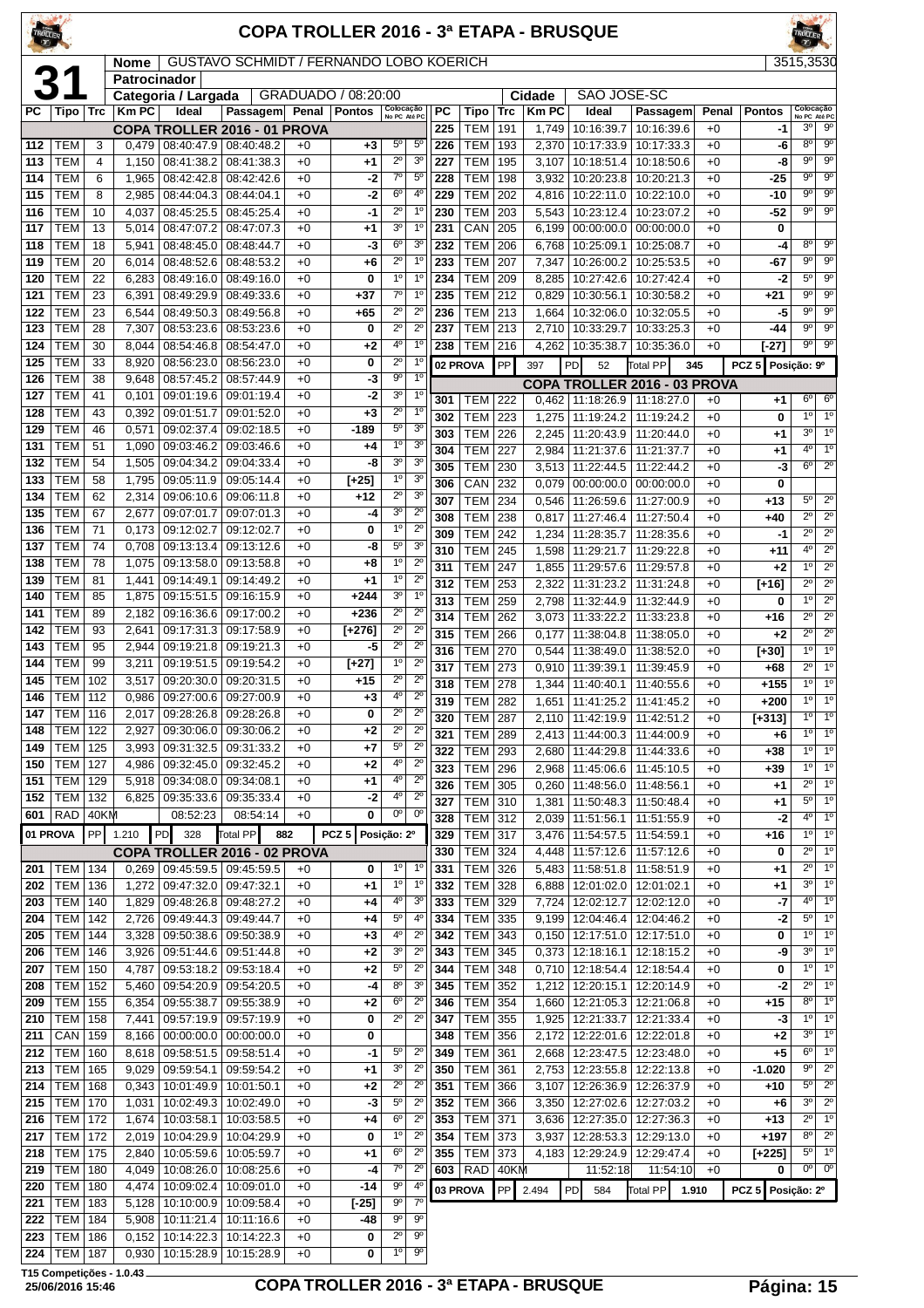| <b>TROLLER</b> |                                    |            |                |                                   |                                                       |              |                     |                               |                                  |            |                                  |                   |                       | <b>COPA TROLLER 2016 - 3ª ETAPA - BRUSQUE</b> |                                                              |               |                     | <b>ROLLER</b>                            |                                          |
|----------------|------------------------------------|------------|----------------|-----------------------------------|-------------------------------------------------------|--------------|---------------------|-------------------------------|----------------------------------|------------|----------------------------------|-------------------|-----------------------|-----------------------------------------------|--------------------------------------------------------------|---------------|---------------------|------------------------------------------|------------------------------------------|
|                |                                    |            | <b>Nome</b>    |                                   | GUSTAVO SCHMIDT / FERNANDO LOBO KOERICH               |              |                     |                               |                                  |            |                                  |                   |                       |                                               |                                                              |               |                     | 3515,3530                                |                                          |
|                | 31                                 |            | Patrocinador   |                                   |                                                       |              |                     |                               |                                  |            |                                  |                   |                       |                                               |                                                              |               |                     |                                          |                                          |
|                |                                    |            |                | Categoria / Largada               |                                                       |              | GRADUADO / 08:20:00 |                               |                                  | <b>PC</b>  |                                  |                   | Cidade<br><b>KmPC</b> | SAO JOSE-SC<br>Ideal                          |                                                              |               |                     | Colocação                                |                                          |
| РC             | Tipo   Trc                         |            | <b>Km PC</b>   | Ideal                             | Passagem Penal Pontos<br>COPA TROLLER 2016 - 01 PROVA |              |                     | Colocação<br>No PC Até PC     |                                  | 225        | Tipo<br><b>TEM</b>               | <b>Trc</b><br>191 | 1,749                 | 10:16:39.7                                    | Passagem<br>10:16:39.6                                       | Penal<br>$+0$ | <b>Pontos</b><br>-1 | No PC Até PC<br>30                       | $9^{\circ}$                              |
| 112            | TEM                                | 3          | 0.479          |                                   | 08:40:47.9 08:40:48.2                                 | $+0$         | $+3$                | $5^{\circ}$                   | 5 <sup>c</sup>                   | 226        | <b>TEM</b>                       | 193               | 2,370                 | 10:17:33.9                                    | 10:17:33.3                                                   | $+0$          | -6                  | $8^{\circ}$                              | $9^{\circ}$                              |
| 113            | <b>TEM</b>                         | 4          | 1,150          | 08:41:38.2                        | 08:41:38.3                                            | $+0$         | $+1$                | $\overline{2^0}$              | 3 <sup>o</sup>                   | 227        | <b>TEM</b>                       | 195               | 3,107                 | 10:18:51.4                                    | 10:18:50.6                                                   | $+0$          | -8                  | $9^{\circ}$                              | $9^{\circ}$                              |
| 114            | <b>TEM</b>                         | 6          | 1,965          |                                   | 08:42:42.8 08:42:42.6                                 | $+0$         | -2                  | $7^\circ$                     | 5 <sup>0</sup>                   | 228        | <b>TEM</b>                       | 198               | 3,932                 | 10:20:23.8                                    | 10:20:21.3                                                   | $+0$          | -25                 | go                                       | $\overline{9^{\circ}}$                   |
| 115            | <b>TEM</b>                         | 8          | 2,985          | $08:44:04.3$ 08:44:04.1           |                                                       | $+0$         | -2                  | $6^{\circ}$                   | 4°                               | 229        | <b>TEM</b>                       | 202               | 4,816                 | 10:22:11.0                                    | 10:22:10.0                                                   | $+0$          | $-10$               | $9^{\circ}$                              | $9^{\circ}$                              |
| 116<br>117     | <b>TEM</b>                         | 10         | 4.037          | 08:45:25.5                        | 08:45:25.4                                            | $+0$         | $-1$                | $2^{\circ}$<br>30             | $1^{\circ}$<br>$1^{\circ}$       | 230        | <b>TEM</b>                       | 203               | 5,543                 | 10:23:12.4                                    | 10:23:07.2                                                   | $+0$          | $-52$               | $9^{\circ}$                              | $\overline{9^0}$                         |
| 118            | <b>TEM</b><br><b>TEM</b>           | 13<br>18   | 5,014<br>5,941 | 08:47:07.2<br>08:48:45.0          | 08:47:07.3<br>08:48:44.7                              | $+0$<br>$+0$ | $+1$<br>-3          | $6^{\circ}$                   | 3 <sup>o</sup>                   | 231<br>232 | CAN<br><b>TEM</b>                | 205<br>206        | 6,199<br>6,768        | 00:00:00.0<br>10:25:09.1                      | 00:00:00.0<br>10:25:08.7                                     | $+0$<br>$+0$  | 0<br>-4             | 8°                                       | $\overline{9^{\circ}}$                   |
| 119            | <b>TEM</b>                         | 20         | 6,014          |                                   | 08:48:52.6   08:48:53.2                               | $+0$         | $+6$                | $2^{\circ}$                   | $1^{\circ}$                      | 233        | <b>TEM</b>                       | 207               | 7,347                 | 10:26:00.2                                    | 10:25:53.5                                                   | $+0$          | $-67$               | $9^{\circ}$                              | 9 <sup>o</sup>                           |
| 120            | <b>TEM</b>                         | 22         | 6,283          |                                   | 08:49:16.0   08:49:16.0                               | $+0$         | 0                   | $1^{\circ}$                   | 1 <sup>0</sup>                   | 234        | TEM                              | 209               | 8,285                 | 10:27:42.6                                    | 10:27:42.4                                                   | $+0$          | $-2$                | $5^{\circ}$                              | $9^{\circ}$                              |
| 121            | <b>TEM</b>                         | 23         | 6,391          | 08:49:29.9                        | 08:49:33.6                                            | $+0$         | $+37$               | $7^\circ$                     | 1 <sup>0</sup>                   | 235        | <b>TEM</b>                       | 212               | 0,829                 | 10:30:56.1                                    | 10:30:58.2                                                   | $+0$          | $+21$               | $\overline{9^{\circ}}$                   | $\overline{9^{\circ}}$                   |
| 122            | <b>TEM</b>                         | 23         | 6,544          | 08:49:50.3                        | 08:49:56.8                                            | $+0$         | $+65$               | $2^{\circ}$                   | $2^{\circ}$                      | 236        | <b>TEM</b>                       | 213               | 1,664                 | 10:32:06.0                                    | 10:32:05.5                                                   | $+0$          | -5                  | $9^{\circ}$                              | 9 <sup>o</sup>                           |
| 123<br>124     | <b>TEM</b><br><b>TEM</b>           | 28<br>30   | 7,307          | 08:53:23.6                        | 08:53:23.6<br>08:54:46.8 08:54:47.0                   | $+0$         | 0                   | $2^{\circ}$<br>4°             | $2^{\circ}$<br>1 <sup>0</sup>    | 237        | <b>TEM</b><br><b>TEM 216</b>     | 213               | 2,710                 | 10:33:29.7<br>4.262 10:35:38.7                | 10:33:25.3                                                   | $+0$<br>$+0$  | -44                 | $9^{\circ}$<br>$9^{\circ}$               | $9^{\circ}$<br>$9^{\circ}$               |
| 125            | <b>TEM</b>                         | 33         | 8,044<br>8,920 |                                   | 08:56:23.0 08:56:23.0                                 | $+0$<br>$+0$ | $+2$<br>0           | $\overline{2^{\circ}}$        | $1^{\circ}$                      | 238        |                                  | <b>PP</b>         |                       |                                               | 10:35:36.0                                                   |               | $[-27]$             |                                          |                                          |
| 126            | <b>TEM</b>                         | 38         | 9,648          | 08:57:45.2                        | 08:57:44.9                                            | $+0$         | -3                  | $\overline{9^{\circ}}$        | 10                               |            | 02 PROVA                         |                   | 397                   | PD<br>52                                      | Total PP<br>COPA TROLLER 2016 - 03 PROVA                     | 345           | PCZ 5 Posição: 9º   |                                          |                                          |
| 127            | <b>TEM</b>                         | 41         | 0.101          | 09:01:19.6                        | 09:01:19.4                                            | $+0$         | $-2$                | 3 <sup>o</sup>                | $1^{\circ}$                      | 301        | <b>TEM 222</b>                   |                   | 0,462                 |                                               | 11:18:26.9   11:18:27.0                                      | $+0$          | +1                  | $6^{\circ}$                              | 6 <sup>o</sup>                           |
| 128            | <b>TEM</b>                         | 43         | 0,392          | 09:01:51.7                        | 09:01:52.0                                            | $+0$         | $+3$                | $2^{\circ}$                   | $1^{\circ}$                      | 302        | <b>TEM</b>                       | 223               | 1,275                 | 11:19:24.2                                    | 11:19:24.2                                                   | $+0$          | 0                   | $1^{\circ}$                              | 1 <sup>0</sup>                           |
| 129            | <b>TEM</b>                         | 46         | 0,571          | 09:02:37.4                        | 09:02:18.5                                            | $+0$         | $-189$              | $5^{\circ}$                   | 3 <sup>o</sup>                   | 303        | <b>TEM</b>                       | 226               | 2,245                 | 11:20:43.9                                    | 11:20:44.0                                                   | $+0$          | $+1$                | 3 <sup>0</sup>                           | 1 <sup>0</sup>                           |
| 131            | <b>TEM</b>                         | 51         | 1,090          | 09:03:46.2                        | 09:03:46.6                                            | $+0$         | $+4$                | 1 <sup>0</sup><br>$3^{\circ}$ | 3 <sup>o</sup><br>3 <sup>o</sup> | 304        | <b>TEM</b>                       | 227               | 2,984                 | 11:21:37.6                                    | 11:21:37.7                                                   | $+0$          | $+1$                | $4^{\circ}$                              | 1 <sup>0</sup>                           |
| 132<br>133     | <b>TEM</b><br><b>TEM</b>           | 54<br>58   | 1,505<br>1,795 | 09:04:34.2<br>09:05:11.9          | 09:04:33.4<br>09:05:14.4                              | $+0$<br>$+0$ | -8<br>$[+25]$       | $1^{\circ}$                   | 3 <sup>o</sup>                   | 305        | <b>TEM</b>                       | 230               | 3,513                 | 11:22:44.5                                    | 11:22:44.2                                                   | $+0$          | -3                  | 6 <sup>o</sup>                           | $2^{\circ}$                              |
| 134            | <b>TEM</b>                         | 62         | 2,314          | 09:06:10.6                        | 09:06:11.8                                            | $+0$         | $+12$               | $2^{\circ}$                   | 3 <sup>o</sup>                   | 306<br>307 | CAN<br><b>TEM</b>                | 232<br>234        | 0,079<br>0,546        | 11:26:59.6                                    | $00:00:00.0$   $00:00:00.0$<br>11:27:00.9                    | $+0$<br>$+0$  | 0<br>$+13$          | $5^{\circ}$                              | $2^{\circ}$                              |
| 135            | <b>TEM</b>                         | 67         | 2,677          | 09:07:01.7                        | 09:07:01.3                                            | $+0$         | -4                  | 3 <sup>o</sup>                | $2^{\circ}$                      | 308        | <b>TEM</b>                       | 238               | 0,817                 | 11:27:46.4                                    | 11:27:50.4                                                   | $+0$          | $+40$               | $\overline{2^0}$                         | $2^{\circ}$                              |
| 136            | <b>TEM</b>                         | 71         | 0,173          | 09:12:02.7                        | 09:12:02.7                                            | $+0$         | 0                   | 1 <sup>0</sup>                | $2^{\circ}$                      | 309        | <b>TEM</b>                       | 242               | 1,234                 | 11:28:35.7                                    | 11:28:35.6                                                   | $+0$          | -1                  | $2^{\circ}$                              | $2^{\circ}$                              |
| 137            | <b>TEM</b>                         | 74         | 0.708          | 09:13:13.4                        | 09:13:12.6                                            | $+0$         | -8                  | $5^{\circ}$                   | 3 <sup>o</sup>                   | 310        | <b>TEM</b>                       | 245               | 1,598                 | 11:29:21.7                                    | 11:29:22.8                                                   | $+0$          | +11                 | 4°                                       | $2^{\circ}$                              |
| 138<br>139     | <b>TEM</b><br><b>TEM</b>           | 78<br>81   | 1,075<br>1,441 | 09:13:58.0<br>09:14:49.1          | 09:13:58.8<br>09:14:49.2                              | $+0$<br>$+0$ | +8<br>$+1$          | 10<br>10                      | $2^{\circ}$<br>$\overline{2^0}$  | 311        | <b>TEM</b>                       | 247               | 1,855                 | 11:29:57.6                                    | 11:29:57.8                                                   | $+0$          | $+2$                | $1^{\circ}$                              | $2^{\circ}$                              |
| 140            | <b>TEM</b>                         | 85         | 1,875          |                                   | 09:15:51.5 09:16:15.9                                 | $+0$         | $+244$              | $3^{\circ}$                   | $1^{\circ}$                      | 312        | TEM                              | 253               | 2,322                 | 11:31:23.2                                    | 11:31:24.8                                                   | $+0$          | $[+16]$             | $\overline{2^{\circ}}$                   | $\overline{2^0}$                         |
| 141            | <b>TEM</b>                         | 89         | 2,182          | 09:16:36.6                        | 09:17:00.2                                            | $+0$         | $+236$              | $2^{\circ}$                   | $2^{\circ}$                      | 313<br>314 | <b>TEM</b><br><b>TEM</b>         | 259<br>262        | 2,798<br>3,073        | 11:32:44.9<br>11:33:22.2                      | 11:32:44.9<br>11:33:23.8                                     | $+0$<br>$+0$  | 0<br>$+16$          | 1 <sup>0</sup><br>$\overline{2^{\circ}}$ | $2^{\circ}$<br>$2^{\circ}$               |
| 142            | <b>TEM</b>                         | 93         | 2,641          | 09:17:31.3                        | 09:17:58.9                                            | $+0$         | $[-276]$            | $2^{\circ}$                   | $2^{\circ}$                      | 315        | <b>TEM</b>                       | 266               | 0,177                 | 11:38:04.8                                    | 11:38:05.0                                                   | $+0$          | $+2$                | $\overline{2^{\circ}}$                   | $\overline{2^0}$                         |
| 143            | <b>TEM</b>                         | 95         | 2,944          | 09:19:21.8                        | 09:19:21.3                                            | $+0$         | -5                  | $2^{\circ}$                   | $2^{\circ}$                      | 316        | <b>TEM</b>                       | 270               | 0,544                 | 11:38:49.0                                    | 11:38:52.0                                                   | $+0$          | [+30]               | 1 <sup>0</sup>                           | 1 <sup>0</sup>                           |
| 144            | <b>TEM</b>                         | 99         | 3,211          |                                   | 09:19:51.5 09:19:54.2                                 | $+0$         | $[-27]$             | 10                            | $2^{\circ}$                      | 317        | TEM                              | 273               | 0,910                 | 11:39:39.1                                    | 11:39:45.9                                                   | $+0$          | $+68$               | $2^{\circ}$                              | 10                                       |
| 145<br>146     | <b>TEM</b><br><b>TEM</b>           | 102<br>112 | 3,517<br>0,986 | 09:27:00.6 09:27:00.9             | 09:20:30.0 09:20:31.5                                 | $+0$<br>$+0$ | +15<br>$+3$         | $2^{\circ}$<br>4º             | $2^{\circ}$<br>$2^{\circ}$       | 318        | <b>TEM</b>                       | 278               | 1,344                 | 11:40:40.1                                    | 11:40:55.6                                                   | $+0$          | +155                | $1^{\circ}$                              | $\overline{1^0}$                         |
| 147            | <b>TEM 116</b>                     |            | 2,017          | 09:28:26.8 09:28:26.8             |                                                       | $+0$         | $\mathbf{0}$        | $\overline{2^{\circ}}$        | $\overline{2^0}$                 | 319<br>320 | <b>TEM 282</b><br><b>TEM</b> 287 |                   |                       | 1,651 11:41:25.2                              | 11:41:45.2<br>2,110 11:42:19.9 11:42:51.2                    | $+0$<br>$+0$  | +200<br>$[t+313]$   | $1^{\circ}$                              | 10<br>$10$ $10$                          |
| 148            | TEM   122                          |            | 2,927          |                                   | 09:30:06.0   09:30:06.2                               | $+0$         | $+2$                | $2^{\circ}$                   | $2^{\circ}$                      | 321        | <b>TEM 289</b>                   |                   |                       |                                               | 2,413   11:44:00.3   11:44:00.9                              | $+0$          | $+6$                | $1^{\circ}$                              | 1 <sup>0</sup>                           |
| 149            | TEM                                | 125        | 3,993          |                                   | 09:31:32.5 09:31:33.2                                 | $+0$         | $+7$                | $5^{\circ}$                   | $\overline{2^0}$                 | 322        | TEM   293                        |                   | 2,680                 |                                               | 11:44:29.8   11:44:33.6                                      | $+0$          | +38                 | $1^{\circ}$                              | 1 <sup>o</sup>                           |
| 150            | <b>TEM 127</b>                     |            | 4,986          | 09:32:45.0 09:32:45.2             |                                                       | $+0$         | $+2$                | $4^{\circ}$                   | $2^{\circ}$                      | 323        | <b>TEM</b>                       | 296               | 2.968                 | 11:45:06.6                                    | 11:45:10.5                                                   | $+0$          | $+39$               | $1^{\circ}$                              | 1 <sup>0</sup>                           |
| 151            | <b>TEM</b>                         | 129        | 5,918          | 09:34:08.0   09:34:08.1           |                                                       | $+0$         | $+1$                | 4 <sup>0</sup><br>$4^{\circ}$ | $2^{\circ}$<br>$2^{\circ}$       | 326        | TEM                              | 305               | 0,260                 | 11:48:56.0                                    | 11:48:56.1                                                   | $+0$          | $+1$                | $2^{\circ}$                              | $1^{\circ}$                              |
| 152<br>601     | <b>TEM 132</b><br>RAD              | 40KM       | 6,825          | 09:35:33.6<br>08:52:23            | 09:35:33.4<br>08:54:14                                | $+0$<br>$+0$ | $-2$<br>0           | 0°                            | $0^{\rm o}$                      | 327        | <b>TEM 310</b>                   |                   | 1,381                 |                                               | 11:50:48.3   11:50:48.4                                      | $+0$          | $+1$                | $5^{\circ}$                              | $1^{\circ}$                              |
| 01 PROVA       |                                    | PP         | 1.210          | PD<br>328                         | Total PP<br>882                                       |              | PCZ <sub>5</sub>    | Posição: 2º                   |                                  | 328<br>329 | <b>TEM 312</b><br><b>TEM 317</b> |                   | 2,039<br>3,476        | 11:54:57.5                                    | 11:51:56.1   11:51:55.9<br>11:54:59.1                        | $+0$<br>$+0$  | -2<br>+16           | $4^{\circ}$<br>$1^{\circ}$               | $1^{\circ}$<br>1 <sup>0</sup>            |
|                |                                    |            |                |                                   | COPA TROLLER 2016 - 02 PROVA                          |              |                     |                               |                                  | 330        | TEM 324                          |                   | 4,448                 | 11:57:12.6                                    | 11:57:12.6                                                   | $+0$          | 0                   | $2^{\circ}$                              | $1^{\circ}$                              |
| 201            | <b>TEM 134</b>                     |            |                | $0,269$   09:45:59.5   09:45:59.5 |                                                       | $+0$         | 0                   | $1^{\circ}$                   | $1^{\circ}$                      | 331        | <b>TEM 326</b>                   |                   | 5,483                 |                                               | 11:58:51.8   11:58:51.9                                      | $+0$          | $+1$                | $2^{\circ}$                              | 1 <sup>o</sup>                           |
| 202            | <b>TEM 136</b>                     |            | 1,272          | 09:47:32.0 09:47:32.1             |                                                       | $+0$         | $+1$                | $1^{\circ}$                   | $1^{\circ}$                      | 332        | <b>TEM 328</b>                   |                   | 6,888                 |                                               | 12:01:02.0   12:01:02.1                                      | $+0$          | $+1$                | $3^{\circ}$                              | $1^{\circ}$                              |
| 203            | <b>TEM 140</b>                     |            | 1,829          | 09:48:26.8   09:48:27.2           |                                                       | $+0$         | +4                  | $4^{\circ}$                   | 3 <sup>o</sup>                   | 333        | <b>TEM 329</b>                   |                   | 7,724                 |                                               | 12:02:12.7   12:02:12.0                                      | $+0$          | -7                  | $4^{\circ}$                              | 1 <sup>0</sup>                           |
| 204            | <b>TEM   142</b>                   |            | 2,726          |                                   | 09:49:44.3 09:49:44.7                                 | $+0$<br>$+0$ | +4                  | $5^{\circ}$<br>40             | $4^{\circ}$<br>$2^{\circ}$       | 334<br>342 | TEM 335                          |                   |                       |                                               | 9,199   12:04:46.4   12:04:46.2                              | $+0$<br>$+0$  | -2                  | 5°<br>$1^{\circ}$                        | $1^{\circ}$<br>$1^{\circ}$               |
| 205<br>206     | <b>TEM   144</b><br><b>TEM 146</b> |            | 3,328<br>3,926 |                                   | 09:50:38.6   09:50:38.9<br>09:51:44.6 09:51:44.8      | $+0$         | $+3$<br>$+2$        | $3^{\circ}$                   | $2^{\circ}$                      | 343        | TEM 343<br><b>TEM 345</b>        |                   | 0,373                 |                                               | $0,150$   12:17:51.0   12:17:51.0<br>12:18:16.1   12:18:15.2 | $+0$          | 0<br>-9             | $3^{\circ}$                              | 1 <sup>0</sup>                           |
| 207            | <b>TEM 150</b>                     |            | 4,787          |                                   | 09:53:18.2 09:53:18.4                                 | $+0$         | $+2$                | $5^{\rm o}$                   | $2^{\circ}$                      | 344        | TEM 348                          |                   |                       |                                               | 0,710   12:18:54.4   12:18:54.4                              | $+0$          | 0                   | $1^{\circ}$                              | 1 <sup>o</sup>                           |
| 208            | <b>TEM 152</b>                     |            | 5,460          |                                   | 09:54:20.9 09:54:20.5                                 | $+0$         | -4                  | $8o$                          | 3 <sup>o</sup>                   | 345        | TEM 352                          |                   | 1,212                 | 12:20:15.1                                    | 12:20:14.9                                                   | $+0$          | -2                  | 2º                                       | 1 <sup>0</sup>                           |
| 209            | <b>TEM   155</b>                   |            | 6,354          | 09:55:38.7                        | 09:55:38.9                                            | $+0$         | $+2$                | $6^{\circ}$                   | $2^{\circ}$                      | 346        | TEM 354                          |                   | 1,660                 | 12:21:05.3                                    | 12:21:06.8                                                   | $+0$          | $+15$               | ଙ୍ଗ                                      | $1^{\circ}$                              |
| 210            | TEM                                | 158        | 7,441          |                                   | 09:57:19.9 09:57:19.9                                 | $+0$         | 0                   | $2^{\circ}$                   | $2^{\circ}$                      | 347        | <b>TEM</b>                       | 355               | 1,925                 | 12:21:33.7                                    | 12:21:33.4                                                   | $+0$          | -3                  | $1^{\circ}$                              | 1 <sup>0</sup>                           |
| 211            | $CAN$   159<br><b>TEM 160</b>      |            | 8,166          |                                   | $00:00:00.0$   $00:00:00.0$                           | $+0$<br>$+0$ | 0<br>$-1$           | $5^{\circ}$                   | $2^{\circ}$                      | 348<br>349 | TEM  <br>TEM                     | 356<br>361        | 2,172                 |                                               | 12:22:01.6   12:22:01.8                                      | $+0$<br>$+0$  | $+2$<br>$+5$        | $3^{\circ}$<br>$6^{\circ}$               | $\overline{1^{\circ}}$<br>1 <sup>0</sup> |
| 212<br>213     | <b>TEM 165</b>                     |            | 9,029          | 8,618   09:58:51.5   09:58:51.4   | 09:59:54.1 09:59:54.2                                 | $+0$         | $+1$                | 3 <sup>o</sup>                | $\overline{2^0}$                 | 350        | TEM                              | 361               | 2,668<br>2,753        | 12:23:55.8                                    | 12:23:47.5   12:23:48.0<br>12:22:13.8                        | $+0$          | $-1.020$            | $9^{\circ}$                              | $2^{\circ}$                              |
| 214            | <b>TEM   168</b>                   |            | 0,343          | 10:01:49.9   10:01:50.1           |                                                       | $+0$         | $+2$                | $2^{\circ}$                   | $2^{\circ}$                      | 351        | TEM                              | 366               | 3,107                 | 12:26:36.9                                    | 12:26:37.9                                                   | $+0$          | $+10$               | $5^{\circ}$                              | $2^{\circ}$                              |
| 215            | TEM                                | 170        | 1,031          |                                   | 10:02:49.3   10:02:49.0                               | $+0$         | -3                  | $5^{\rm o}$                   | $2^{\circ}$                      | 352        | <b>TEM</b>                       | 366               | 3,350                 | 12:27:02.6                                    | 12:27:03.2                                                   | $+0$          | $+6$                | 3 <sup>o</sup>                           | $2^{\circ}$                              |
| 216            | <b>TEM 172</b>                     |            | 1,674          |                                   | 10:03:58.1   10:03:58.5                               | $+0$         | $+4$                | $6^{\circ}$                   | $2^{\circ}$                      | 353        | TEM 371                          |                   | 3,636                 |                                               | 12:27:35.0   12:27:36.3                                      | $+0$          | +13                 | $2^{\circ}$                              | $1^{\circ}$                              |
| 217            | <b>TEM 172</b>                     |            | 2,019          |                                   | 10:04:29.9   10:04:29.9                               | $+0$         | 0                   | $1^{\circ}$                   | $2^{\circ}$                      | 354        | TEM 373                          |                   | 3,937                 |                                               | 12:28:53.3   12:29:13.0                                      | $+0$          | +197                | $8^{\circ}$                              | $2^{\circ}$                              |
| 218            | <b>TEM   175</b><br><b>TEM 180</b> |            | 2,840          |                                   | 10:05:59.6   10:05:59.7                               | $+0$         | $+1$                | $6^{\circ}$<br>$7^\circ$      | $2^{\circ}$<br>$2^{\circ}$       | 355<br>603 | TEM 373                          |                   | 4,183                 | 12:29:24.9                                    | 12:29:47.4                                                   | $+0$          | $[-225]$<br>0       | $5^{\circ}$                              | $1^{\circ}$<br>$0o$ 0 <sup>o</sup>       |
| 219<br>220     | <b>TEM   180</b>                   |            | 4,049<br>4,474 |                                   | 10:08:26.0   10:08:25.6<br>10:09:02.4   10:09:01.0    | $+0$<br>$+0$ | -4<br>-14           | 90                            | $4^{\circ}$                      |            | $RAD$ 40KM                       |                   |                       | 11:52:18                                      | 11:54:10                                                     | $+0$          |                     |                                          |                                          |
| 221            | <b>TEM 183</b>                     |            |                | 5,128   10:10:00.9   10:09:58.4   |                                                       | $+0$         | $[-25]$             | $9^{\circ}$                   | $7^\circ$                        |            | 03 PROVA                         | PP                | 2.494                 | PD<br>584                                     | Total PP                                                     | 1.910         | PCZ 5 Posição: 2º   |                                          |                                          |

 TEM 184 5,908 10:11:21.4 10:11:16.6 +0 **-48** 9º 9º TEM 186 0,152 10:14:22.3 10:14:22.3 +0 **0** 2º 9º

TEM 187 0,930 10:15:28.9 10:15:28.9 +0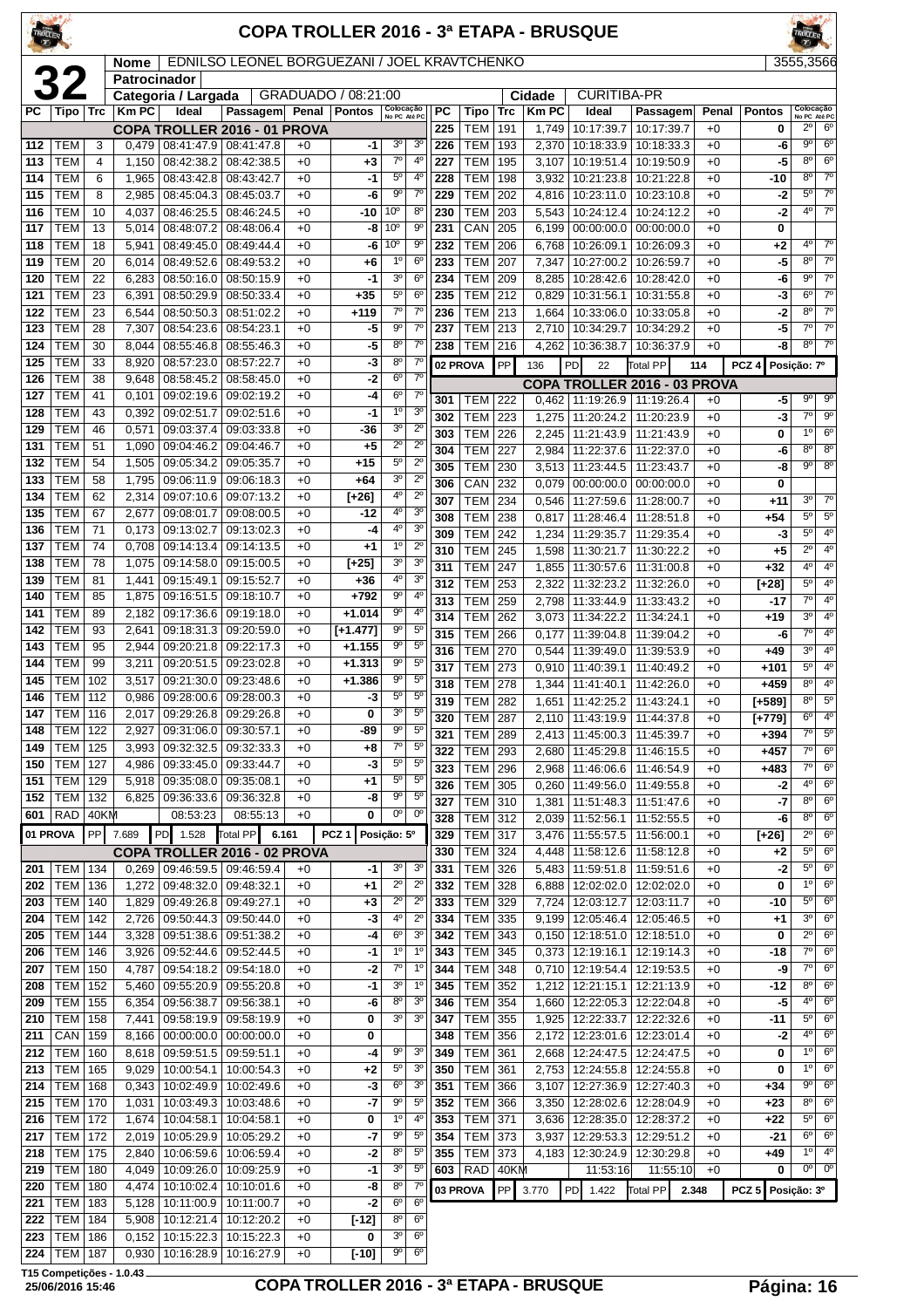| TROLLER    |                          |            |                                    |                          |                                              |              |                      |                                    |                               |            |                                  |            |                | <b>COPA TROLLER 2016 - 3ª ETAPA - BRUSQUE</b> |                                                          |              |                  |                               |                               |
|------------|--------------------------|------------|------------------------------------|--------------------------|----------------------------------------------|--------------|----------------------|------------------------------------|-------------------------------|------------|----------------------------------|------------|----------------|-----------------------------------------------|----------------------------------------------------------|--------------|------------------|-------------------------------|-------------------------------|
|            |                          |            | <b>Nome</b><br><b>Patrocinador</b> |                          | EDNILSO LEONEL BORGUEZANI / JOEL KRAVTCHENKO |              |                      |                                    |                               |            |                                  |            |                |                                               |                                                          |              |                  | 3555,3566                     |                               |
|            |                          |            |                                    | Categoria / Largada      |                                              |              | GRADUADO / 08:21:00  |                                    |                               |            |                                  |            | Cidade         | <b>CURITIBA-PR</b>                            |                                                          |              |                  |                               |                               |
| PC         | Tipo                     | Trc        | <b>Km PC</b>                       | Ideal                    | Passagem Penal                               |              | <b>Pontos</b>        | Colocação<br>No PC Até PC          |                               | PC         | Tipo                             | <b>Trc</b> | <b>KmPC</b>    | Ideal                                         | Passagem                                                 | Penal        | <b>Pontos</b>    | Colocação<br>No PC Até PC     |                               |
| 112        | <b>TEM</b>               | 3          | 0,479                              | 08:41:47.9               | COPA TROLLER 2016 - 01 PROVA<br> 08:41:47.8  |              |                      | 3 <sup>o</sup>                     | 3 <sup>0</sup>                | 225<br>226 | <b>TEM</b><br>TEM                | 191<br>193 | 1,749<br>2,370 | 10:17:39.7<br>10:18:33.9                      | 10:17:39.7<br>10:18:33.3                                 | $+0$<br>$+0$ | 0<br>-6          | 20<br>$9^{\circ}$             | $6^{\circ}$<br>$6^{\circ}$    |
| 113        | <b>TEM</b>               | 4          | 1,150                              | 08:42:38.2               | 08:42:38.5                                   | $+0$<br>$+0$ | -1<br>+3             | $7^{\circ}$                        | $4^{\circ}$                   | 227        | <b>TEM</b>                       | 195        | 3,107          | 10:19:51.4                                    | 10:19:50.9                                               | $+0$         | -5               | $8^{\circ}$                   | $6^{\circ}$                   |
| 114        | <b>TEM</b>               | 6          | 1,965                              | 08:43:42.8               | 08:43:42.7                                   | $+0$         | -1                   | $5^{\circ}$                        | $4^{\circ}$                   | 228        | <b>TEM</b>                       | 198        | 3,932          | 10:21:23.8                                    | 10:21:22.8                                               | $+0$         | -10              | $8^{\circ}$                   | $7^\circ$                     |
| 115        | TEM                      | 8          | 2,985                              | 08:45:04.3               | 08:45:03.7                                   | $+0$         | -6                   | 90                                 | $7^\circ$                     | 229        | TEM                              | 202        | 4,816          | 10:23:11.0                                    | 10:23:10.8                                               | $+0$         | $-2$             | $5^{\circ}$                   | $7^\circ$                     |
| 116        | <b>TEM</b>               | 10         | 4,037                              | 08:46:25.5               | 08:46:24.5                                   | $+0$         | -10                  | 10 <sup>o</sup>                    | $8^{\circ}$                   | 230        | <b>TEM</b>                       | 203        | 5,543          | 10:24:12.4                                    | 10:24:12.2                                               | $+0$         | $-2$             | 4 <sup>0</sup>                | $7^\circ$                     |
| 117<br>118 | <b>TEM</b><br><b>TEM</b> | 13<br>18   | 5,014<br>5,941                     | 08:48:07.2<br>08:49:45.0 | 08:48:06.4<br>08:49:44.4                     | $+0$<br>$+0$ | -8<br>-6             | 10 <sup>o</sup><br>10 <sup>o</sup> | $9^{\circ}$<br>9 <sup>o</sup> | 231<br>232 | CAN<br><b>TEM</b>                | 205<br>206 | 6,199<br>6,768 | 00:00:00.0<br>10:26:09.1                      | 00:00:00.0<br>10:26:09.3                                 | $+0$<br>$+0$ | 0<br>+2          | 4°                            | $7^\circ$                     |
| 119        | <b>TEM</b>               | 20         | 6,014                              | 08:49:52.6               | 08:49:53.2                                   | $+0$         | +6                   | $1^{\circ}$                        | 6 <sup>o</sup>                | 233        | <b>TEM</b>                       | 207        | 7,347          | 10:27:00.2                                    | 10:26:59.7                                               | $+0$         | -5               | $8^{\circ}$                   | $7^\circ$                     |
| 120        | TEM                      | 22         | 6,283                              | 08:50:16.0               | 08:50:15.9                                   | $+0$         | -1                   | 3 <sup>o</sup>                     | $6^{\circ}$                   | 234        | <b>TEM</b>                       | 209        | 8,285          | 10:28:42.6                                    | 10:28:42.0                                               | $+0$         | -6               | $9^{\circ}$                   | $7^\circ$                     |
| 121        | TEM                      | 23         | 6,391                              | 08:50:29.9               | 08:50:33.4                                   | +0           | $+35$                | $5^{\circ}$                        | 6 <sup>o</sup>                | 235        | <b>TEM</b>                       | 212        | 0,829          | 10:31:56.1                                    | 10:31:55.8                                               | $+0$         | -3               | $6^{\circ}$                   | $7^\circ$                     |
| 122        | <b>TEM</b>               | 23         | 6,544                              | 08:50:50.3               | 08:51:02.2                                   | $+0$         | $+119$               | $7^\circ$<br>$9^{\circ}$           | $7^\circ$                     | 236        | TEM                              | 213        | 1,664          | 10:33:06.0                                    | 10:33:05.8                                               | $+0$         | $-2$             | $8^{\circ}$<br>$7^\circ$      | $7^\circ$<br>$7^\circ$        |
| 123<br>124 | <b>TEM</b><br><b>TEM</b> | 28<br>30   | 7,307<br>8,044                     | 08:54:23.6<br>08:55:46.8 | 08:54:23.1<br>08:55:46.3                     | $+0$<br>$+0$ | -5<br>-5             | 80                                 | $7^\circ$<br>$7^\circ$        | 237<br>238 | <b>TEM</b><br><b>TEM</b>         | 213<br>216 | 2,710<br>4,262 | 10:34:29.7<br>10:36:38.7                      | 10:34:29.2<br>10:36:37.9                                 | $+0$<br>$+0$ | -5<br>-8         | 8°                            | $7^\circ$                     |
| 125        | TEM                      | 33         | 8,920                              | 08:57:23.0               | 08:57:22.7                                   | $+0$         | -3                   | 8 <sup>o</sup>                     | $7^\circ$                     |            | 02 PROVA                         | PP         | 136            | PD<br>22                                      | Total PP                                                 | 114          | PCZ <sub>4</sub> | Posição: 7º                   |                               |
| 126        | TEM                      | 38         | 9,648                              | 08:58:45.2               | 08:58:45.0                                   | $+0$         | -2                   | $6^{\circ}$                        | $7^\circ$                     |            |                                  |            |                |                                               | COPA TROLLER 2016 - 03 PROVA                             |              |                  |                               |                               |
| 127        | <b>TEM</b>               | 41         | 0,101                              | 09:02:19.6               | 09:02:19.2                                   | $+0$         | -4                   | $6^{\circ}$                        | $7^{\circ}$                   | 301        | TEM                              | 222        |                |                                               | $0,462$   11:19:26.9   11:19:26.4                        | $+0$         | -5               | $9^{\circ}$                   | 90                            |
| 128        | <b>TEM</b>               | 43         | 0,392                              | 09:02:51.7               | 09:02:51.6                                   | $+0$         | -1                   | 1 <sup>0</sup>                     | 3 <sup>0</sup>                | 302        | TEM                              | 223        | 1,275          | 11:20:24.2                                    | 11:20:23.9                                               | $+0$         | -3               | $7^\circ$                     | 90                            |
| 129<br>131 | <b>TEM</b><br><b>TEM</b> | 46<br>51   | 0,571<br>1,090                     | 09:03:37.4<br>09:04:46.2 | 09:03:33.8<br>09:04:46.7                     | $+0$<br>$+0$ | -36<br>$+5$          | 3 <sup>o</sup><br>$2^{\circ}$      | $2^{\circ}$<br>$2^{\circ}$    | 303        | <b>TEM</b>                       | 226        | 2,245          | 11:21:43.9                                    | 11:21:43.9                                               | $+0$         | 0                | $1^{\circ}$                   | $6^{\circ}$                   |
| 132        | TEM                      | 54         | 1,505                              | 09:05:34.2               | 09:05:35.7                                   | $+0$         | $+15$                | $5^{\circ}$                        | $2^{\circ}$                   | 304        | <b>TEM</b><br><b>TEM</b>         | 227<br>230 | 2,984          | 11:22:37.6                                    | 11:22:37.0                                               | $+0$<br>$+0$ | -6<br>-8         | $8^{\circ}$<br>$9^{\circ}$    | $8^{\circ}$<br>$8^{\circ}$    |
| 133        | TEM                      | 58         | 1,795                              | 09:06:11.9               | 09:06:18.3                                   | $+0$         | $+64$                | 3 <sup>o</sup>                     | $2^{\circ}$                   | 305<br>306 | CAN                              | 232        | 0,079          | 3,513   11:23:44.5                            | 11:23:43.7<br>$00:00:00.0$   $00:00:00.0$                | $+0$         | 0                |                               |                               |
| 134        | TEM                      | 62         | 2,314                              | 09:07:10.6               | 09:07:13.2                                   | +0           | [+26]                | 4°                                 | $\overline{2^0}$              | 307        | <b>TEM</b>                       | 234        | 0,546          | 11:27:59.6                                    | 11:28:00.7                                               | $+0$         | $+11$            | 3 <sup>o</sup>                | $7^\circ$                     |
| 135        | <b>TEM</b>               | 67         | 2,677                              | 09:08:01.7               | 09:08:00.5                                   | $+0$         | -12                  | 4 <sup>0</sup>                     | 3 <sup>o</sup>                | 308        | <b>TEM</b>                       | 238        | 0,817          | 11:28:46.4                                    | 11:28:51.8                                               | $+0$         | $+54$            | $5^{\circ}$                   | $5^{\circ}$                   |
| 136<br>137 | <b>TEM</b><br>TEM        | 71<br>74   | 0,173<br>0,708                     | 09:13:02.7<br>09:14:13.4 | 09:13:02.3                                   | $+0$<br>$+0$ | -4<br>$+1$           | 4 <sup>0</sup><br>$1^{\circ}$      | 3 <sup>o</sup><br>$2^{\circ}$ | 309        | <b>TEM</b>                       | 242        | 1,234          | 11:29:35.7                                    | 11:29:35.4                                               | $+0$         | -3               | $5^{\circ}$                   | $4^{\circ}$                   |
| 138        | TEM                      | 78         | 1,075                              | 09:14:58.0               | 09:14:13.5<br>09:15:00.5                     | $+0$         | $[+25]$              | 3 <sup>o</sup>                     | 3 <sup>o</sup>                | 310        | <b>TEM</b>                       | 245        | 1,598          | 11:30:21.7                                    | 11:30:22.2                                               | $+0$         | $+5$             | $2^{\circ}$<br>4º             | $4^{\circ}$<br>$4^{\circ}$    |
| 139        | <b>TEM</b>               | 81         | 1,441                              | 09:15:49.1               | 09:15:52.7                                   | $+0$         | +36                  | 4°                                 | 3 <sup>o</sup>                | 311<br>312 | <b>TEM</b><br><b>TEM</b>         | 247<br>253 | 1,855<br>2,322 | 11:30:57.6<br>11:32:23.2                      | 11:31:00.8<br>11:32:26.0                                 | $+0$<br>$+0$ | $+32$<br>[+28]   | $5^{\circ}$                   | $4^{\circ}$                   |
| 140        | <b>TEM</b>               | 85         | 1,875                              | 09:16:51.5               | 09:18:10.7                                   | $+0$         | $+792$               | 9 <sup>o</sup>                     | 4 <sup>0</sup>                | 313        | <b>TEM</b>                       | 259        | 2,798          | 11:33:44.9                                    | 11:33:43.2                                               | $+0$         | -17              | $7^\circ$                     | $4^{\circ}$                   |
| 141        | <b>TEM</b>               | 89         | 2,182                              | 09:17:36.6               | 09:19:18.0                                   | $+0$         | $+1.014$             | $9^{\circ}$                        | $4^{\circ}$                   | 314        | <b>TEM</b>                       | 262        | 3,073          | 11:34:22.2                                    | 11:34:24.1                                               | $+0$         | +19              | 3 <sup>0</sup>                | $4^{\circ}$                   |
| 142        | <b>TEM</b>               | 93         | 2,641                              | 09:18:31.3               | 09:20:59.0                                   | $+0$         | $[-1.477]$           | $9^{\circ}$<br>$9^{\circ}$         | 5 <sup>0</sup><br>$5^{\circ}$ | 315        | <b>TEM</b>                       | 266        | 0,177          | 11:39:04.8                                    | 11:39:04.2                                               | $+0$         | -6               | $7^\circ$                     | $4^{\circ}$                   |
| 143<br>144 | TEM<br><b>TEM</b>        | 95<br>99   | 2,944<br>3,211                     | 09:20:21.8<br>09:20:51.5 | 09:22:17.3<br>09:23:02.8                     | $+0$<br>$+0$ | $+1.155$<br>$+1.313$ | $9^{\circ}$                        | 5 <sup>0</sup>                | 316        | TEM                              | 270        | 0,544          | 11:39:49.0                                    | 11:39:53.9                                               | $+0$         | $+49$            | 3 <sup>o</sup><br>$5^{\circ}$ | $4^{\circ}$<br>4 <sup>0</sup> |
| 145        | <b>TEM</b>               | 102        | 3,517                              | 09:21:30.0               | 09:23:48.6                                   | $+0$         | $+1.386$             | $9^{\circ}$                        | $5^{\circ}$                   | 317<br>318 | <b>TEM</b><br><b>TEM</b>         | 273<br>278 | 0,910<br>1,344 | 11:40:39.1<br>11:41:40.1                      | 11:40:49.2<br>11:42:26.0                                 | $+0$<br>$+0$ | $+101$<br>$+459$ | $8^{\circ}$                   | $4^{\circ}$                   |
| 146        | TEM                      | 112        | 0,986                              | 09:28:00.6               | 09:28:00.3                                   | $+0$         | -3                   | $5^{\circ}$                        | $5^{\circ}$                   | 319        | <b>TEM 282</b>                   |            |                |                                               | 1,651   11:42:25.2   11:43:24.1                          | $+0$         | [+589]           | $8^{\circ}$                   | $5^{\circ}$                   |
| 147        | <b>TEM   116</b>         |            | 2,017                              | 09:29:26.8 09:29:26.8    |                                              | +0           | 0                    | 3 <sup>o</sup>                     | $5^{\circ}$                   | 320        | <b>TEM 287</b>                   |            |                |                                               | 2,110   11:43:19.9   11:44:37.8                          | $+0$         | $[-779]$         | $6^{\circ}$                   | 4 <sup>0</sup>                |
| 148        | TEM                      | 122        | 2,927                              | 09:31:06.0               | 09:30:57.1                                   | +0           | -89                  | $9^{\circ}$                        | $5^{\circ}$                   | 321        | <b>TEM 289</b>                   |            |                | 2,413 11:45:00.3                              | 11:45:39.7                                               | $+0$         | $+394$           | $7^\circ$                     | $5^{\circ}$                   |
| 149<br>150 | TEM<br>TEM               | 125<br>127 | 3,993<br>4,986                     | 09:32:32.5<br>09:33:45.0 | 09:32:33.3<br>09:33:44.7                     | +0<br>$+0$   | +8<br>-3             | $7^\circ$<br>$5^{\circ}$           | $5^{\circ}$<br>$5^{\circ}$    | 322        | <b>TEM 293</b>                   |            |                | 2,680   11:45:29.8                            | 11:46:15.5                                               | $+0$         | $+457$           | $7^{\circ}$                   | $6^{\circ}$                   |
| 151        | <b>TEM</b>               | 129        | 5,918                              | 09:35:08.0               | 09:35:08.1                                   | $+0$         | +1                   | $5^{\rm o}$                        | $5^{\circ}$                   | 323<br>326 | <b>TEM 296</b><br><b>TEM</b>     | 305        | 0,260          | 2,968   11:46:06.6  <br>11:49:56.0            | 11:46:54.9<br>11:49:55.8                                 | $+0$<br>$+0$ | $+483$<br>-2     | $7^\circ$<br>4°               | 6 <sup>o</sup><br>$6^{\circ}$ |
| 152        | TEM                      | 132        | 6,825                              | 09:36:33.6               | 09:36:32.8                                   | $+0$         | -8                   | $9^{\circ}$                        | $5^{\circ}$                   | 327        | <b>TEM 310</b>                   |            | 1,381          |                                               | 11:51:48.3   11:51:47.6                                  | $+0$         | -7               | $8^{\circ}$                   | $6^{\circ}$                   |
| 601        | RAD                      | 40KM       |                                    | 08:53:23                 | 08:55:13                                     | $+0$         | 0                    | $0^{\circ}$                        | $0^{\circ}$                   | 328        | <b>TEM 312</b>                   |            | 2,039          |                                               | 11:52:56.1 11:52:55.5                                    | $+0$         | -6               | $8^{\circ}$                   | $6^{\circ}$                   |
| 01 PROVA   |                          | PP         | 7.689                              | PD<br>1.528              | Total PP<br>6.161                            |              | PCZ <sub>1</sub>     | Posição: 5º                        |                               | 329        | <b>TEM 317</b>                   |            | 3,476          | 11:55:57.5                                    | 11:56:00.1                                               | $+0$         | $[+26]$          | $2^{\circ}$                   | $6^{\circ}$                   |
|            |                          |            |                                    |                          | COPA TROLLER 2016 - 02 PROVA                 |              |                      |                                    |                               | 330        | <b>TEM 324</b>                   |            | 4,448          | 11:58:12.6                                    | 11:58:12.8                                               | $+0$         | +2               | $5^{\circ}$                   | $6^{\circ}$                   |
| <b>201</b> | TEM                      | 134        |                                    | $0,269$ 09:46:59.5       | 09:46:59.4                                   | +0           | -1                   | 3 <sup>0</sup><br>$2^{\circ}$      | 3 <sup>o</sup>                | 331        | <b>TEM 326</b>                   |            |                | 5,483   11:59:51.8                            | 11:59:51.6                                               | $+0$         | -2               | $5^{\circ}$<br>$1^{\circ}$    | $6^{\circ}$<br>$6^{\circ}$    |
| 202<br>203 | TEM   136<br>TEM         | 140        | 1,272<br>1,829                     | 09:48:32.0<br>09:49:26.8 | 09:48:32.1<br>09:49:27.1                     | $+0$<br>$+0$ | $+1$<br>$+3$         | $\overline{2^{\circ}}$             | $2^{\circ}$<br>$2^{\circ}$    | 332<br>333 | <b>TEM 328</b><br><b>TEM 329</b> |            | 7,724          |                                               | 6,888   12:02:02.0   12:02:02.0<br>12:03:12.7 12:03:11.7 | $+0$<br>$+0$ | 0<br>-10         | $5^{\circ}$                   | $6^{\circ}$                   |
| 204        | TEM                      | 142        | 2,726                              |                          | 09:50:44.3 09:50:44.0                        | $+0$         | $-3$                 | 4 <sup>0</sup>                     | $2^{\circ}$                   | 334        | TEM 335                          |            |                |                                               | 9,199   12:05:46.4   12:05:46.5                          | $+0$         | $+1$             | $3^{\circ}$                   | $6^{\circ}$                   |
| 205        | <b>TEM</b>               | 144        | 3,328                              | 09:51:38.6               | 09:51:38.2                                   | $+0$         | -4                   | 6 <sup>o</sup>                     | 3 <sup>o</sup>                | 342        | <b>TEM 343</b>                   |            |                |                                               | $0,150$   12:18:51.0   12:18:51.0                        | $+0$         | 0                | $2^{\circ}$                   | $6^{\circ}$                   |
| 206        | <b>TEM</b>               | 146        | 3,926                              | 09:52:44.6               | 09:52:44.5                                   | +0           | $-1$                 | 1 <sup>0</sup>                     | $1^{\circ}$                   | 343        | <b>TEM 345</b>                   |            | 0,373          |                                               | 12:19:16.1   12:19:14.3                                  | $+0$         | -18              | $7^\circ$                     | $6^{\circ}$                   |
| 207        | TEM                      | 150        | 4,787                              | 09:54:18.2               | 09:54:18.0                                   | $+0$         | -2                   | $7^\circ$                          | $1^{\circ}$                   | 344        | TEM 348                          |            |                |                                               | 0,710   12:19:54.4   12:19:53.5                          | $+0$         | -9               | $7^\circ$                     | $6^{\circ}$                   |
| 208<br>209 | TEM<br>TEM               | 152<br>155 | 5,460<br>6,354                     | 09:55:20.9<br>09:56:38.7 | 09:55:20.8<br>09:56:38.1                     | $+0$<br>$+0$ | -1<br>-6             | $3o$<br>$8^{\circ}$                | $1^{\circ}$<br>3 <sup>o</sup> | 345<br>346 | TEM 352<br><b>TEM 354</b>        |            |                | $1,212$   12:21:15.1                          | 12:21:13.9<br>1,660   12:22:05.3   12:22:04.8            | $+0$<br>$+0$ | -12<br>$-5$      | $8^{\circ}$<br>$4^{\circ}$    | $6^{\circ}$<br>6 <sup>o</sup> |
| 210        | <b>TEM</b>               | 158        | 7,441                              | 09:58:19.9               | 09:58:19.9                                   | $+0$         | 0                    | 3 <sup>o</sup>                     | 3 <sup>o</sup>                | 347        | <b>TEM</b>                       | 355        | 1,925          | 12:22:33.7                                    | 12:22:32.6                                               | $+0$         | -11              | $5^{\circ}$                   | $6^{\circ}$                   |
| 211        | <b>CAN</b>               | 159        | 8,166                              | 00:00:00.0               | 00:00:00.0                                   | +0           | 0                    |                                    |                               | 348        | TEM 356                          |            | 2,172          |                                               | 12:23:01.6   12:23:01.4                                  | $+0$         | $-2$             | $4^{\circ}$                   | $6^{\circ}$                   |
| 212        | TEM                      | 160        |                                    | 8,618 09:59:51.5         | 09:59:51.1                                   | $+0$         | -4                   | $9^{\circ}$                        | 3 <sup>o</sup>                | 349        | TEM 361                          |            |                |                                               | 2,668   12:24:47.5   12:24:47.5                          | $+0$         | 0                | $1^{\circ}$                   | $6^{\circ}$                   |
| 213        | <b>TEM</b>               | 165        | 9,029                              | 10:00:54.1               | 10:00:54.3                                   | $+0$         | $+2$                 | $5^{\circ}$                        | 3 <sup>o</sup>                | 350        | TEM 361                          |            | 2,753          | 12:24:55.8                                    | 12:24:55.8                                               | $+0$         | 0                | $1^{\circ}$                   | $6^{\circ}$                   |
| 214        | <b>TEM</b>               | 168        | 0,343                              | 10:02:49.9               | 10:02:49.6                                   | $+0$         | -3                   | 6 <sup>o</sup>                     | 3 <sup>o</sup>                | 351        | TEM 366                          |            | 3,107          |                                               | 12:27:36.9   12:27:40.3                                  | $+0$         | +34              | g<br>$8^{\circ}$              | $6^{\circ}$<br>$6^{\circ}$    |
| 215<br>216 | <b>TEM</b><br>TEM        | 170<br>172 | 1,031<br>1,674                     | 10:03:49.3<br>10:04:58.1 | 10:03:48.6<br>10:04:58.1                     | +0<br>$+0$   | -7<br>0              | 90<br>$1^{\circ}$                  | $5^{\circ}$<br>$4^{\circ}$    | 352<br>353 | <b>TEM</b><br>TEM 371            | 366        | 3,350<br>3,636 | 12:28:02.6<br>12:28:35.0                      | 12:28:04.9<br>12:28:37.2                                 | $+0$<br>$+0$ | +23<br>+22       | $5^{\circ}$                   | $6^{\circ}$                   |
| 217        | TEM                      | 172        | 2,019                              | 10:05:29.9               | 10:05:29.2                                   | $+0$         | $-7$                 | $9^{\circ}$                        | $5^{\circ}$                   | 354        | TEM 373                          |            | 3,937          |                                               | 12:29:53.3   12:29:51.2                                  | $+0$         | $-21$            | $6^{\circ}$                   | $6^{\circ}$                   |
| 218        | TEM                      | 175        | 2,840                              | 10:06:59.6               | 10:06:59.4                                   | $+0$         | -2                   | 8 <sup>o</sup>                     | $5^{\circ}$                   | 355        | TEM 373                          |            |                |                                               | 4,183   12:30:24.9   12:30:29.8                          | $+0$         | +49              | $1^{\circ}$                   | $4^{\circ}$                   |
| 219        | <b>TEM</b>               | 180        | 4,049                              |                          | 10:09:26.0   10:09:25.9                      | $+0$         | $-1$                 | 3 <sup>o</sup>                     | $5^{\circ}$                   |            | 603 RAD 40KM                     |            |                | 11:53:16                                      | 11:55:10                                                 | $+0$         | 0                |                               | $00$ 0 <sup>o</sup>           |
| 220        | <b>TEM</b>               | 180        | 4,474                              | 10:10:02.4               | 10:10:01.6                                   | +0           | -8                   | $8^{\circ}$<br>6 <sup>o</sup>      | $7^\circ$                     |            | 03 PROVA                         | PP         | 3.770          | PD 1.422                                      | <b>Total PP</b>                                          | 2.348        | PCZ <sub>5</sub> | Posição: 3º                   |                               |
| 221        | TEM   183                |            |                                    |                          | $5,128$   10:11:00.9   10:11:00.7            | $+0$         | -2                   |                                    | 6 <sup>o</sup>                |            |                                  |            |                |                                               |                                                          |              |                  |                               |                               |

 TEM 184 5,908 10:12:21.4 10:12:20.2 +0 **[-12]** 8º 6º TEM 186 0,152 10:15:22.3 10:15:22.3 +0 **0** 3º 6º  $\boxed{224}$  TEM 187 0,930 10:16:28.9 10:16:27.9 +0 **[-10]**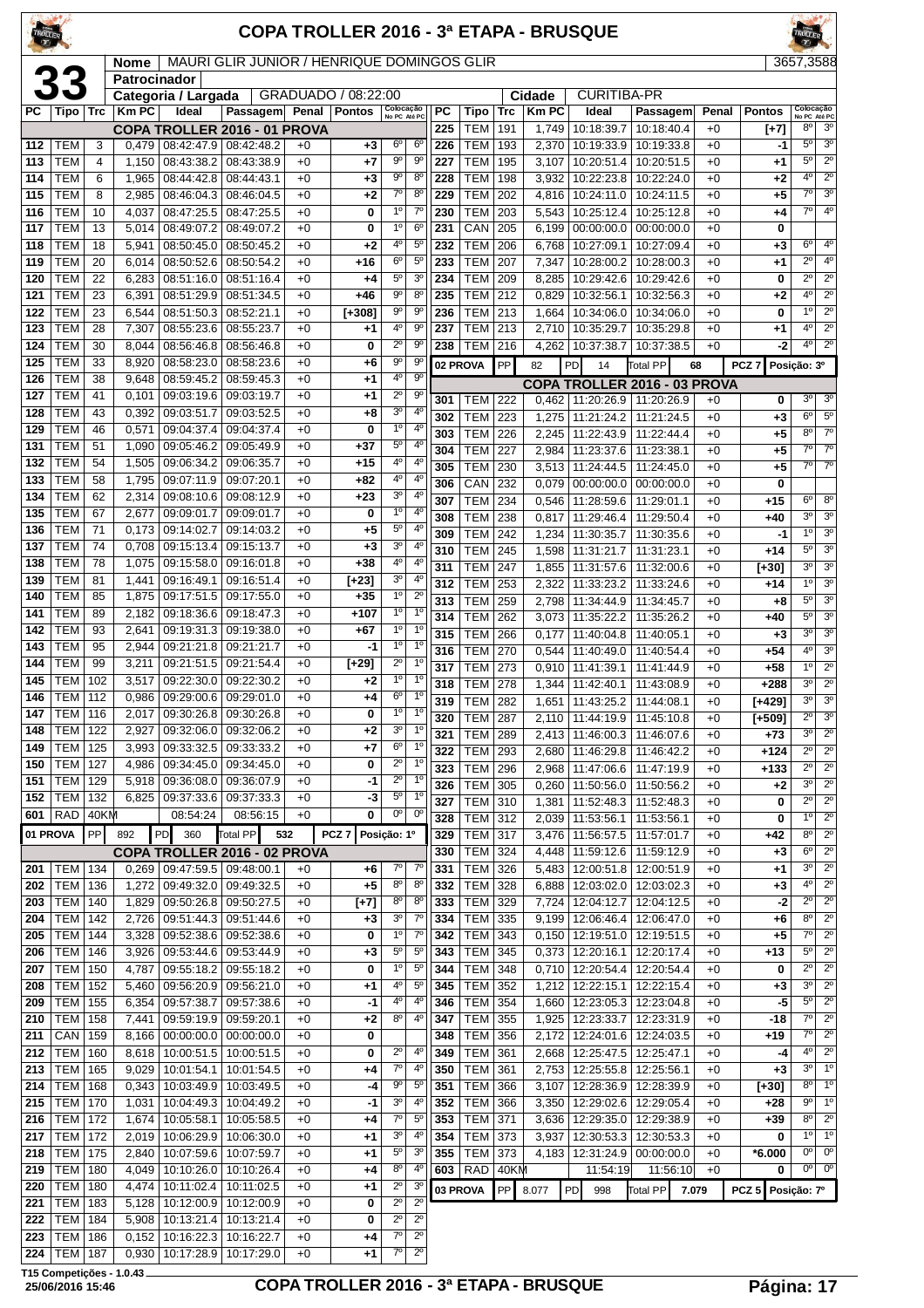| TROLLER    |                                  |          |                             |                             |                                                                    |              |                     |                               |                                           |            |                          |            |                | <b>COPA TROLLER 2016 - 3ª ETAPA - BRUSQUE</b> |                          |              |                        |                               |                                       |
|------------|----------------------------------|----------|-----------------------------|-----------------------------|--------------------------------------------------------------------|--------------|---------------------|-------------------------------|-------------------------------------------|------------|--------------------------|------------|----------------|-----------------------------------------------|--------------------------|--------------|------------------------|-------------------------------|---------------------------------------|
|            |                                  |          | <b>Nome</b><br>Patrocinador |                             | MAURI GLIR JUNIOR / HENRIQUE DOMINGOS GLIR                         |              |                     |                               |                                           |            |                          |            |                |                                               |                          |              |                        |                               | 3657,3588                             |
|            | <b>33</b>                        |          |                             | Categoria / Largada         |                                                                    |              | GRADUADO / 08:22:00 |                               |                                           |            |                          |            | Cidade         | <b>CURITIBA-PR</b>                            |                          |              |                        |                               |                                       |
| РC         |                                  |          | Tipo   Trc   Km PC          | Ideal                       | Passagem Penal                                                     |              | <b>Pontos</b>       | Colocação<br>No PC Até PC     |                                           | PC         | <b>Tipo</b>              | <b>Trc</b> | <b>KmPC</b>    | Ideal                                         | Passagem                 | Penal        | <b>Pontos</b>          |                               | Colocação<br>No PC Até PC             |
| 112        | TEM                              | 3        | 0,479                       |                             | COPA TROLLER 2016 - 01 PROVA<br>08:42:47.9 08:42:48.2              | $+0$         | $+3$                | $6^{\circ}$                   | 6 <sup>o</sup>                            | 225<br>226 | <b>TEM</b><br><b>TEM</b> | 191<br>193 | 1,749<br>2,370 | 10:18:39.7<br>10:19:33.9                      | 10:18:40.4<br>10:19:33.8 | $+0$<br>$+0$ | $[+7]$<br>$-1$         | $8^{\circ}$<br>$5^{\circ}$    | 3 <sup>o</sup><br>3 <sup>o</sup>      |
| 113        | <b>TEM</b>                       | 4        | 1,150                       | 08:43:38.2                  | 08:43:38.9                                                         | $+0$         | $+7$                | 90                            | $9^{\circ}$                               | 227        | <b>TEM</b>               | 195        | 3,107          | 10:20:51.4                                    | 10:20:51.5               | $+0$         | +1                     | $5^{\circ}$                   | $2^{\circ}$                           |
| 114        | <b>TEM</b>                       | 6        | 1,965                       | 08:44:42.8                  | 08:44:43.1                                                         | $+0$         | $+3$                | $9^{\circ}$                   | $8^{\circ}$                               | 228        | <b>TEM</b>               | 198        | 3,932          | 10:22:23.8                                    | 10:22:24.0               | $+0$         | +2                     | 4 <sup>0</sup>                | $2^{\circ}$                           |
| 115        | <b>TEM</b>                       | 8        | 2,985                       | 08:46:04.3                  | 08:46:04.5                                                         | $+0$         | $+2$                | $\overline{7}^{\circ}$        | 8 <sup>o</sup>                            | 229        | <b>TEM</b>               | 202        | 4,816          | 10:24:11.0                                    | 10:24:11.5               | $+0$         | $+5$                   | $7^{\circ}$                   | 3 <sup>0</sup>                        |
| 116<br>117 | <b>TEM</b><br><b>TEM</b>         | 10       | 4,037                       | 08:47:25.5                  | 08:47:25.5                                                         | $+0$         | 0                   | $1^{\circ}$<br>$1^{\circ}$    | $7^\circ$<br>$6^{\circ}$                  | 230<br>231 | <b>TEM</b>               | 203        | 5,543          | 10:25:12.4                                    | 10:25:12.8<br>00:00:00.0 | $+0$<br>$+0$ | +4                     | $7^{\circ}$                   | 4 <sup>0</sup>                        |
| 118        | <b>TEM</b>                       | 13<br>18 | 5,014<br>5,941              | 08:49:07.2<br>08:50:45.0    | 08:49:07.2<br>08:50:45.2                                           | $+0$<br>$+0$ | 0<br>$+2$           | $4^{\circ}$                   | $5^{\circ}$                               | 232        | CAN<br><b>TEM</b>        | 205<br>206 | 6,199<br>6,768 | 00:00:00.0<br>10:27:09.1                      | 10:27:09.4               | $+0$         | 0<br>+3                | $6^{\circ}$                   | $4^{\circ}$                           |
| 119        | <b>TEM</b>                       | 20       | 6,014                       | 08:50:52.6                  | 08:50:54.2                                                         | $+0$         | $+16$               | $6^{\circ}$                   | $\overline{5}^{\circ}$                    | 233        | <b>TEM</b>               | 207        | 7,347          | 10:28:00.2                                    | 10:28:00.3               | $+0$         | +1                     | $2^{\circ}$                   | 4°                                    |
| 120        | <b>TEM</b>                       | 22       | 6,283                       | 08:51:16.0                  | 08:51:16.4                                                         | $+0$         | +4                  | $5^{\circ}$                   | 3 <sup>o</sup>                            | 234        | <b>TEM</b>               | 209        | 8,285          | 10:29:42.6                                    | 10:29:42.6               | $+0$         | 0                      | $2^{\circ}$                   | $2^{\circ}$                           |
| 121        | <b>TEM</b>                       | 23       | 6,391                       | 08:51:29.9                  | 08:51:34.5                                                         | $+0$         | $+46$               | $9^{\circ}$                   | $\overline{8^0}$                          | 235        | <b>TEM</b>               | 212        | 0,829          | 10:32:56.1                                    | 10:32:56.3               | $+0$         | +2                     | 4 <sup>0</sup>                | $\overline{2^0}$                      |
| 122<br>123 | <b>TEM</b><br><b>TEM</b>         | 23<br>28 | 6,544<br>7,307              | 08:51:50.3<br>08:55:23.6    | 08:52:21.1<br>08:55:23.7                                           | $+0$<br>$+0$ | $[+308]$<br>$+1$    | 90<br>$4^{\circ}$             | 90<br>$9^{\circ}$                         | 236<br>237 | <b>TEM</b><br><b>TEM</b> | 213<br>213 | 1,664<br>2,710 | 10:34:06.0<br>10:35:29.7                      | 10:34:06.0<br>10:35:29.8 | $+0$<br>$+0$ | 0<br>+1                | $1^{\circ}$<br>$4^{\circ}$    | $2^{\circ}$<br>$\overline{2^{\circ}}$ |
| 124        | <b>TEM</b>                       | 30       | 8,044                       | 08:56:46.8                  | 08:56:46.8                                                         | $+0$         | 0                   | $2^{\circ}$                   | $9^{\circ}$                               | 238        | <b>TEM</b>               | 216        | 4,262          | 10:37:38.7                                    | 10:37:38.5               | $+0$         | $-2$                   | 4º                            | $2^{\circ}$                           |
| 125        | <b>TEM</b>                       | 33       | 8,920                       | 08:58:23.0                  | 08:58:23.6                                                         | $+0$         | +6                  | $9^{\circ}$                   | $9^{\circ}$                               |            | 02 PROVA                 | <b>PP</b>  | 82             | PD<br>14                                      | <b>Total PP</b>          | 68           | PCZ <sub>7</sub>       | Posicão: 3º                   |                                       |
| 126        | <b>TEM</b>                       | 38       | 9,648                       | 08:59:45.2                  | 08:59:45.3                                                         | $+0$         | $+1$                | 4 <sup>0</sup>                | $9^{\circ}$                               |            |                          |            |                | COPA TROLLER 2016 - 03 PROVA                  |                          |              |                        |                               |                                       |
| 127        | <b>TEM</b>                       | 41       | 0,101                       | 09:03:19.6                  | 09:03:19.7                                                         | $+0$         | $+1$                | $2^{\circ}$                   | $9^{\circ}$                               | 301        | <b>TEM</b>               | 222        | 0,462          | 11:20:26.9                                    | 11:20:26.9               | $+0$         | 0                      | $3^{\circ}$                   | 3 <sup>o</sup>                        |
| 128<br>129 | <b>TEM</b><br><b>TEM</b>         | 43<br>46 | 0,392<br>0,571              | 09:03:51.7<br>09:04:37.4    | 09:03:52.5<br>09:04:37.4                                           | $+0$<br>$+0$ | +8<br>0             | 3 <sup>0</sup><br>$1^{\circ}$ | $4^{\circ}$<br>$4^{\circ}$                | 302        | <b>TEM</b>               | 223        | 1,275          | 11:21:24.2                                    | 11:21:24.5               | $+0$         | $+3$                   | $6^{\circ}$                   | $5^{\circ}$                           |
| 131        | <b>TEM</b>                       | 51       | 1,090                       | 09:05:46.2                  | 09:05:49.9                                                         | $+0$         | $+37$               | $5^{\rm o}$                   | $4^{\circ}$                               | 303<br>304 | <b>TEM</b><br><b>TEM</b> | 226<br>227 | 2,245<br>2,984 | 11:22:43.9<br>11:23:37.6                      | 11:22:44.4<br>11:23:38.1 | $+0$<br>$+0$ | +5<br>+5               | $8^{\circ}$<br>$7^\circ$      | 7 <sup>0</sup><br>$7^\circ$           |
| 132        | TEM                              | 54       | 1,505                       | 09:06:34.2                  | 09:06:35.7                                                         | $+0$         | $+15$               | 4 <sup>0</sup>                | 4 <sup>0</sup>                            | 305        | <b>TEM</b>               | 230        |                | $3,513$   $11:24:44.5$                        | 11:24:45.0               | $+0$         | $+5$                   | $7^\circ$                     | $7^\circ$                             |
| 133        | <b>TEM</b>                       | 58       | 1,795                       | 09:07:11.9                  | 09:07:20.1                                                         | $+0$         | $+82$               | 4º                            | $4^{\circ}$                               | 306        | CAN                      | 232        | 0,079          | 00:00:00.0                                    | 00:00:00.0               | $+0$         | $\bf{0}$               |                               |                                       |
| 134        | <b>TEM</b>                       | 62       | 2,314                       | 09:08:10.6                  | 09:08:12.9                                                         | $+0$         | $+23$               | $3^{\circ}$                   | 4 <sup>0</sup>                            | 307        | <b>TEM</b>               | 234        | 0,546          | 11:28:59.6                                    | 11:29:01.1               | $+0$         | $+15$                  | $6^{\circ}$                   | $8^{\circ}$                           |
| 135        | <b>TEM</b><br><b>TEM</b>         | 67<br>71 | 2,677<br>0,173              | 09:09:01.7<br>09:14:02.7    | 09:09:01.7<br>09:14:03.2                                           | $+0$<br>$+0$ | 0                   | $1^{\circ}$<br>$5^{\circ}$    | $4^{\circ}$<br>$4^{\circ}$                | 308        | <b>TEM</b>               | 238        | 0,817          | 11:29:46.4                                    | 11:29:50.4               | $+0$         | $+40$                  | 3 <sup>o</sup>                | 3 <sup>o</sup>                        |
| 136<br>137 | <b>TEM</b>                       | 74       | 0,708                       | 09:15:13.4                  | 09:15:13.7                                                         | $+0$         | $+5$<br>$+3$        | 3 <sup>o</sup>                | 4 <sup>0</sup>                            | 309        | <b>TEM</b>               | 242        | 1,234          | 11:30:35.7                                    | 11:30:35.6               | $+0$         | $-1$                   | $1^{\circ}$<br>$5^{\circ}$    | 3 <sup>0</sup><br>3 <sup>o</sup>      |
| 138        | <b>TEM</b>                       | 78       | 1,075                       | 09:15:58.0                  | 09:16:01.8                                                         | $+0$         | $+38$               | 4º                            | $4^{\circ}$                               | 310<br>311 | <b>TEM</b><br><b>TEM</b> | 245<br>247 | 1,598<br>1,855 | 11:31:21.7<br>11:31:57.6                      | 11:31:23.1<br>11:32:00.6 | $+0$<br>$+0$ | $+14$<br>$[+30]$       | 3 <sup>0</sup>                | 3 <sup>o</sup>                        |
| 139        | <b>TEM</b>                       | 81       | 1,441                       | 09:16:49.1                  | 09:16:51.4                                                         | $+0$         | $[-23]$             | $3^{\circ}$                   | $4^{\circ}$                               | 312        | <b>TEM</b>               | 253        | 2,322          | 11:33:23.2                                    | 11:33:24.6               | $+0$         | $+14$                  | $\overline{1^{\circ}}$        | 3 <sup>o</sup>                        |
| 140        | <b>TEM</b>                       | 85       | 1,875                       | 09:17:51.5                  | 09:17:55.0                                                         | $+0$         | $+35$               | 1°                            | $2^{\circ}$                               | 313        | <b>TEM</b>               | 259        | 2,798          | 11:34:44.9                                    | 11:34:45.7               | $+0$         | $+8$                   | $5^{\circ}$                   | 3 <sup>0</sup>                        |
| 141        | <b>TEM</b>                       | 89       | 2.182                       | 09:18:36.6                  | 09:18:47.3                                                         | $+0$         | $+107$              | $1^{\circ}$                   | $1^{\circ}$                               | 314        | <b>TEM</b>               | 262        |                | 3,073 11:35:22.2                              | 11:35:26.2               | $+0$         | +40                    | $5^{\circ}$                   | 3 <sup>0</sup>                        |
| 142        | TEM                              | 93       | 2,641                       | 09:19:31.3                  | 09:19:38.0                                                         | $+0$         | +67                 | $1^{\circ}$<br>$1^{\circ}$    | $1^{\circ}$<br>1 <sup>0</sup>             | 315        | <b>TEM</b>               | 266        | 0,177          | 11:40:04.8                                    | 11:40:05.1               | $+0$         | $+3$                   | 3 <sup>o</sup>                | 3 <sup>0</sup>                        |
| 143<br>144 | <b>TEM</b><br><b>TEM</b>         | 95<br>99 | 2,944<br>3,211              | 09:21:21.8<br>09:21:51.5    | 09:21:21.7<br>09:21:54.4                                           | $+0$<br>$+0$ | -1<br>$[-29]$       | $2^{\circ}$                   | 1 <sup>0</sup>                            | 316        | <b>TEM</b>               | 270        | 0,544          | 11:40:49.0                                    | 11:40:54.4               | $+0$         | $+54$                  | $4^{\circ}$                   | 3 <sup>o</sup>                        |
| 145        | <b>TEM</b>                       | 102      | 3.517                       | 09:22:30.0                  | 09:22:30.2                                                         | $+0$         | $+2$                | $1^{\circ}$                   | $1^{\circ}$                               | 317<br>318 | <b>TEM</b><br><b>TEM</b> | 273<br>278 | 0,910<br>1,344 | 11:41:39.1<br>11:42:40.1                      | 11:41:44.9<br>11:43:08.9 | $+0$<br>$+0$ | $+58$<br>+288          | $1^{\circ}$<br>$3^{\circ}$    | $2^{\circ}$<br>$2^{\circ}$            |
| 146        | <b>TEM</b>                       | 112      | 0.986                       | 09:29:00.6                  | 09:29:01.0                                                         | $+0$         | $+4$                | $6^{\circ}$                   | $1^{\circ}$                               | 319        | <b>TEM 282</b>           |            |                | 1,651   11:43:25.2                            | 11:44:08.1               | $+0$         | [+429]                 | $3^{\circ}$                   | 3 <sup>o</sup>                        |
| 147        | TEM   116                        |          |                             |                             | 2,017 09:30:26.8 09:30:26.8                                        | $+0$         | 0                   | $1^{\circ}$                   | $1^{\circ}$                               | 320        | <b>TEM 287</b>           |            |                | 2,110   11:44:19.9   11:45:10.8               |                          | $+0$         | $[-509]$               | $2^{\circ}$                   | 3 <sup>o</sup>                        |
| 148        | TEM                              | 122      | 2,927                       | 09:32:06.0                  | 09:32:06.2                                                         | $+0$         | $+2$                | $3^{\circ}$                   | $1^{\circ}$                               | 321        | <b>TEM</b>               | 289        | 2,413          | 11:46:00.3                                    | 11:46:07.6               | +0           | $+73$                  | $3^{\circ}$                   | $\overline{2^{\circ}}$                |
| 149<br>150 | <b>TEM 125</b><br><b>TEM 127</b> |          | 4,986                       |                             | 3,993   09:33:32.5   09:33:33.2<br>09:34:45.0 09:34:45.0           | $+0$<br>$+0$ | $+7$<br>0           | $2^{\circ}$                   | $6^{\circ}$ 1 <sup>0</sup><br>$1^{\circ}$ | 322        | <b>TEM</b>               | 293        |                | 2,680 11:46:29.8                              | 11:46:42.2               | $+0$         | $+124$                 | $2^{\circ}$                   | $2^{\circ}$                           |
| 151        | <b>TEM 129</b>                   |          | 5,918                       | 09:36:08.0                  | 09:36:07.9                                                         | $+0$         | -1                  | $2^{\circ}$                   | $1^{\circ}$                               | 323        | <b>TEM</b>               | 296        | 2,968          | 11:47:06.6                                    | 11:47:19.9               | $+0$         | $+133$                 | $2^{\circ}$<br>3 <sup>0</sup> | $2^{\circ}$<br>$2^{\circ}$            |
| 152        | <b>TEM</b>                       | 132      | 6,825                       | 09:37:33.6                  | 09:37:33.3                                                         | $+0$         | -3                  | $5^{\circ}$                   | $1^{\circ}$                               | 326<br>327 | <b>TEM</b><br><b>TEM</b> | 305<br>310 | 1,381          | $0,260$   11:50:56.0<br>11:52:48.3            | 11:50:56.2<br>11:52:48.3 | $+0$<br>$+0$ | $+2$<br>0              | $2^{\circ}$                   | $\overline{2^{\circ}}$                |
|            | 601   RAD                        | 40KM     |                             | 08:54:24                    | 08:56:15                                                           | $+0$         | 0                   |                               | $0^{\circ}$ 0°                            | 328        | <b>TEM 312</b>           |            | 2,039          | 11:53:56.1                                    | 11:53:56.1               | $+0$         | 0                      | 1°                            | $2^{\circ}$                           |
| 01 PROVA   |                                  | PP       | 892                         | PD<br>360                   | Total PP                                                           | 532          | PCZ <sub>7</sub>    | Posição: 1º                   |                                           | 329        | <b>TEM</b>               | 317        |                | 3,476   11:56:57.5                            | 11:57:01.7               | $+0$         | +42                    | $8^{\circ}$                   | $2^{\circ}$                           |
|            |                                  |          |                             |                             | COPA TROLLER 2016 - 02 PROVA                                       |              |                     |                               |                                           | 330        | <b>TEM</b>               | 324        | 4,448          | 11:59:12.6                                    | 11:59:12.9               | $+0$         | $+3$                   | $6^{\circ}$                   | $2^{\circ}$                           |
| 201        | TEM   134                        |          |                             |                             | $0,269$   09:47:59.5   09:48:00.1                                  | $+0$         | +6                  |                               | $7°$ 7°<br>$8^{\circ}$ 8°                 | 331        | TEM 326                  |            |                | 5,483   12:00:51.8   12:00:51.9               |                          | $+0$         | $+1$                   | $3^{\circ}$<br>$4^{\circ}$    | $2^{\circ}$<br>$2^{\circ}$            |
| 202<br>203 | <b>TEM 136</b><br><b>TEM 140</b> |          | 1,829                       | 1,272 09:49:32.0 09:49:32.5 | 09:50:26.8 09:50:27.5                                              | $+0$<br>$+0$ | $+5$<br>$[+7]$      | $8^{\circ}$                   | $8^{\circ}$                               | 332<br>333 | <b>TEM</b><br><b>TEM</b> | 328<br>329 | 7,724          | 6,888 12:03:02.0<br>12:04:12.7                | 12:03:02.3<br>12:04:12.5 | $+0$<br>$+0$ | +3<br>$-2$             | $2^{\circ}$                   | $2^{\circ}$                           |
| 204        | <b>TEM</b>                       | 142      | 2,726                       |                             | 09:51:44.3 09:51:44.6                                              | $+0$         | $+3$                | $3^{\circ}$                   | $7^\circ$                                 | 334        | <b>TEM</b>               | 335        |                | 9,199   12:06:46.4                            | 12:06:47.0               | $+0$         | +6                     | $8^{\circ}$                   | $2^{\circ}$                           |
| 205        | <b>TEM</b>                       | 144      | 3,328                       | 09:52:38.6                  | 09:52:38.6                                                         | $+0$         | 0                   | $1^{\circ}$                   | $7^{\circ}$                               | 342        | <b>TEM</b>               | 343        |                | $0,150$   12:19:51.0                          | 12:19:51.5               | $+0$         | +5                     | $7^\circ$                     | $2^{\circ}$                           |
| 206        | TEM   146                        |          |                             |                             | 3,926   09:53:44.6   09:53:44.9                                    | $+0$         | $+3$                | $5^{\circ}$                   | $5^{\circ}$                               | 343        | TEM 345                  |            |                | $0,373$   12:20:16.1   12:20:17.4             |                          | $+0$         | $+13$                  | $5^{\circ}$                   | $2^{\circ}$                           |
| 207<br>208 | <b>TEM</b><br>$TEM$ 152          | 150      | 4,787<br>5,460              |                             | 09:55:18.2 09:55:18.2<br>09:56:20.9 09:56:21.0                     | $+0$<br>$+0$ | 0                   | $1^{\circ}$<br>$4^{\circ}$    | $5^{\circ}$<br>$5^{\circ}$                | 344<br>345 | <b>TEM</b><br><b>TEM</b> | 348        |                | $0,710$   12:20:54.4<br>$1,212$ 12:22:15.1    | 12:20:54.4               | $+0$         | 0                      | $2^{\circ}$<br>3 <sup>0</sup> | $2^{\circ}$<br>$2^{\circ}$            |
| 209        | <b>TEM 155</b>                   |          | 6,354                       | 09:57:38.7                  | 09:57:38.6                                                         | $+0$         | $+1$<br>$-1$        | $4^{\circ}$                   | $4^{\circ}$                               | 346        | <b>TEM</b>               | 352<br>354 |                | 1,660 12:23:05.3                              | 12:22:15.4<br>12:23:04.8 | $+0$<br>$+0$ | +3<br>$-5$             | $5^{\circ}$                   | $2^{\circ}$                           |
| 210        | <b>TEM</b>                       | 158      | 7,441                       |                             | 09:59:19.9 09:59:20.1                                              | $+0$         | $+2$                | $8^{\circ}$                   | $4^{\circ}$                               | 347        | <b>TEM</b>               | 355        | 1,925          | 12:23:33.7                                    | 12:23:31.9               | $+0$         | -18                    | $7^\circ$                     | $2^{\circ}$                           |
| 211        | CAN                              | 159      |                             |                             | 8,166   00:00:00.0   00:00:00.0                                    | $+0$         | 0                   |                               |                                           | 348        | TEM 356                  |            |                | 2,172 12:24:01.6 12:24:03.5                   |                          | $+0$         | $+19$                  | $7^\circ$                     | $2^{\circ}$                           |
| 212        | <b>TEM</b>                       | 160      | 8,618                       |                             | 10:00:51.5   10:00:51.5                                            | $+0$         | 0                   | $2^{\circ}$                   | $4^{\rm o}$                               | 349        | <b>TEM</b>               | 361        | 2,668          | 12:25:47.5                                    | 12:25:47.1               | $+0$         | -4                     | $4^{\circ}$                   | $2^{\circ}$                           |
| 213        | <b>TEM 165</b>                   |          | 9,029                       | 10:01:54.1                  | 10:01:54.5                                                         | $+0$         | $+4$                |                               | $7°$ 4 <sup>o</sup>                       | 350        | <b>TEM</b>               | 361        | 2,753          | 12:25:55.8                                    | 12:25:56.1               | $+0$         | $+3$                   | $3^{\circ}$                   | $1^{\circ}$                           |
| 214        | <b>TEM 168</b>                   | 170      | 0,343                       | 10:03:49.9                  | 10:03:49.5                                                         | $+0$<br>$+0$ | -4                  | $9^{\circ}$<br>3 <sup>0</sup> | $5^{\circ}$<br>$4^{\circ}$                | 351<br>352 | <b>TEM</b><br><b>TEM</b> | 366        | 3,107          | 12:28:36.9                                    | 12:28:39.9               | $+0$<br>$+0$ | $[+30]$                | $8^{\circ}$<br>$9^{\circ}$    | 1 <sup>0</sup><br>$1^{\circ}$         |
| 215        | TEM<br>216   TEM   172           |          | 1,031<br>1,674              | 10:04:49.3<br>10:05:58.1    | 10:04:49.2<br>10:05:58.5                                           | $+0$         | -1<br>+4            | $7^\circ$                     | $5^{\circ}$                               | 353        | TEM 371                  | 366        | 3,350          | 12:29:02.6<br>3,636 12:29:35.0                | 12:29:05.4<br>12:29:38.9 | $+0$         | +28<br>$+39$           | $8^{\circ}$                   | $\overline{2^{\circ}}$                |
| 217        | <b>TEM 172</b>                   |          | 2,019                       |                             | 10:06:29.9 10:06:30.0                                              | $+0$         | $+1$                | $3^{\circ}$                   | $4^{\circ}$                               | 354        | <b>TEM</b>               | 373        | 3,937          | 12:30:53.3                                    | 12:30:53.3               | $+0$         | 0                      | 1 <sup>0</sup>                | $1^{\circ}$                           |
| 218        | <b>TEM   175</b>                 |          | 2,840                       | 10:07:59.6                  | 10:07:59.7                                                         | $+0$         | $+1$                | $5^{\circ}$                   | 3 <sup>0</sup>                            | 355        | TEM 373                  |            |                | 4,183 12:31:24.9                              | 00:00:00.0               | $+0$         | $*6.000$               | $0^{\circ}$                   | 0 <sup>o</sup>                        |
| 219        | <b>TEM</b>                       | 180      | 4,049                       | 10:10:26.0                  | 10:10:26.4                                                         | $+0$         | $+4$                | $8^{\circ}$                   | $4^{\circ}$                               | 603        | RAD                      | 40KM       |                | 11:54:19                                      | 11:56:10                 | $+0$         | 0                      | $0^{\circ}$                   | 0 <sup>o</sup>                        |
| 220        | <b>TEM</b><br><b>TEM 183</b>     | 180      | 4,474                       | 10:11:02.4                  | 10:11:02.5                                                         | $+0$         | $+1$                | $2^{\circ}$<br>$2^{\circ}$    | 3 <sup>o</sup><br>$2^{\circ}$             |            | 03 PROVA                 | PP         | 8.077          | PD<br>998                                     | Total PP                 | 7.079        | $PCZ$ 5<br>Posição: 7º |                               |                                       |
| 221        | 222 TEM 184                      |          |                             |                             | 5,128   10:12:00.9   10:12:00.9<br>5,908   10:13:21.4   10:13:21.4 | $+0$<br>$+0$ | 0<br>0              | $2^{\circ}$                   | $2^{\circ}$                               |            |                          |            |                |                                               |                          |              |                        |                               |                                       |

 TEM 186 0,152 10:16:22.3 10:16:22.7 +0 **+4** 7º 2º  $\begin{array}{|c|c|c|c|c|c|c|c|c|}\n\hline\n0,930 & 10:17:28.9 & 10:17:29.0 & +0 & \textbf{+1} \\
\hline\n\end{array}$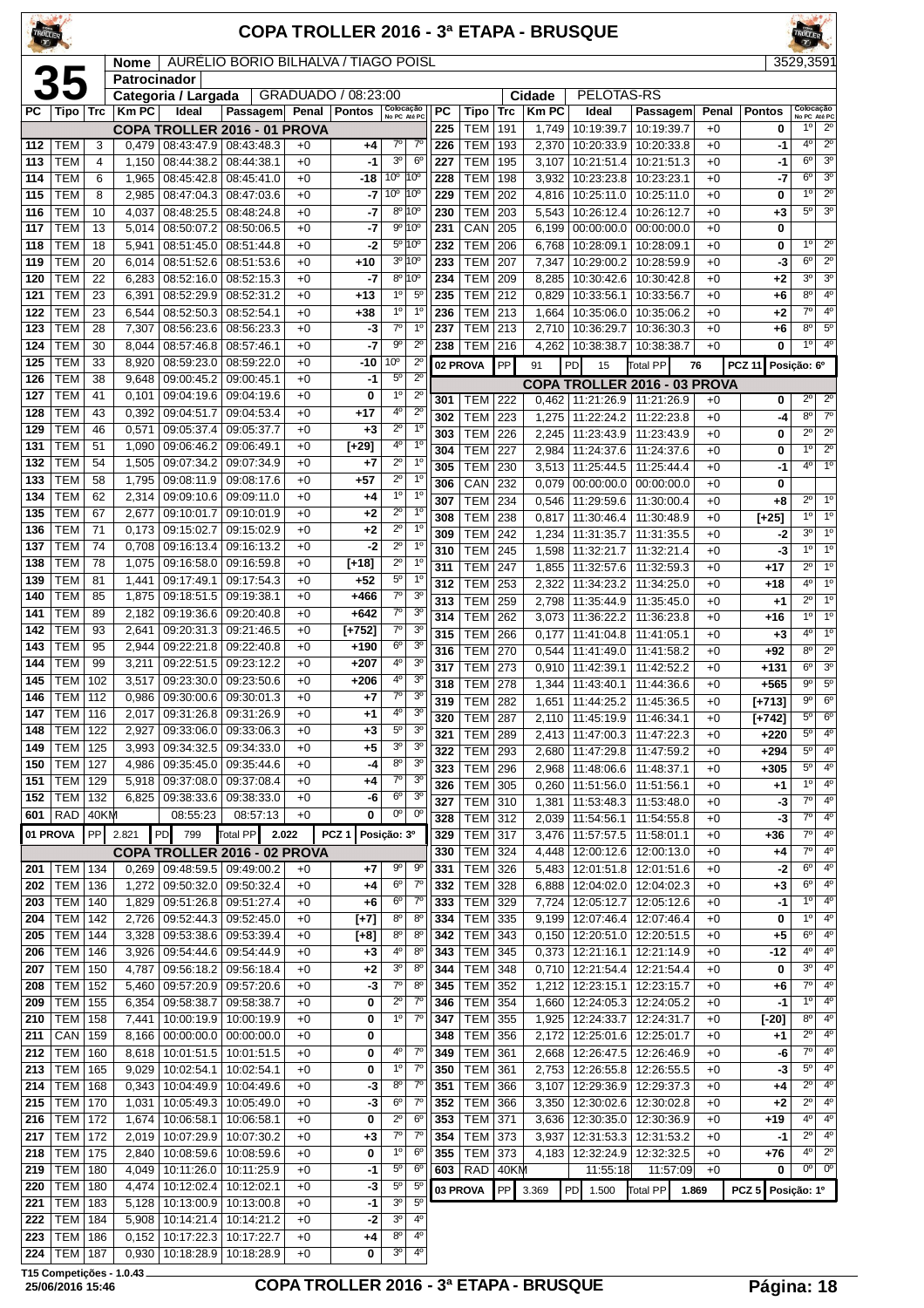#### **COPA TROLLER 2016 - 3ª ETAPA - BRUSQUE**

| **Nome** | AURÉLIO BORIO BILHALVA / TIAGO POISL 3529,359

|            | 35                       |                | Patrocinador   |                          |                                   |              |                     |                               |                                  |     |                              |            |              |                             |                                     |       |                  |                            |                                  |
|------------|--------------------------|----------------|----------------|--------------------------|-----------------------------------|--------------|---------------------|-------------------------------|----------------------------------|-----|------------------------------|------------|--------------|-----------------------------|-------------------------------------|-------|------------------|----------------------------|----------------------------------|
|            |                          |                |                | Categoria / Largada      |                                   |              | GRADUADO / 08:23:00 |                               |                                  |     |                              |            | Cidade       | PELOTAS-RS                  |                                     |       |                  |                            |                                  |
| PC         | Tipo   Trc               |                | <b>Km PC</b>   | Ideal                    | Passagem                          | Penal        | <b>Pontos</b>       | Colocação<br>No PC Até PC     |                                  | РC  | Tipo                         | <b>Trc</b> | <b>Km PC</b> | Ideal                       | Passagem                            | Penal | <b>Pontos</b>    | Colocação<br>No PC Até PC  |                                  |
|            |                          |                |                |                          | COPA TROLLER 2016 - 01 PROVA      |              |                     |                               |                                  | 225 | TEM                          | 191        | 1,749        | 10:19:39.7                  | 10:19:39.7                          | $+0$  | 0                | 1 <sup>0</sup>             | $2^{\circ}$                      |
| 112        | TEM                      | 3              | 0,479          | 08:43:47.9               | 08:43:48.3                        | $+0$         | +4                  | $7^\circ$                     | $7^{\circ}$                      | 226 | <b>TEM</b>                   | 193        | 2,370        | 10:20:33.9                  | 10:20:33.8                          | $+0$  | -1               | 4º                         | $\overline{2^0}$                 |
| 113        | <b>TEM</b>               | $\overline{4}$ | 1,150          | 08:44:38.2               | 08:44:38.1                        | $+0$         | -1                  | 3 <sup>o</sup>                | $6^{\circ}$                      | 227 | <b>TEM</b>                   | 195        | 3,107        | 10:21:51.4                  | 10:21:51.3                          | $+0$  | -1               | $6^{\circ}$                | 3 <sup>0</sup>                   |
| 114        | <b>TEM</b>               | 6              | 1,965          | 08:45:42.8               | 08:45:41.0                        | $+0$         | $-18$               | 10 <sup>o</sup>               | 10 <sup>o</sup>                  | 228 | <b>TEM</b>                   | 198        | 3,932        | 10:23:23.8                  | 10:23:23.1                          | $+0$  | -7               | 6 <sup>o</sup>             | 3 <sup>o</sup>                   |
| 115        | <b>TEM</b>               | 8              | 2,985          | 08:47:04.3               | 08:47:03.6                        | $+0$         | -7                  | 10 <sup>o</sup>               | 10°                              | 229 | <b>TEM</b>                   | 202        | 4,816        | 10:25:11.0                  | 10:25:11.0                          | $+0$  | 0                | 1 <sup>0</sup>             | $2^{\circ}$                      |
| 116        | <b>TEM</b>               | 10             | 4,037          | 08:48:25.5               | 08:48:24.8                        | $+0$         | -7                  | $8^{\circ}$                   | 10°                              | 230 | <b>TEM</b>                   | 203        | 5,543        | 10:26:12.4                  | 10:26:12.7                          | $+0$  | $+3$             | 5 <sup>0</sup>             | 3 <sup>o</sup>                   |
| 117        | <b>TEM</b>               | 13             | 5,014          | 08:50:07.2               | 08:50:06.5                        | $+0$         | -7                  |                               | 9° 10°                           | 231 | CAN                          | 205        | 6,199        | 00:00:00.0                  | 00:00:00.0                          | $+0$  | 0                |                            |                                  |
| 118        | <b>TEM</b>               | 18             | 5,941          | 08:51:45.0               | 08:51:44.8                        | $+0$         | $-2$                |                               | $5^{\circ}10^{\circ}$            | 232 | <b>TEM</b>                   | 206        | 6,768        | 10:28:09.1                  | 10:28:09.1                          | $+0$  | 0                | $1^{\circ}$                | $\overline{2^{\circ}}$           |
| 119        | <b>TEM</b>               | 20             | 6,014          | 08:51:52.6               | 08:51:53.6                        | $+0$         | +10                 |                               | 3º 10º                           | 233 | <b>TEM</b>                   | 207        | 7,347        | 10:29:00.2                  | 10:28:59.9                          | $+0$  | -3               | 6 <sup>o</sup>             | $\overline{2^{\circ}}$           |
| 120        | <b>TEM</b>               | 22             | 6,283          | 08:52:16.0               | 08:52:15.3                        | $+0$         | -7                  | 8 <sup>o</sup>                | 10 <sup>o</sup>                  | 234 | TEM                          | 209        | 8,285        | 10:30:42.6                  | 10:30:42.8                          | $+0$  | +2               | 3 <sup>o</sup>             | 3 <sup>o</sup>                   |
| 121        | <b>TEM</b>               | 23             | 6,391          | 08:52:29.9               | 08:52:31.2                        | $+0$         | $+13$               | 1 <sup>o</sup>                | $5^{\circ}$                      | 235 | <b>TEM</b>                   | 212        | 0,829        | 10:33:56.1                  | 10:33:56.7                          | $+0$  | $+6$             | 8 <sup>o</sup>             | 4 <sup>0</sup>                   |
| 122        | <b>TEM</b>               | 23             | 6,544          | 08:52:50.3               | 08:52:54.1                        | $+0$         | +38                 | 1 <sup>0</sup>                | 1 <sup>0</sup>                   | 236 | <b>TEM</b>                   | 213        | 1,664        | 10:35:06.0                  | 10:35:06.2                          | $+0$  | $+2$             | 7 <sup>0</sup>             | 4°<br>$5^{\circ}$                |
| 123        | <b>TEM</b>               | 28             | 7,307          | 08:56:23.6               | 08:56:23.3                        | $+0$         | -3                  | $7^\circ$                     | $1^{\circ}$                      | 237 | <b>TEM</b>                   | 213        | 2,710        | 10:36:29.7                  | 10:36:30.3                          | $+0$  | $+6$             | 8 <sup>o</sup>             | 4 <sup>0</sup>                   |
| 124        | <b>TEM</b>               | 30             | 8,044          | 08:57:46.8               | 08:57:46.1                        | $+0$         | -7                  | $9^{\circ}$                   | $2^{\circ}$                      | 238 | <b>TEM</b>                   | 216        | 4,262        | 10:38:38.7                  | 10:38:38.7                          | $+0$  | 0                | 1 <sup>0</sup>             |                                  |
| 125        | <b>TEM</b>               | 33             | 8,920          | 08:59:23.0               | 08:59:22.0                        | $+0$         | -10                 | 10 <sup>o</sup>               | $2^{\circ}$                      |     | 02 PROVA                     | PP         | 91           | PD<br>15                    | Total PP                            | 76    | <b>PCZ 11</b>    | Posição: 6º                |                                  |
| 126        | <b>TEM</b>               | 38             | 9,648          | 09:00:45.2               | 09:00:45.1                        | $+0$         | -1                  | $5^\circ$                     | $2^{\circ}$                      |     |                              |            |              |                             | <b>COPA TROLLER 2016 - 03 PROVA</b> |       |                  |                            |                                  |
| 127        | <b>TEM</b>               | 41             | 0,101          | 09:04:19.6               | 09:04:19.6                        | $+0$         | 0                   | 1 <sup>0</sup>                | $2^{\circ}$                      | 301 | TEM                          | 222        | 0,462        | 11:21:26.9                  | 11:21:26.9                          | $+0$  | 0                | $2^{\circ}$                | $2^{\circ}$                      |
| 128        | <b>TEM</b>               | 43             | 0,392          | 09:04:51.7               | 09:04:53.4                        | $+0$         | +17                 | 4 <sup>0</sup><br>$2^{\circ}$ | $2^{\circ}$<br>$\overline{1^0}$  | 302 | TEM                          | 223        | 1,275        | 11:22:24.2                  | 11:22:23.8                          | $+0$  | -4               | 8 <sup>0</sup>             | 7 <sup>o</sup>                   |
| 129        | <b>TEM</b>               | 46             | 0,571          | 09:05:37.4               | 09:05:37.7                        | $+0$         | $+3$                | 4°                            | 1 <sup>0</sup>                   | 303 | <b>TEM</b>                   | 226        | 2,245        | 11:23:43.9                  | 11:23:43.9                          | $+0$  | 0                | $2^{\circ}$                | $2^{\circ}$                      |
| 131        | <b>TEM</b>               | 51             | 1,090          | 09:06:46.2               | 09:06:49.1                        | $+0$         | $[+29]$             |                               |                                  | 304 | <b>TEM</b>                   | 227        | 2,984        | 11:24:37.6                  | 11:24:37.6                          | $+0$  | 0                | 1 <sup>0</sup>             | $\overline{2^0}$                 |
| 132        | <b>TEM</b>               | 54             | 1,505          | 09:07:34.2               | 09:07:34.9                        | $+0$         | +7                  | $\overline{2^0}$              | 1 <sup>0</sup>                   | 305 | <b>TEM</b>                   | 230        | 3,513        | 11:25:44.5                  | 11:25:44.4                          | $+0$  | -1               | $4^{\circ}$                | 10                               |
| 133        | <b>TEM</b>               | 58             | 1,795          | 09:08:11.9               | 09:08:17.6                        | $+0$         | +57                 | $2^{\circ}$                   | 1 <sup>0</sup><br>$1^{\circ}$    | 306 | CAN                          | 232        | 0,079        | 00:00:00.0                  | 00:00:00.0                          | $+0$  | 0                |                            |                                  |
| 134        | <b>TEM</b>               | 62             | 2,314          | 09:09:10.6               | 09:09:11.0                        | $+0$         | +4                  | 1 <sup>0</sup>                | 1 <sup>0</sup>                   | 307 | TEM                          | 234        | 0,546        | 11:29:59.6                  | 11:30:00.4                          | $+0$  | $+8$             | $2^{\circ}$                | 1 <sup>0</sup>                   |
| 135        | <b>TEM</b>               | 67             | 2,677          | 09:10:01.7               | 09:10:01.9                        | $+0$         | +2                  | $2^{\circ}$<br>$2^{\circ}$    | $\overline{1^0}$                 | 308 | <b>TEM</b>                   | 238        | 0,817        | 11:30:46.4                  | 11:30:48.9                          | $+0$  | $[+25]$          | 1 <sup>0</sup>             | 1 <sup>0</sup>                   |
| 136        | <b>TEM</b>               | 71             | 0,173          | 09:15:02.7               | 09:15:02.9                        | $+0$         | $+2$                |                               |                                  | 309 | <b>TEM</b>                   | 242        | 1,234        | 11:31:35.7                  | 11:31:35.5                          | $+0$  | -2               | 3 <sup>o</sup>             | 1 <sup>0</sup>                   |
| 137        | <b>TEM</b>               | 74             | 0,708          | 09:16:13.4               | 09:16:13.2                        | $+0$         | $-2$                | $2^{\circ}$                   | 1 <sup>0</sup><br>1 <sup>0</sup> | 310 | <b>TEM</b>                   | 245        | 1,598        | 11:32:21.7                  | 11:32:21.4                          | $+0$  | -3               | 1 <sup>0</sup>             | 1 <sup>0</sup>                   |
| 138        | <b>TEM</b>               | 78             | 1,075          | 09:16:58.0               | 09:16:59.8                        | $+0$         | [+18]               | $2^{\circ}$<br>$5^{\circ}$    | 1 <sup>0</sup>                   | 311 | <b>TEM</b>                   | 247        | 1,855        | 11:32:57.6                  | 11:32:59.3                          | $+0$  | $+17$            | $2^{\circ}$                | 1 <sup>0</sup>                   |
| 139        | <b>TEM</b>               | 81             | 1,441          | 09:17:49.1               | 09:17:54.3                        | $+0$         | $+52$               | $\overline{7^{\circ}}$        | 3 <sup>o</sup>                   | 312 | <b>TEM</b>                   | 253        | 2,322        | 11:34:23.2                  | 11:34:25.0                          | $+0$  | $+18$            | 4 <sup>0</sup>             | 10                               |
| 140        | <b>TEM</b>               | 85             | 1,875          | 09:18:51.5               | 09:19:38.1                        | $+0$         | +466                | $7^\circ$                     | 3 <sup>0</sup>                   | 313 | <b>TEM</b>                   | 259        | 2,798        | 11:35:44.9                  | 11:35:45.0                          | $+0$  | $+1$             | $2^{\circ}$                | 1 <sup>0</sup>                   |
| 141        | <b>TEM</b>               | 89             | 2,182          | 09:19:36.6               | 09:20:40.8                        | $+0$         | $+642$              | $7^\circ$                     | 3 <sup>o</sup>                   | 314 | <b>TEM</b>                   | 262        | 3,073        | 11:36:22.2                  | 11:36:23.8                          | $+0$  | $+16$            | 10                         | 1 <sup>0</sup>                   |
| 142        | <b>TEM</b>               | 93             | 2,641          | 09:20:31.3               | 09:21:46.5                        | $+0$         | $[+752]$            | 6 <sup>o</sup>                | 3 <sup>o</sup>                   | 315 | TEM                          | 266        | 0,177        | 11:41:04.8                  | 11:41:05.1                          | $+0$  | $+3$             | $4^{\circ}$                | 1 <sup>0</sup>                   |
| 143        | <b>TEM</b>               | 95             | 2,944          | 09:22:21.8               | 09:22:40.8                        | $+0$         | $+190$              | 4 <sup>0</sup>                | 3 <sup>o</sup>                   | 316 | <b>TEM</b>                   | 270        | 0,544        | 11:41:49.0                  | 11:41:58.2                          | $+0$  | $+92$            | 8 <sup>o</sup>             | $2^{\circ}$                      |
| 144        | <b>TEM</b>               | 99             | 3,211          | 09:22:51.5               | 09:23:12.2                        | $+0$         | $+207$              |                               | 3 <sup>o</sup>                   | 317 | <b>TEM</b>                   | 273        | 0,910        | 11:42:39.1                  | 11:42:52.2                          | $+0$  | $+131$           | 6 <sup>o</sup>             | 3 <sup>o</sup>                   |
| 145        | <b>TEM</b><br><b>TEM</b> | 102            | 3,517          | 09:23:30.0               | 09:23:50.6                        | $+0$         | $+206$              | $4^{\rm o}$<br>$7^\circ$      | 3 <sup>o</sup>                   | 318 | <b>TEM</b>                   | 278        | 1,344        | 11:43:40.1                  | 11:44:36.6                          | $+0$  | $+565$           | 9 <sup>o</sup>             | $5^{\circ}$                      |
| 146        |                          | 112            | 0,986          | 09:30:00.6               | 09:30:01.3                        | $+0$         | +7                  | 4°                            | 3 <sup>o</sup>                   | 319 | <b>TEM</b>                   | 282        | 1,651        | 11:44:25.2                  | 11:45:36.5                          | $+0$  | [+713]           | 9 <sup>o</sup>             | 6 <sup>o</sup>                   |
| 147<br>148 | <b>TEM</b><br>TEM        | 116<br>122     | 2,017<br>2,927 | 09:31:26.8<br>09:33:06.0 | 09:31:26.9<br>09:33:06.3          | $+0$<br>$+0$ | +1<br>$+3$          | $5^{\circ}$                   | 3 <sup>o</sup>                   | 320 | <b>TEM</b>                   | 287        | 2,110        | 11:45:19.9                  | 11:46:34.1                          | $+0$  | $[-742]$         | 5 <sup>0</sup>             | 6 <sup>o</sup>                   |
|            | <b>TEM</b>               | 125            |                | 09:34:32.5               | 09:34:33.0                        | $+0$         | $+5$                | 3 <sup>o</sup>                | 3 <sup>o</sup>                   | 321 | <b>TEM</b>                   | 289        | 2,413        | 11:47:00.3                  | 11:47:22.3                          | $+0$  | $+220$           | $5^{\circ}$                | 4 <sup>0</sup>                   |
| 149<br>150 | TEM                      | 127            | 3,993<br>4,986 | 09:35:45.0               | 09:35:44.6                        | $+0$         | $-4$                | 8 <sup>o</sup>                | 3 <sup>o</sup>                   | 322 | <b>TEM</b>                   | 293        | 2,680        | 11:47:29.8                  | 11:47:59.2                          | $+0$  | $+294$           | $5^{\circ}$                | 4 <sup>0</sup>                   |
|            | 151   TEM   129          |                |                |                          | 5,918 09:37:08.0 09:37:08.4       | $+0$         |                     | $7^{\circ}$                   | 3 <sup>o</sup>                   |     | 323 TEM 296                  |            |              | 2,968 11:48:06.6 11:48:37.1 |                                     | $+0$  | $+305$           | $5^{\circ}$                | 4 <sup>0</sup>                   |
| 152        | <b>TEM 132</b>           |                |                |                          | 6,825   09:38:33.6   09:38:33.0   | $+0$         | +4<br>-6            | $6^{\circ}$                   | $\overline{3^0}$                 | 326 | TEM 305                      |            |              | $0,260$   11:51:56.0        | 11:51:56.1                          | $+0$  | $+1$             | $1^{\circ}$                | 4 <sup>0</sup>                   |
| 601        | <b>RAD 40KM</b>          |                |                | 08:55:23                 | 08:57:13                          | $+0$         | 0                   | 0 <sup>o</sup>                | $0^{\rm o}$                      | 327 | <b>TEM</b>                   | 310        | 1,381        | 11:53:48.3                  | 11:53:48.0                          | $+0$  | -3               | $\overline{7^{\circ}}$     | 4 <sup>0</sup>                   |
|            |                          |                |                |                          |                                   |              |                     |                               |                                  | 328 | <b>TEM 312</b>               |            |              | 2,039 11:54:56.1            | 11:54:55.8                          | $+0$  | $-3$             | $7^\circ$                  | $\overline{4^0}$                 |
| 01 PROVA   |                          | PP             | 2.821          | PD <br>799               | Total PP<br>2.022                 |              | PCZ <sub>1</sub>    | Posição: 3º                   |                                  | 329 | <b>TEM 317</b>               |            |              | 3,476 11:57:57.5            | 11:58:01.1                          | $+0$  | $+36$            | $7^\circ$                  | 4°                               |
|            |                          |                |                |                          | COPA TROLLER 2016 - 02 PROVA      |              |                     |                               |                                  | 330 | <b>TEM 324</b>               |            | 4,448        | 12:00:12.6                  | 12:00:13.0                          | $+0$  | +4               | $7^{\circ}$                | 4 <sup>0</sup>                   |
| 201        | <b>TEM 134</b>           |                |                |                          | $0,269$   09:48:59.5   09:49:00.2 | $+0$         | +7                  | $9^{\circ}$                   | $9^{\rm o}$                      | 331 | <b>TEM 326</b>               |            | 5,483        | 12:01:51.8                  | 12:01:51.6                          | $+0$  | $-2$             | $6^{\circ}$                | 4 <sup>0</sup>                   |
| 202        | <b>TEM 136</b>           |                | 1,272          | 09:50:32.0               | 09:50:32.4                        | $+0$         | +4                  | $6^{\circ}$                   | $7^\circ$                        | 332 | <b>TEM</b>                   | 328        | 6,888        | 12:04:02.0                  | 12:04:02.3                          | $+0$  | +3               | 6 <sup>o</sup>             | 4 <sup>0</sup>                   |
| 203        | <b>TEM 140</b>           |                | 1,829          |                          | 09:51:26.8 09:51:27.4             | $+0$         | +6                  | $6^{\circ}$                   | $7^\circ$                        | 333 | TEM 329                      |            | 7,724        | 12:05:12.7                  | 12:05:12.6                          | $+0$  | -1               | $1^{\circ}$                | $\overline{4^0}$                 |
| 204        | <b>TEM 142</b>           |                | 2,726          |                          | 09:52:44.3 09:52:45.0             | $+0$         | $[+7]$              | $8^{\circ}$                   | $8^{\circ}$                      | 334 | TEM 335                      |            |              | 9,199   12:07:46.4          | 12:07:46.4                          | $+0$  | 0                | 1 <sup>0</sup>             | 4°                               |
| 205        | <b>TEM</b>               | 144            | 3,328          | 09:53:38.6               | 09:53:39.4                        | $+0$         | [+8]                | $8^{\circ}$<br>$4^{\circ}$    | 8 <sup>0</sup><br>8 <sup>0</sup> | 342 | <b>TEM</b><br><b>TEM 345</b> | 343        | 0,150        | 12:20:51.0                  | 12:20:51.5                          | $+0$  | $+5$             | $6^{\rm o}$<br>$4^{\circ}$ | 4 <sup>0</sup><br>4 <sup>0</sup> |
| 206        | <b>TEM   146</b>         |                | 3,926          |                          | 09:54:44.6 09:54:44.9             | $+0$         | +3                  | 3 <sup>o</sup>                |                                  | 343 |                              |            |              | $0,373$   12:21:16.1        | 12:21:14.9                          | $+0$  | -12              | $3^{\rm o}$                | 4 <sup>0</sup>                   |
| 207        | <b>TEM   150</b>         |                | 4,787          | 09:56:18.2               | 09:56:18.4                        | $+0$         | +2                  | $7^{\circ}$                   | 8 <sup>0</sup><br>8 <sup>o</sup> | 344 | <b>TEM</b>                   | 348        | 0,710        | 12:21:54.4                  | 12:21:54.4                          | $+0$  | 0                | $7^\circ$                  | 4 <sup>0</sup>                   |
| 208        | <b>TEM   152</b>         |                | 5,460          |                          | 09:57:20.9 09:57:20.6             | $+0$         | -3                  | $2^{\circ}$                   | $7^\circ$                        | 345 | TEM 352                      |            | 1,212        | $\boxed{12:23:15.1}$        | 12:23:15.7                          | $+0$  | +6               | $1^{\circ}$                | 4 <sup>0</sup>                   |
| 209        | <b>TEM 155</b>           |                | 6,354          | 09:58:38.7               | 09:58:38.7                        | $+0$         | 0                   | $1^{\circ}$                   | $7^{\circ}$                      | 346 | <b>TEM 354</b>               |            |              | 1,660 12:24:05.3            | 12:24:05.2                          | $+0$  | $-1$             | $8^{\circ}$                | 4 <sup>0</sup>                   |
| 210        | <b>TEM 158</b>           |                | 7,441          | 10:00:19.9               | 10:00:19.9                        | $+0$         | 0                   |                               |                                  | 347 | TEM 355                      |            | 1,925        | 12:24:33.7                  | 12:24:31.7                          | $+0$  | $[-20]$          | $2^{\circ}$                | 4°                               |
| 211        | CAN                      | 159            | 8,166          | 00:00:00.0               | 00:00:00.0                        | $+0$         | 0                   |                               |                                  | 348 | TEM 356                      |            | 2,172        | 12:25:01.6                  | 12:25:01.7                          | $+0$  | +1               | $7^\circ$                  | 4 <sup>0</sup>                   |
| 212        | TEM                      | 160            | 8,618          | 10:01:51.5               | 10:01:51.5                        | $+0$         | 0                   | $4^{\circ}$<br>1 <sup>o</sup> | $7^{\circ}$<br>$7^\circ$         | 349 | TEM                          | 361        | 2,668        | 12:26:47.5                  | 12:26:46.9                          | $+0$  | -6               | $\overline{5^0}$           | 4 <sup>0</sup>                   |
| 213        | TEM   165                |                | 9,029          | 10:02:54.1               | 10:02:54.1                        | $+0$         | 0                   |                               |                                  | 350 | TEM 361                      |            |              | 2,753 12:26:55.8            | 12:26:55.5                          | $+0$  | -3               | $2^{\circ}$                | 4 <sup>0</sup>                   |
| 214        | <b>TEM   168</b>         |                | 0,343          | 10:04:49.9               | 10:04:49.6                        | $+0$         | -3                  | $8^{\circ}$<br>6 <sup>o</sup> | $7^\circ$<br>$7^\circ$           | 351 | <b>TEM</b>                   | 366        | 3,107        | 12:29:36.9                  | 12:29:37.3                          | $+0$  | +4               | $2^{\circ}$                | 4 <sup>0</sup>                   |
| 215        | <b>TEM 170</b>           |                | 1,031          | 10:05:49.3               | 10:05:49.0                        | $+0$         | $-3$                |                               |                                  | 352 | <b>TEM</b>                   | 366        | 3,350        | 12:30:02.6                  | 12:30:02.8                          | $+0$  | $+2$             |                            |                                  |
| 216        | <b>TEM   172</b>         |                | 1,674          | 10:06:58.1               | 10:06:58.1                        | $+0$         | 0                   | $2^{\circ}$                   | 6 <sup>o</sup>                   | 353 | TEM 371                      |            | 3,636        | 12:30:35.0                  | 12:30:36.9                          | $+0$  | +19              | $4^{\circ}$<br>$2^{\circ}$ | 4 <sup>0</sup><br>4 <sup>0</sup> |
| 217        | <b>TEM 172</b>           |                | 2,019          | 10:07:29.9               | 10:07:30.2                        | $+0$         | +3                  | $7^\circ$                     | $7^{\circ}$                      | 354 | <b>TEM</b>                   | 373        | 3,937        | 12:31:53.3                  | 12:31:53.2                          | +0    | -1               | $4^{\circ}$                | $2^{\circ}$                      |
| 218        | <b>TEM   175</b>         |                | 2,840          |                          | 10:08:59.6   10:08:59.6           | $+0$         | 0                   | 1 <sup>0</sup>                | $6^{\circ}$                      | 355 | TEM 373                      |            |              | 4,183 12:32:24.9            | 12:32:32.5                          | $+0$  | $+76$            | $0^{\circ}$                | $0^{\circ}$                      |
| 219        | <b>TEM   180</b>         |                | 4,049          | 10:11:26.0               | 10:11:25.9                        | $+0$         | $-1$                | $5^{\circ}$<br>$5^{\circ}$    | $6^{\circ}$<br>$5^{\circ}$       |     | 603   RAD                    | 40KM       |              | 11:55:18                    | 11:57:09                            | $+0$  | 0                |                            |                                  |
| 220        | <b>TEM 180</b>           |                | 4,474          | 10:12:02.4               | 10:12:02.1                        | $+0$         | -3                  | 3 <sup>o</sup>                | 5 <sup>0</sup>                   |     | 03 PROVA                     | PP         | 3.369        | PD 1.500                    | Total PP                            | 1.869 | PCZ <sub>5</sub> | Posição: 1º                |                                  |
| 221        | TEM  <br>TEM   184       | 183            | 5,128          | 10:13:00.9<br>10:14:21.4 | 10:13:00.8                        | $+0$<br>$+0$ | -1<br>-2            | 3 <sup>o</sup>                | 4º                               |     |                              |            |              |                             |                                     |       |                  |                            |                                  |
| 222<br>223 | <b>TEM   186</b>         |                | 5,908<br>0,152 | 10:17:22.3               | 10:14:21.2<br>10:17:22.7          | $+0$         | +4                  | $8^{\circ}$                   | $4^{\circ}$                      |     |                              |            |              |                             |                                     |       |                  |                            |                                  |
| 224        | <b>TEM 187</b>           |                | 0,930          | 10:18:28.9               | 10:18:28.9                        | $+0$         | 0                   | 3 <sup>o</sup>                | 40                               |     |                              |            |              |                             |                                     |       |                  |                            |                                  |
|            |                          |                |                |                          |                                   |              |                     |                               |                                  |     |                              |            |              |                             |                                     |       |                  |                            |                                  |

**T15 Competições - 1.0.43**

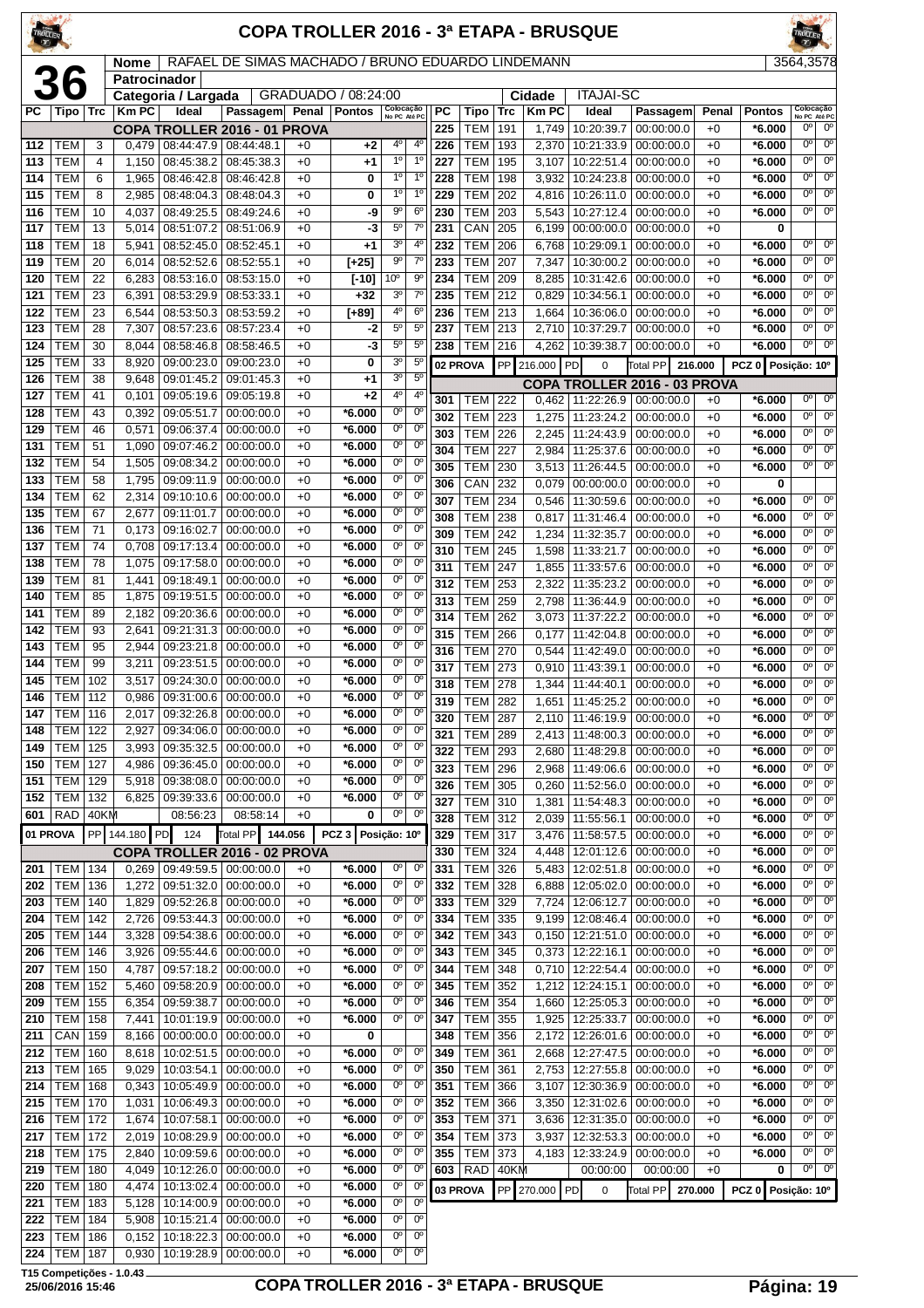| TROLLER    |                          |             |                             |                                                       |                                                   |              |                      |                                       |                                  |            |                                  |             |                | <b>COPA TROLLER 2016 - 3ª ETAPA - BRUSQUE</b> |                                     |                 |                         | TROLLER                               |                                          |
|------------|--------------------------|-------------|-----------------------------|-------------------------------------------------------|---------------------------------------------------|--------------|----------------------|---------------------------------------|----------------------------------|------------|----------------------------------|-------------|----------------|-----------------------------------------------|-------------------------------------|-----------------|-------------------------|---------------------------------------|------------------------------------------|
|            |                          |             | <b>Nome</b><br>Patrocinador |                                                       | RAFAEL DE SIMAS MACHADO / BRUNO EDUARDO LINDEMANN |              |                      |                                       |                                  |            |                                  |             |                |                                               |                                     |                 |                         | 3564,3578                             |                                          |
|            |                          |             |                             | Categoria / Largada                                   |                                                   |              | GRADUADO / 08:24:00  |                                       |                                  |            |                                  |             | Cidade         | <b>ITAJAI-SC</b>                              |                                     |                 |                         |                                       |                                          |
| PС         | Tipo                     | Trc         | <b>Km PC</b>                | Ideal                                                 | Passagem                                          | Penal        | <b>Pontos</b>        | Colocação<br>No PC Até PC             |                                  | <b>PC</b>  | <b>Tipo</b>                      | Trc         | <b>Km PC</b>   | Ideal                                         | Passagem                            | Penal           | <b>Pontos</b>           | Colocação<br>No PC Até PC             | $0^{\circ}$                              |
| 112        | TEM                      | 3           | 0,479                       | COPA TROLLER 2016 - 01 PROVA<br>08:44:47.9 08:44:48.1 |                                                   | $+0$         | $+2$                 | 4°                                    | $4^{\circ}$                      | 225<br>226 | <b>TEM</b><br>TEM                | 191<br>193  | 1,749<br>2,370 | 10:20:39.7<br>10:21:33.9                      | 00:00:00.0<br>00:00:00.0            | $+0$<br>$+0$    | $*6.000$<br>$*6.000$    | 0°<br>$0^{\circ}$                     | $\overline{0^{\circ}}$                   |
| 113        | <b>TEM</b>               | 4           | 1,150                       | 08:45:38.2                                            | 08:45:38.3                                        | $+0$         | +1                   | 1 <sup>0</sup>                        | $1^{\circ}$                      | 227        | <b>TEM</b>                       | 195         | 3,107          | 10:22:51.4                                    | 00:00:00.0                          | $+0$            | *6.000                  | $0^{\circ}$                           | $0^{\circ}$                              |
| 114        | <b>TEM</b>               | 6<br>8      | 1,965                       | 08:46:42.8                                            | 08:46:42.8                                        | $+0$         | 0                    | $\overline{1^0}$<br>1 <sup>0</sup>    | 1 <sup>0</sup><br>$1^{\circ}$    | 228<br>229 | <b>TEM</b>                       | 198         | 3,932          | 10:24:23.8                                    | 00:00:00.0                          | $+0$            | $*6.000$                | $0^{\circ}$<br>$\overline{0}$         | $\overline{0^{\circ}}$<br>$0^{\circ}$    |
| 115<br>116 | <b>TEM</b><br><b>TEM</b> | 10          | 2,985<br>4,037              | 08:48:04.3<br>08:49:25.5                              | 08:48:04.3<br>08:49:24.6                          | $+0$<br>$+0$ | 0<br>-9              | $9^{\circ}$                           | 6 <sup>o</sup>                   | 230        | <b>TEM</b><br><b>TEM</b>         | 202<br>203  | 4,816<br>5,543 | 10:26:11.0<br>10:27:12.4                      | 00:00:00.0<br>00:00:00.0            | $+0$<br>$+0$    | $*6.000$<br>$*6.000$    | $0^{\circ}$                           | $0^{\circ}$                              |
| 117        | TEM                      | 13          | 5,014                       | 08:51:07.2                                            | 08:51:06.9                                        | $+0$         | -3                   | $5^{\circ}$                           | $7^\circ$                        | 231        | CAN                              | 205         | 6,199          | 00:00:00.0                                    | 00:00:00.0                          | $+0$            | 0                       |                                       |                                          |
| 118        | <b>TEM</b>               | 18          | 5,941                       | 08:52:45.0                                            | 08:52:45.1                                        | $+0$         | +1                   | 3 <sup>o</sup><br>$9^{\circ}$         | $4^{\circ}$<br>$7^{\circ}$       | 232        | <b>TEM</b>                       | 206         | 6,768          | 10:29:09.1                                    | 00:00:00.0                          | $+0$            | *6.000                  | $0^{\circ}$<br>$0^{\circ}$            | $0^{\circ}$<br>$0^{\circ}$               |
| 119<br>120 | <b>TEM</b><br><b>TEM</b> | 20<br>22    | 6,014<br>6,283              | 08:52:52.6<br>08:53:16.0                              | 08:52:55.1<br>08:53:15.0                          | $+0$<br>$+0$ | $[+25]$<br>$[-10]$   | 10 <sup>o</sup>                       | 90                               | 233<br>234 | <b>TEM</b><br><b>TEM</b>         | 207<br>209  | 7,347<br>8,285 | 10:30:00.2<br>10:31:42.6                      | 00:00:00.0<br>00:00:00.0            | $+0$<br>$+0$    | *6.000<br>*6.000        | $\overline{0}$                        | $0^{\circ}$                              |
| 121        | <b>TEM</b>               | 23          | 6,391                       | 08:53:29.9                                            | 08:53:33.1                                        | $+0$         | $+32$                | 3 <sup>o</sup>                        | $7^\circ$                        | 235        | <b>TEM</b>                       | 212         | 0,829          | 10:34:56.1                                    | 00:00:00.0                          | $+0$            | $*6.000$                | 0°                                    | $0^{\circ}$                              |
| 122        | <b>TEM</b>               | 23          | 6,544                       | 08:53:50.3                                            | 08:53:59.2                                        | $+0$         | $[+89]$              | $4^{\circ}$<br>$5^{\circ}$            | 6 <sup>°</sup><br>$5^{\circ}$    | 236        | <b>TEM</b>                       | 213         | 1,664          | 10:36:06.0                                    | 00:00:00.0                          | $+0$            | $*6.000$                | $0^{\circ}$<br>$\overline{0}$         | $0^{\circ}$<br>$0^{\circ}$               |
| 123<br>124 | <b>TEM</b><br><b>TEM</b> | 28<br>30    | 7,307<br>8,044              | 08:57:23.6<br>08:58:46.8                              | 08:57:23.4<br>08:58:46.5                          | $+0$<br>$+0$ | -2<br>-3             | $5^{\circ}$                           | $5^{\circ}$                      | 237<br>238 | <b>TEM</b><br><b>TEM</b>         | 213<br>216  | 2,710<br>4,262 | 10:37:29.7<br>10:39:38.7                      | 00:00:00.0<br>00:00:00.0            | $+0$<br>$+0$    | *6.000<br>$*6.000$      | 0 <sup>o</sup>                        | $0^{\circ}$                              |
| 125        | <b>TEM</b>               | 33          | 8,920                       | 09:00:23.0                                            | 09:00:23.0                                        | $+0$         | 0                    | 3 <sup>o</sup>                        | $5^\circ$                        |            | 02 PROVA                         |             | PP 216.000     | PD<br>$\mathbf 0$                             | Total PP                            | 216.000         | PCZ 0 Posição: 10°      |                                       |                                          |
| 126        | <b>TEM</b>               | 38          | 9,648                       | 09:01:45.2                                            | 09:01:45.3                                        | $+0$         | +1                   | 3 <sup>o</sup><br>4°                  | 5 <sup>0</sup>                   |            |                                  |             |                |                                               | <b>COPA TROLLER 2016 - 03 PROVA</b> |                 |                         |                                       |                                          |
| 127<br>128 | <b>TEM</b><br><b>TEM</b> | 41<br>43    | 0,101<br>0,392              | 09:05:19.6<br>09:05:51.7                              | 09:05:19.8<br>00:00:00.0                          | $+0$<br>$+0$ | +2<br>$*6.000$       | $0^{\circ}$                           | $4^{\circ}$<br>$0^{\circ}$       | 301        | <b>TEM</b><br><b>TEM</b>         | 222         |                | $0,462$   11:22:26.9                          | 00:00:00.0<br>00:00:00.0            | $+0$            | $*6.000$<br>$*6.000$    | $0^{\circ}$<br>$0^{\circ}$            | $0^{\circ}$<br>$0^{\circ}$               |
| 129        | <b>TEM</b>               | 46          | 0,571                       | 09:06:37.4                                            | 00:00:00.0                                        | $+0$         | $*6.000$             | 0 <sup>o</sup>                        | $0^{\circ}$                      | 302<br>303 | <b>TEM</b>                       | 223<br>226  | 1,275<br>2,245 | 11:23:24.2<br>11:24:43.9                      | 00:00:00.0                          | $+0$<br>$+0$    | $*6.000$                | 0°                                    | $0^{\circ}$                              |
| 131        | <b>TEM</b>               | 51          | 1,090                       | 09:07:46.2                                            | 00:00:00.0                                        | $+0$         | $*6.000$             | 0°                                    | $0^{\circ}$                      | 304        | <b>TEM</b>                       | 227         | 2,984          | 11:25:37.6                                    | 00:00:00.0                          | $+0$            | $*6.000$                | $0^{\circ}$                           | $0^{\circ}$                              |
| 132<br>133 | <b>TEM</b><br><b>TEM</b> | 54<br>58    | 1,505<br>1,795              | 09:08:34.2<br>09:09:11.9                              | 00:00:00.0<br>00:00:00.0                          | $+0$<br>$+0$ | *6.000<br>$*6.000$   | $0^{\circ}$<br>$0^{\circ}$            | $0^{\circ}$<br>$0^{\circ}$       | 305<br>306 | <b>TEM</b>                       | 230         |                | 3,513 11:26:44.5                              | 00:00:00.0                          | $+0$<br>$+0$    | *6.000                  | $\overline{0}$                        | $0^{\circ}$                              |
| 134        | <b>TEM</b>               | 62          | 2,314                       | 09:10:10.6                                            | 00:00:00.0                                        | $+0$         | $*6.000$             | $\overline{0^{\circ}}$                | $0^{\circ}$                      | 307        | CAN<br><b>TEM</b>                | 232<br>234  | 0,079<br>0,546 | 00:00:00.0<br>11:30:59.6                      | 00:00:00.0<br>00:00:00.0            | $+0$            | 0<br>$*6.000$           | $0^{\circ}$                           | $0^{\circ}$                              |
| 135        | <b>TEM</b>               | 67          | 2,677                       | 09:11:01.7                                            | 00:00:00.0                                        | $+0$         | $*6.000$             | $0^{\circ}$                           | $0^{\circ}$                      | 308        | <b>TEM</b>                       | 238         | 0,817          | 11:31:46.4                                    | 00:00:00.0                          | $+0$            | $*6.000$                | $0^{\circ}$                           | $0^{\circ}$                              |
| 136<br>137 | <b>TEM</b><br><b>TEM</b> | 71<br>74    | 0,173<br>0,708              | 09:16:02.7<br>09:17:13.4                              | 00:00:00.0<br>00:00:00.0                          | $+0$<br>$+0$ | $*6.000$<br>$*6.000$ | $0^{\circ}$<br>$0^{\rm o}$            | $0^{\circ}$<br>$0^{\circ}$       | 309        | <b>TEM</b>                       | 242         | 1,234          | 11:32:35.7                                    | 00:00:00.0                          | $+0$            | *6.000                  | $\overline{0}$<br>$0^{\circ}$         | 0 <sup>o</sup><br>$\overline{0^{\circ}}$ |
| 138        | <b>TEM</b>               | 78          | 1,075                       | 09:17:58.0                                            | 00:00:00.0                                        | $+0$         | $*6.000$             | 0°                                    | $0^{\circ}$                      | 310<br>311 | <b>TEM</b><br><b>TEM</b>         | 245<br>247  | 1,598<br>1,855 | 11:33:21.7<br>11:33:57.6                      | 00:00:00.0<br>00:00:00.0            | $+0$<br>$+0$    | *6.000<br>$*6.000$      | $0^{\circ}$                           | $0^{\circ}$                              |
| 139        | <b>TEM</b>               | 81          | 1,441                       | 09:18:49.1                                            | 00:00:00.0                                        | $+0$         | $*6.000$             | $0^{\circ}$                           | $0^{\circ}$                      | 312        | <b>TEM</b>                       | 253         | 2,322          | 11:35:23.2                                    | 00:00:00.0                          | $+0$            | $*6.000$                | $0^{\circ}$                           | $0^{\circ}$                              |
| 140<br>141 | <b>TEM</b><br><b>TEM</b> | 85<br>89    | 1,875<br>2,182              | 09:19:51.5<br>09:20:36.6                              | 00:00:00.0<br>00:00:00.0                          | $+0$<br>$+0$ | $*6.000$<br>$*6.000$ | $0^{\rm o}$<br>$0^{\circ}$            | $0^{\circ}$<br>$0^{\circ}$       | 313        | <b>TEM</b>                       | 259         | 2,798          | 11:36:44.9                                    | 00:00:00.0                          | $+0$            | *6.000                  | $0^{\circ}$                           | $0^{\circ}$                              |
| 142        | <b>TEM</b>               | 93          | 2,641                       | 09:21:31.3                                            | 00:00:00.0                                        | $+0$         | $*6.000$             | $0^{\circ}$                           | $0^{\circ}$                      | 314<br>315 | <b>TEM</b><br><b>TEM</b>         | 262<br>266  | 3,073<br>0,177 | 11:37:22.2<br>11:42:04.8                      | 00:00:00.0<br>00:00:00.0            | $+0$<br>$+0$    | $*6.000$<br>*6.000      | $0^{\circ}$<br>$0^{\circ}$            | $0^{\circ}$<br>$\overline{0^{\circ}}$    |
| 143        | <b>TEM</b>               | 95          | 2,944                       | 09:23:21.8                                            | 00:00:00.0                                        | $+0$         | $*6.000$             | 0 <sup>o</sup>                        | $\overline{0}$                   | 316        | <b>TEM</b>                       | 270         | 0,544          | 11:42:49.0                                    | 00:00:00.0                          | $+0$            | $*6.000$                | $0^{\circ}$                           | $0^{\circ}$                              |
| 144<br>145 | <b>TEM</b><br><b>TEM</b> | 99<br>102   | 3,211<br>3,517              | 09:23:51.5<br>09:24:30.0                              | 00:00:00.0<br>00:00:00.0                          | $+0$<br>$+0$ | $*6.000$<br>$*6.000$ | $0^{\circ}$<br>$0^{\circ}$            | $0^{\circ}$<br>$0^{\circ}$       | 317        | <b>TEM</b>                       | 273         | 0,910          | 11:43:39.1                                    | 00:00:00.0                          | $+0$            | $*6.000$                | $0^{\circ}$                           | $0^{\circ}$                              |
| 146        | <b>TEM</b>               | 112         | 0,986                       | 09:31:00.6                                            | 00:00:00.0                                        | $+0$         | $*6.000$             | $\overline{0^{\circ}}$                | $\overline{0}^{\circ}$           | 318<br>319 | <b>TEM</b><br><b>TEM 282</b>     | 278         | 1,344          | 11:44:40.1<br>1,651   11:45:25.2              | 00:00:00.0<br>00:00:00.0            | $+0$<br>$+0$    | *6.000<br>$*6.000$      | $\overline{0^{\circ}}$<br>$0^{\circ}$ | $\overline{0^{\circ}}$<br>$0^{\circ}$    |
| 147        | TEM   116                |             | 2,017                       | 09:32:26.8 00:00:00.0                                 |                                                   | $+0$         | *6.000               | $\overline{0^{\circ}}$                | $0^{\circ}$                      | 320        | <b>TEM 287</b>                   |             |                | 2,110   11:46:19.9   00:00:00.0               |                                     | $+0$            | $*6.000$                | $0^{\circ}$                           | $\overline{0^{\circ}}$                   |
| 148<br>149 | <b>TEM</b><br><b>TEM</b> | 122<br>125  | 2,927<br>3,993              | 09:34:06.0<br>09:35:32.5                              | 00:00:00.0<br>00:00:00.0                          | $+0$<br>$+0$ | $*6.000$<br>$*6.000$ | $0^{\circ}$<br>0°                     | 0 <sup>o</sup><br>0 <sup>o</sup> | 321        | <b>TEM</b>                       | 289         | 2.413          | 11:48:00.3                                    | 00:00:00.0                          | $+0$            | $*6.000$                | 0 <sup>o</sup>                        | $0^{\circ}$                              |
| 150        | <b>TEM</b>               | 127         | 4,986                       | 09:36:45.0                                            | 00:00:00.0                                        | $+0$         | $*6.000$             | $0^{\rm o}$                           | $0^{\circ}$                      | 322<br>323 | <b>TEM 293</b><br><b>TEM</b>     | 296         | 2,680<br>2,968 | 11:48:29.8<br>11:49:06.6                      | 00:00:00.0<br>00:00:00.0            | $+0$<br>$+0$    | $*6.000$<br>*6.000      | 0 <sup>o</sup><br>$0^{\circ}$         | $0^{\circ}$<br>$0^{\circ}$               |
| 151        | <b>TEM</b>               | 129         | 5,918                       | 09:38:08.0                                            | 00:00:00.0                                        | $+0$         | $*6.000$             | $0^{\rm o}$                           | $0^{\circ}$                      | 326        | <b>TEM</b>                       | 305         | 0,260          | 11:52:56.0                                    | 00:00:00.0                          | $+0$            | $*6.000$                | $0^{\circ}$                           | $0^{\circ}$                              |
| 152<br>601 | <b>TEM</b><br>RAD        | 132<br>40KM | 6,825                       | 09:39:33.6<br>08:56:23                                | 00:00:00.0<br>08:58:14                            | $+0$<br>$+0$ | $*6.000$<br>0        | 0 <sup>o</sup><br>0°                  | $0^{\circ}$<br>$0^{\circ}$       | 327        | TEM 310                          |             | 1,381          | 11:54:48.3                                    | 00:00:00.0                          | $+0$            | $*6.000$                | 0 <sup>o</sup>                        | $0^{\circ}$                              |
|            | 01 PROVA                 | PP          | 144.180 PD                  | 124                                                   | Total PP 144.056                                  |              | PCZ3                 | Posição: 10°                          |                                  | 328<br>329 | <b>TEM 312</b><br><b>TEM 317</b> |             | 2,039<br>3,476 | 11:55:56.1<br>11:58:57.5                      | 00:00:00.0<br>00:00:00.0            | $+0$<br>$+0$    | $*6.000$<br>$*6.000$    | 0 <sup>o</sup><br>0 <sup>o</sup>      | $0^{\circ}$<br>$\overline{0^{\circ}}$    |
|            |                          |             |                             | COPA TROLLER 2016 - 02 PROVA                          |                                                   |              |                      |                                       |                                  | 330        | <b>TEM</b>                       | 324         | 4.448          | 12:01:12.6                                    | 00:00:00.0                          | $+0$            | *6.000                  | $0^{\circ}$                           | $0^{\circ}$                              |
| 201        | TEM                      | 134         | 0,269                       | 09:49:59.5 00:00:00.0                                 |                                                   | $+0$         | $*6.000$             | $0^{\circ}$                           | $0^{\circ}$                      | 331        | <b>TEM</b>                       | 326         | 5,483          | 12:02:51.8                                    | 00:00:00.0                          | $+0$            | $*6.000$                | 0 <sup>o</sup>                        | $0^{\circ}$                              |
| 202<br>203 | TEM<br><b>TEM</b>        | 136<br>140  | 1,272<br>1,829              | $\overline{09}$ :51:32.0<br>09:52:26.8                | 00:00:00.0<br>00:00:00.0                          | $+0$<br>$+0$ | *6.000<br>*6.000     | $0^{\circ}$<br>0 <sup>o</sup>         | $0^{\circ}$<br>0 <sup>o</sup>    | 332<br>333 | <b>TEM 328</b><br><b>TEM 329</b> |             | 6,888<br>7,724 | 12:06:12.7                                    | 12:05:02.0 00:00:00.0<br>00:00:00.0 | $+0$<br>$+0$    | $*6.000$<br>*6.000      | $0^{\circ}$<br>0 <sup>o</sup>         | $0^{\circ}$<br>$0^{\circ}$               |
| 204        | <b>TEM</b>               | 142         | 2,726                       | 09:53:44.3 00:00:00.0                                 |                                                   | $+0$         | $*6.000$             | $\overline{0^{\circ}}$                | $0^{\circ}$                      | 334        | TEM 335                          |             |                | $9,199$   12:08:46.4                          | 00:00:00.0                          | $+0$            | $*6.000$                | 0 <sup>o</sup>                        | $0^{\circ}$                              |
| 205        | <b>TEM</b>               | 144         | 3,328                       | 09:54:38.6                                            | 00:00:00.0                                        | $+0$         | $*6.000$             | $0^{\rm o}$                           | $0^{\circ}$                      | 342        | <b>TEM</b>                       | 343         | 0,150          | 12:21:51.0                                    | 00:00:00.0                          | $+0$            | $*6.000$                | $0^{\circ}$                           | $0^{\circ}$                              |
| 206<br>207 | <b>TEM</b><br><b>TEM</b> | 146<br>150  | 3,926<br>4,787              | 09:55:44.6<br>09:57:18.2 00:00:00.0                   | 00:00:00.0                                        | $+0$<br>$+0$ | $*6.000$<br>$*6.000$ | $0^{\circ}$<br>$0^{\rm o}$            | 0 <sup>o</sup><br>$0^{\circ}$    | 343<br>344 | <b>TEM</b><br><b>TEM</b>         | 345<br>348  | 0,373          | 12:22:16.1<br>$0,710$   12:22:54.4            | 00:00:00.0<br>00:00:00.0            | $+0$<br>$+0$    | $*6.000$<br>$*6.000$    | 0 <sup>o</sup><br>$0^{\circ}$         | $0^{\circ}$<br>$0^{\circ}$               |
| 208        | <b>TEM</b>               | 152         | 5,460                       | 09:58:20.9                                            | 00:00:00.0                                        | $+0$         | $*6.000$             | $0^{\rm o}$                           | $0^{\circ}$                      | 345        | <b>TEM</b>                       | 352         | 1,212          | 12:24:15.1                                    | 00:00:00.0                          | $+0$            | $*6.000$                | $0^{\circ}$                           | $0^{\circ}$                              |
| 209        | <b>TEM</b>               | 155         | 6,354                       | 09:59:38.7                                            | 00:00:00.0                                        | $+0$         | $*6.000$             | 0 <sup>o</sup>                        | $0^{\circ}$                      | 346        | <b>TEM 354</b>                   |             |                | 1,660   12:25:05.3                            | 00:00:00.0                          | $+0$            | $*6.000$                | 0 <sup>o</sup>                        | $\overline{0^{\circ}}$                   |
| 210<br>211 | <b>TEM</b><br>CAN        | 158<br>159  | 7,441                       | 10:01:19.9                                            | 00:00:00.0                                        | $+0$<br>$+0$ | $*6.000$<br>0        | $0^{\rm o}$                           | $0^{\circ}$                      | 347<br>348 | <b>TEM</b><br><b>TEM</b>         | 355<br>356  | 1,925          | 12:25:33.7                                    | 00:00:00.0                          | $+0$<br>$+0$    | *6.000<br>$*6.000$      | $0^{\circ}$<br>$0^{\circ}$            | $0^{\circ}$<br>$\overline{0^{\circ}}$    |
| 212        | <b>TEM</b>               | 160         | 8,166<br>8,618              | 00:00:00.0<br>10:02:51.5 00:00:00.0                   | 00:00:00.0                                        | $+0$         | *6.000               | $0^{\rm o}$                           | $0^{\circ}$                      | 349        | <b>TEM</b>                       | 361         | 2,172<br>2,668 | 12:26:01.6<br>12:27:47.5 00:00:00.0           | 00:00:00.0                          | $+0$            | *6.000                  | $0^{\circ}$                           | $0^{\circ}$                              |
| 213        | <b>TEM</b>               | 165         | 9,029                       | 10:03:54.1                                            | 00:00:00.0                                        | $+0$         | *6.000               | $0^{\circ}$                           | 0 <sup>o</sup>                   | 350        | <b>TEM</b>                       | 361         | 2,753          | 12:27:55.8                                    | 00:00:00.0                          | $+0$            | $*6.000$                | 0 <sup>o</sup>                        | $0^{\circ}$                              |
| 214        | <b>TEM</b>               | 168         | 0,343                       | 10:05:49.9                                            | 00:00:00.0                                        | $+0$         | $*6.000$             | $0^{\circ}$                           | 0 <sup>o</sup>                   | 351        | TEM 366                          |             | 3,107          | 12:30:36.9                                    | 00:00:00.0                          | $+0$            | $*6.000$                | $0^{\circ}$                           | $0^{\circ}$                              |
| 215<br>216 | <b>TEM</b><br><b>TEM</b> | 170<br>172  | 1,031<br>1,674              | 10:06:49.3<br>10:07:58.1                              | 00:00:00.0<br>00:00:00.0                          | $+0$<br>$+0$ | $*6.000$<br>$*6.000$ | $0^{\rm o}$<br>$\overline{0^{\circ}}$ | 0 <sup>o</sup><br>0 <sup>o</sup> | 352<br>353 | <b>TEM</b><br><b>TEM</b>         | 366<br> 371 | 3,350<br>3,636 | 12:31:02.6<br>12:31:35.0                      | 00:00:00.0<br>00:00:00.0            | $+0$<br>$+0$    | *6.000<br>$*6.000$      | $0^{\circ}$<br>0 <sup>o</sup>         | $0^{\circ}$<br>$0^{\circ}$               |
| 217        | <b>TEM</b>               | 172         | 2,019                       | 10:08:29.9                                            | 00:00:00.0                                        | $+0$         | *6.000               | $0^{\circ}$                           | $0^{\circ}$                      | 354        | <b>TEM</b>                       | 373         | 3,937          | 12:32:53.3 00:00:00.0                         |                                     | $+0$            | *6.000                  | 0 <sup>o</sup>                        | $0^{\circ}$                              |
| 218        | <b>TEM</b>               | 175         | 2,840                       | 10:09:59.6                                            | 00:00:00.0                                        | $+0$         | $*6.000$             | $0^{\circ}$                           | $0^{\circ}$                      | 355        | <b>TEM</b>                       | 373         | 4,183          | 12:33:24.9                                    | 00:00:00.0                          | $+0$            | $*6.000$                | $0^{\circ}$                           | $0^{\circ}$                              |
| 219<br>220 | TEM<br><b>TEM</b>        | 180<br>180  | 4,049<br>4,474              | 10:12:26.0<br>10:13:02.4                              | 00:00:00.0<br>00:00:00.0                          | $+0$<br>$+0$ | $*6.000$<br>$*6.000$ | $0^{\circ}$<br>0 <sup>o</sup>         | $0^{\circ}$<br>$0^{\circ}$       | 603        | RAD<br>03 PROVA                  | 40KM        | PP 270.000 PD  | 00:00:00<br>0                                 | 00:00:00<br>Total PP                | $+0$<br>270.000 | 0<br>PCZ 0 Posição: 10° | 0 <sup>0</sup>                        | 0 <sup>o</sup>                           |
| 221        | <b>TEM</b>               | 183         | 5,128                       | 10:14:00.9                                            | 00:00:00.0                                        | $+0$         | $*6.000$             | $0^{\circ}$                           | $0^{\circ}$                      |            |                                  |             |                |                                               |                                     |                 |                         |                                       |                                          |
| 222        | <b>TEM</b>               | 184         | 5,908                       | 10:15:21.4                                            | 00:00:00.0                                        | $+0$         | *6.000               | 0 <sup>o</sup>                        | $0^{\circ}$                      |            |                                  |             |                |                                               |                                     |                 |                         |                                       |                                          |
| 223        | <b>TEM</b>               | 186         | 0,152                       | 10:18:22.3                                            | 00:00:00.0                                        | $+0$         | $*6.000$             | $0^{\rm o}$                           | $0^{\circ}$                      |            |                                  |             |                |                                               |                                     |                 |                         |                                       |                                          |

 TEM 186 0,152 10:18:22.3 00:00:00.0 +0 **\*6.000** 0º 0º TEM 187 0,930 10:19:28.9 00:00:00.0 +0 **\*6.000** 0º 0º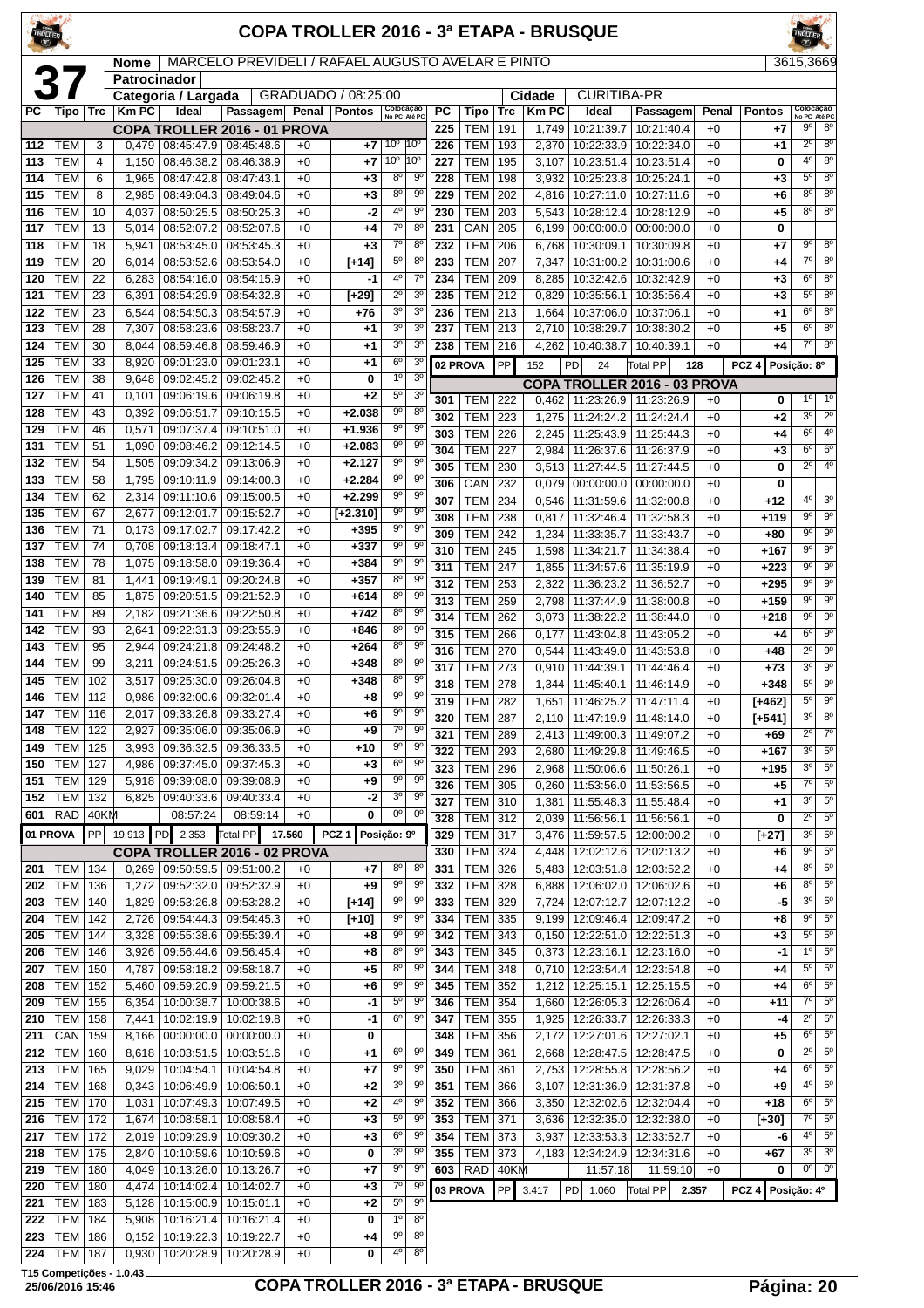| TROLLER          |                          |                 |                |                              |                                                   |              |                                      |                               |                               |            |                              |            |                       | COPA TROLLER 2016 - 3ª ETAPA - BRUSQUE                  |                          |              |                     | TROLLER <sup>COMM</sup>               |                                       |
|------------------|--------------------------|-----------------|----------------|------------------------------|---------------------------------------------------|--------------|--------------------------------------|-------------------------------|-------------------------------|------------|------------------------------|------------|-----------------------|---------------------------------------------------------|--------------------------|--------------|---------------------|---------------------------------------|---------------------------------------|
|                  |                          |                 | <b>Nome</b>    |                              | MARCELO PREVIDELI / RAFAEL AUGUSTO AVELAR E PINTO |              |                                      |                               |                               |            |                              |            |                       |                                                         |                          |              |                     | 3615,3669                             |                                       |
|                  | <b>37</b>                |                 | Patrocinador   |                              |                                                   |              |                                      |                               |                               |            |                              |            |                       |                                                         |                          |              |                     |                                       |                                       |
| PC               | Tipo   Trc               |                 | <b>Km PC</b>   | Categoria / Largada<br>Ideal | Passagem                                          | Penal        | GRADUADO / 08:25:00<br><b>Pontos</b> |                               | Colocação<br>No PC Até PC     | <b>PC</b>  | Tipo                         | <b>Trc</b> | Cidade<br><b>KmPC</b> | <b>CURITIBA-PR</b><br>Ideal                             | Passagem                 | Penal        | <b>Pontos</b>       |                                       | Colocação<br>No PC Até PC             |
|                  |                          |                 |                |                              | COPA TROLLER 2016 - 01 PROVA                      |              |                                      |                               |                               | 225        | <b>TEM</b>                   | 191        | 1,749                 | 10:21:39.7                                              | 10:21:40.4               | $+0$         | $+7$                | 90                                    | $8^{\circ}$                           |
| 112              | TEM                      | 3               | 0,479          |                              | 08:45:47.9 08:45:48.6                             | $+0$         | +7                                   | 10 <sup>o</sup>               | 10 <sup>o</sup>               | 226        | <b>TEM</b>                   | 193        |                       | 2,370 10:22:33.9                                        | 10:22:34.0               | $+0$         | +1                  | $2^{\circ}$                           | $8^{\circ}$                           |
| 113              | <b>TEM</b>               | 4               | 1,150          |                              | 08:46:38.2 08:46:38.9                             | $+0$         | +7                                   | 10 <sup>o</sup>               | 10°                           | 227        | <b>TEM</b>                   | 195        | 3,107                 | 10:23:51.4                                              | 10:23:51.4               | $+0$         | 0                   | 4°                                    | $8^{\circ}$                           |
| 114              | <b>TEM</b>               | 6               | 1,965          |                              | 08:47:42.8 08:47:43.1                             | $+0$         | $+3$                                 | 8 <sup>o</sup>                | $9^{\circ}$                   | 228        | <b>TEM</b>                   | 198        | 3,932                 | 10:25:23.8                                              | 10:25:24.1               | $+0$         | +3                  | $5^{\circ}$                           | 8 <sup>o</sup>                        |
| 115              | <b>TEM</b>               | 8               | 2,985          |                              | 08:49:04.3   08:49:04.6                           | $+0$         | +3                                   | $8^{\circ}$                   | 90                            | 229        | <b>TEM</b>                   | 202        |                       | 4,816 10:27:11.0                                        | 10:27:11.6               | $+0$         | $+6$                | $8^{\circ}$                           | $8^{\circ}$                           |
| 116              | <b>TEM</b>               | 10              | 4,037          | 08:50:25.5                   | 08:50:25.3                                        | $+0$         | $-2$                                 | $4^{\circ}$<br>$7^\circ$      | 90<br>$8^{\circ}$             | 230        | <b>TEM</b>                   | 203        | 5,543                 | 10:28:12.4                                              | 10:28:12.9               | $+0$         | $+5$                | 8°                                    | $8^{\circ}$                           |
| 117<br>118       | <b>TEM</b><br><b>TEM</b> | 13<br>18        | 5,014<br>5.941 | 08:52:07.2<br>08:53:45.0     | 08:52:07.6<br>08:53:45.3                          | $+0$<br>$+0$ | +4<br>+3                             | $7^\circ$                     | $8^{\circ}$                   | 231<br>232 | CAN<br><b>TEM</b>            | 205<br>206 | 6,199<br>6,768        | 00:00:00.0<br>10:30:09.1                                | 00:00:00.0<br>10:30:09.8 | $+0$<br>$+0$ | 0<br>+7             | $9^{\circ}$                           | $8^\circ$                             |
| 119              | <b>TEM</b>               | 20              | 6,014          | 08:53:52.6                   | 08:53:54.0                                        | $+0$         | $[-14]$                              | $5^{\circ}$                   | $8^{\circ}$                   | 233        | <b>TEM</b>                   | 207        | 7,347                 | 10:31:00.2                                              | 10:31:00.6               | $+0$         | +4                  | $\overline{7^{\circ}}$                | 8 <sup>o</sup>                        |
| 120              | <b>TEM</b>               | 22              | 6,283          | 08:54:16.0                   | 08:54:15.9                                        | $+0$         | -1                                   | 4 <sup>0</sup>                | 7 <sup>0</sup>                | 234        | <b>TEM</b>                   | 209        | 8,285                 | 10:32:42.6                                              | 10:32:42.9               | $+0$         | +3                  | 6 <sup>o</sup>                        | $8^{\circ}$                           |
| 121              | <b>TEM</b>               | 23              | 6,391          | 08:54:29.9                   | 08:54:32.8                                        | $+0$         | $[+29]$                              | $2^{\circ}$                   | 3 <sup>o</sup>                | 235        | <b>TEM</b>                   | 212        | 0,829                 | 10:35:56.1                                              | 10:35:56.4               | $+0$         | $+3$                | $5^{\circ}$                           | 8 <sup>o</sup>                        |
| 122              | <b>TEM</b>               | 23              | 6,544          | 08:54:50.3                   | 08:54:57.9                                        | $+0$         | $+76$                                | 3 <sup>o</sup>                | 3 <sup>o</sup>                | 236        | <b>TEM</b>                   | 213        | 1,664                 | 10:37:06.0                                              | 10:37:06.1               | $+0$         | +1                  | 6 <sup>o</sup>                        | 8 <sup>o</sup>                        |
| 123              | <b>TEM</b>               | 28              | 7,307          | 08:58:23.6                   | 08:58:23.7                                        | $+0$         | +1                                   | 3 <sup>o</sup>                | 3 <sup>o</sup>                | 237        | <b>TEM</b>                   | 213        | 2,710                 | 10:38:29.7                                              | 10:38:30.2               | $+0$         | $+5$                | $6^{\circ}$                           | 8 <sup>o</sup>                        |
| 124              | <b>TEM</b>               | 30              | 8.044          | 08:59:46.8                   | 08:59:46.9                                        | $+0$         | +1                                   | 3 <sup>0</sup>                | 3 <sup>o</sup>                | 238        | <b>TEM</b>                   | 216        |                       | 4,262   10:40:38.7                                      | 10:40:39.1               | $+0$         | +4                  | $7^\circ$                             | $8^{\circ}$                           |
| 125              | <b>TEM</b>               | $\overline{33}$ | 8,920          | 09:01:23.0                   | 09:01:23.1                                        | $+0$         | +1                                   | 6 <sup>o</sup>                | 3 <sup>0</sup>                |            | 02 PROVA                     | PP         | 152                   | PD<br>24                                                | Total PP                 | 128          | $PCZ$ 4             | Posicão: 8º                           |                                       |
| 126              | <b>TEM</b>               | 38              | 9.648          | 09:02:45.2                   | 09:02:45.2                                        | $+0$         | 0                                    | 10                            | 3 <sup>0</sup>                |            |                              |            |                       | <b>COPA TROLLER 2016 - 03 PROVA</b>                     |                          |              |                     |                                       |                                       |
| 127<br>128       | <b>TEM</b><br><b>TEM</b> | 41<br>43        | 0,101<br>0,392 | 09:06:19.6<br>09:06:51.7     | 09:06:19.8<br>09:10:15.5                          | $+0$<br>$+0$ | $+2$<br>$+2.038$                     | $5^{\circ}$<br>$9^{\circ}$    | 3 <sup>o</sup><br>$8^{\circ}$ | 301        | <b>TEM 222</b>               |            |                       | $0.462$   11:23:26.9                                    | 11:23:26.9               | $+0$         | 0                   | $1^{\circ}$                           | $1^{\circ}$                           |
| 129              | <b>TEM</b>               | 46              | 0,571          | 09:07:37.4                   | 09:10:51.0                                        | $+0$         | $+1.936$                             | $\overline{9^{\circ}}$        | $\overline{9^{\circ}}$        | 302        | <b>TEM</b>                   | 223        | 1,275                 | 11:24:24.2                                              | 11:24:24.4               | $+0$         | +2                  | 3°                                    | $2^{\circ}$                           |
| 131              | <b>TEM</b>               | 51              | 1,090          | 09:08:46.2                   | 09:12:14.5                                        | $+0$         | $+2.083$                             | $9^{\circ}$                   | 9 <sup>o</sup>                | 303<br>304 | <b>TEM</b><br><b>TEM</b>     | 226<br>227 | 2,984                 | 2,245   11:25:43.9<br>11:26:37.6                        | 11:25:44.3<br>11:26:37.9 | $+0$<br>$+0$ | +4<br>+3            | 6 <sup>o</sup><br>$6^{\circ}$         | 4 <sup>0</sup><br>$6^{\circ}$         |
| 132              | <b>TEM</b>               | 54              | 1.505          | 09:09:34.2                   | 09:13:06.9                                        | $+0$         | $+2.127$                             | $9^{\circ}$                   | $9^{\circ}$                   | 305        | <b>TEM</b>                   | 230        |                       | $3,513$   11:27:44.5                                    | 11:27:44.5               | $+0$         | 0                   | $2^{\circ}$                           | 4 <sup>0</sup>                        |
| 133              | <b>TEM</b>               | 58              | 1,795          | 09:10:11.9                   | 09:14:00.3                                        | $+0$         | $+2.284$                             | $9^{\circ}$                   | $9^{\circ}$                   | 306        | CAN                          | 232        | 0,079                 | 00:00:00.0                                              | 00:00:00.0               | $+0$         | 0                   |                                       |                                       |
| 134              | <b>TEM</b>               | 62              | 2,314          | 09:11:10.6                   | 09:15:00.5                                        | $+0$         | $+2.299$                             | $9^{\circ}$                   | 9 <sup>o</sup>                | 307        | <b>TEM</b>                   | 234        | 0,546                 | 11:31:59.6                                              | 11:32:00.8               | $+0$         | $+12$               | $4^{\circ}$                           | $3^{\circ}$                           |
| 135              | <b>TEM</b>               | 67              | 2,677          | 09:12:01.7                   | 09:15:52.7                                        | $+0$         | $[-2.310]$                           | $9^{\circ}$                   | $9^{\circ}$                   | 308        | <b>TEM</b>                   | 238        | 0,817                 | 11:32:46.4                                              | 11:32:58.3               | $+0$         | +119                | $9^{\circ}$                           | $9^{\circ}$                           |
| 136              | <b>TEM</b>               | 71              | 0,173          | 09:17:02.7                   | 09:17:42.2                                        | $+0$         | $+395$                               | $9^{\circ}$                   | $9^{\circ}$                   | 309        | <b>TEM</b>                   | 242        | 1,234                 | 11:33:35.7                                              | 11:33:43.7               | $+0$         | +80                 | $9^{\circ}$                           | $9^{\circ}$                           |
| 137              | <b>TEM</b>               | 74              | 0,708          | 09:18:13.4                   | 09:18:47.1                                        | $+0$         | $+337$                               | $9^{\circ}$<br>$9^{\circ}$    | 90<br>$9^{\circ}$             | 310        | <b>TEM</b>                   | 245        | 1,598                 | 11:34:21.7                                              | 11:34:38.4               | $+0$         | +167                | g                                     | $9^{\circ}$                           |
| 138<br>139       | <b>TEM</b><br><b>TEM</b> | 78<br>81        | 1,075<br>1,441 | 09:18:58.0<br>09:19:49.1     | 09:19:36.4<br>09:20:24.8                          | $+0$<br>$+0$ | $+384$<br>$+357$                     | $8^{\circ}$                   | $9^{\circ}$                   | 311        | <b>TEM</b>                   | 247        | 1,855                 | 11:34:57.6                                              | 11:35:19.9               | $+0$         | $+223$              | $9^{\circ}$                           | 90                                    |
| 140              | <b>TEM</b>               | 85              | 1,875          |                              | 09:20:51.5   09:21:52.9                           | $+0$         | $+614$                               | 8 <sup>o</sup>                | 9 <sup>o</sup>                | 312        | <b>TEM</b>                   | 253        | 2,322                 | 11:36:23.2                                              | 11:36:52.7               | $+0$         | $+295$              | $9^{\circ}$                           | $9^{\circ}$                           |
| 141              | <b>TEM</b>               | 89              | 2,182          | 09:21:36.6                   | 09:22:50.8                                        | $+0$         | $+742$                               | 8 <sup>o</sup>                | $9^\circ$                     | 313<br>314 | <b>TEM</b><br><b>TEM</b>     | 259<br>262 | 2,798                 | 11:37:44.9                                              | 11:38:00.8               | $+0$<br>$+0$ | $+159$              | $9^{\circ}$<br>$\overline{9^{\circ}}$ | $9^{\circ}$<br>$\overline{9^{\circ}}$ |
| 142              | <b>TEM</b>               | 93              | 2.641          | 09:22:31.3                   | 09:23:55.9                                        | $+0$         | +846                                 | 8 <sup>o</sup>                | $9^{\circ}$                   | 315        | <b>TEM</b>                   | 266        | 3,073<br>0,177        | 11:38:22.2<br>11:43:04.8                                | 11:38:44.0<br>11:43:05.2 | $+0$         | $+218$<br>+4        | $6^{\circ}$                           | $\overline{9^{\circ}}$                |
| 143              | <b>TEM</b>               | 95              | 2,944          |                              | 09:24:21.8 09:24:48.2                             | $+0$         | $+264$                               | $8^{\circ}$                   | $9^{\circ}$                   | 316        | <b>TEM</b>                   | 270        | 0,544                 | 11:43:49.0                                              | 11:43:53.8               | $+0$         | +48                 | $2^{\circ}$                           | $9^{\circ}$                           |
| 144              | <b>TEM</b>               | 99              | 3,211          | 09:24:51.5                   | 09:25:26.3                                        | $+0$         | $+348$                               | 8 <sup>o</sup>                | $9^{\circ}$                   | 317        | <b>TEM</b>                   | 273        | 0,910                 | 11:44:39.1                                              | 11:44:46.4               | $+0$         | $+73$               | $3^{\circ}$                           | 90                                    |
| 145              | <b>TEM</b>               | 102             | 3,517          | 09:25:30.0                   | 09:26:04.8                                        | $+0$         | $+348$                               | 8 <sup>o</sup>                | $9^\circ$                     | 318        | <b>TEM</b>                   | 278        | 1,344                 | 11:45:40.1                                              | 11:46:14.9               | $+0$         | $+348$              | $5^{\circ}$                           | $9^{\circ}$                           |
| 146              | <b>TEM</b>               | 112             | 0,986          |                              | 09:32:00.6 09:32:01.4                             | $+0$         | +8                                   | $9^{\circ}$                   | $9^{\circ}$                   | 319        | <b>TEM</b>                   | 282        | 1,651                 | 11:46:25.2                                              | 11:47:11.4               | $+0$         | $[+462]$            | $5^{\circ}$                           | $9^\circ$                             |
| $\overline{147}$ | $TEM$ 116                |                 |                |                              | 2,017 09:33:26.8 09:33:27.4                       | $+0$         | $+6$                                 | 90                            | 9 <sup>o</sup>                |            | 320 TEM 287                  |            |                       | 2,110 11:47:19.9 11:48:14.0                             |                          | $+0$         | $\overline{[+541]}$ |                                       | $30$ 8 <sup>0</sup>                   |
| 148              | TEM                      | 122             | 2,927          |                              | 09:35:06.0 09:35:06.9                             | $+0$         | +9                                   | $7^\circ$<br>9 <sup>o</sup>   | $9^{\circ}$                   | 321        | <b>TEM 289</b>               |            |                       | 2,413   11:49:00.3                                      | 11:49:07.2               | $+0$         | $+69$               | $2^{\circ}$                           | $7^\circ$                             |
| 149<br>150       | <b>TEM</b><br><b>TEM</b> | 125<br>127      | 3.993<br>4,986 | 09:36:32.5                   | 09:36:33.5<br>09:37:45.0 09:37:45.3               | $+0$<br>$+0$ | +10<br>+3                            | $6^{\circ}$                   | $9^{\rm o}$<br>$-9^{\circ}$   | 322        | <b>TEM 293</b>               |            | 2,680                 | 11:49:29.8                                              | 11:49:46.5               | $+0$         | $+167$              | $3^{\circ}$                           | 5 <sup>o</sup>                        |
| 151              | <b>TEM</b>               | 129             | 5,918          |                              | 09:39:08.0 09:39:08.9                             | $+0$         | +9                                   | $9^{\circ}$                   | 90                            | 323        | <b>TEM 296</b>               |            |                       | 2,968   11:50:06.6                                      | 11:50:26.1               | $+0$         | $+195$              | 3 <sup>o</sup><br>$7^\circ$           | $5^{\circ}$<br>$5^{\circ}$            |
| 152              | <b>TEM</b>               | 132             | 6,825          |                              | 09:40:33.6 09:40:33.4                             | $+0$         | $-2$                                 | $3^{\circ}$                   | $9^{\circ}$                   | 326<br>327 | <b>TEM</b><br><b>TEM 310</b> | 305        | 0,260<br>1,381        | 11:53:56.0<br>11:55:48.3                                | 11:53:56.5<br>11:55:48.4 | $+0$<br>$+0$ | +5<br>+1            | 3 <sup>o</sup>                        | $5^{\circ}$                           |
| 601              | <b>RAD</b>               | 40KM            |                | 08:57:24                     | 08:59:14                                          | $+0$         | 0                                    | $0^{\circ}$                   | $0^{\rm o}$                   | 328        | <b>TEM 312</b>               |            | 2,039                 | 11:56:56.1                                              | 11:56:56.1               | $+0$         | 0                   | $\overline{2^{\circ}}$                | $5^{\circ}$                           |
|                  | 01 PROVA                 | PP              |                | 19.913 PD 2.353              | Total PP 17.560                                   |              | PCZ <sub>1</sub>                     | Posição: 9º                   |                               | 329        | <b>TEM 317</b>               |            | 3,476                 | 11:59:57.5                                              | 12:00:00.2               | $+0$         | $[+27]$             | $3^{\circ}$                           | $5^{\circ}$                           |
|                  |                          |                 |                |                              | COPA TROLLER 2016 - 02 PROVA                      |              |                                      |                               |                               | 330        | $TEM$ 324                    |            | 4,448                 | 12:02:12.6   12:02:13.2                                 |                          | $+0$         | +6                  | $9^{\circ}$                           | $5^{\circ}$                           |
| 201              | TEM                      | 134             | 0,269          |                              | 09:50:59.5   09:51:00.2                           | $+0$         | +7                                   | 8 <sup>o</sup>                | $8^{\circ}$                   | 331        | <b>TEM</b>                   | 326        | 5,483                 | 12:03:51.8                                              | 12:03:52.2               | $+0$         | +4                  | $8^{\circ}$                           | $5^{\circ}$                           |
| 202              | <b>TEM</b>               | 136             | 1,272          |                              | 09:52:32.0 09:52:32.9                             | $+0$         | +9                                   | 9 <sup>o</sup>                | $9^{\circ}$                   | 332        | TEM 328                      |            | 6,888                 | 12:06:02.0   12:06:02.6                                 |                          | $+0$         | +6                  | 8°                                    | $5^{\circ}$                           |
| 203              | <b>TEM</b>               | 140             | 1,829          |                              | 09:53:26.8 09:53:28.2                             | $+0$         | $[-14]$                              | $9^{\circ}$                   | $9^{\circ}$                   | 333        | TEM 329                      |            |                       | 7,724 12:07:12.7                                        | 12:07:12.2               | $+0$         | -5                  | 3 <sup>o</sup>                        | $5^{\circ}$                           |
| 204              | <b>TEM</b>               | 142             | 2,726          |                              | 09:54:44.3 09:54:45.3                             | $+0$         | $[+10]$                              | $9^{\circ}$                   | $9^{\circ}$                   | 334        | TEM 335                      |            |                       | 9,199   12:09:46.4                                      | 12:09:47.2               | $+0$         | +8                  | $9^{\circ}$                           | $5^{\circ}$                           |
| 205              | TEM                      | 144             | 3,328          |                              | 09:55:38.6 09:55:39.4                             | $+0$         | +8                                   | 90                            | $9^{\circ}$                   | 342        | <b>TEM</b>                   | 343        |                       | $0,150$   12:22:51.0                                    | 12:22:51.3               | $+0$         | +3                  | $5^{\circ}$                           | $5^{\circ}$                           |
| 206<br>207       | <b>TEM</b><br><b>TEM</b> | 146<br>150      | 3,926          |                              | 09:56:44.6   09:56:45.4                           | $+0$<br>$+0$ | +8                                   | 8 <sup>o</sup><br>$8^{\rm o}$ | $9^\circ$<br>$9^{\circ}$      | 343<br>344 | <b>TEM</b><br>TEM 348        | 345        |                       | $0,373$ 12:23:16.1<br>$0,710$   12:23:54.4   12:23:54.8 | 12:23:16.0               | $+0$<br>$+0$ | -1                  | 1 <sup>°</sup><br>$5^{\circ}$         | $5^{\circ}$<br>$5^{\circ}$            |
| 208              | <b>TEM</b>               | 152             | 4,787<br>5,460 |                              | 09:58:18.2   09:58:18.7<br>09:59:20.9 09:59:21.5  | $+0$         | +5<br>+6                             | $9^{\rm o}$                   | 90                            | 345        | <b>TEM 352</b>               |            |                       | 1,212 12:25:15.1                                        | 12:25:15.5               | $+0$         | +4<br>+4            | $6^{\circ}$                           | $5^{\circ}$                           |
| 209              | <b>TEM</b>               | 155             | 6,354          | 10:00:38.7                   | 10:00:38.6                                        | $+0$         | -1                                   | $5^\circ$                     | $9^{\circ}$                   | 346        | TEM 354                      |            | 1,660                 | 12:26:05.3                                              | 12:26:06.4               | $+0$         | $+11$               | $\overline{7^{\circ}}$                | $5^{\circ}$                           |
| 210              | <b>TEM</b>               | 158             | 7,441          |                              | 10:02:19.9 10:02:19.8                             | $+0$         | -1                                   | $6^{\rm o}$                   | 90                            | 347        | TEM 355                      |            |                       | 1,925   12:26:33.7                                      | 12:26:33.3               | $+0$         | -4                  | $2^{\circ}$                           | $5^{\circ}$                           |
| 211              | CAN                      | 159             | 8,166          |                              | $00:00:00.0$   $00:00:00.0$                       | $+0$         | 0                                    |                               |                               | 348        | <b>TEM</b>                   | 356        | 2,172                 | 12:27:01.6                                              | 12:27:02.1               | $+0$         | +5                  | $6^{\circ}$                           | $5^{\circ}$                           |
| 212              | <b>TEM</b>               | 160             | 8,618          |                              | 10:03:51.5 10:03:51.6                             | $+0$         | +1                                   | $6^{\rm o}$                   | $9^{\circ}$                   | 349        | TEM 361                      |            |                       | 2,668   12:28:47.5   12:28:47.5                         |                          | $+0$         | 0                   | $2^{\circ}$                           | $5^{\circ}$                           |
| 213              | <b>TEM</b>               | 165             | 9,029          | 10:04:54.1                   | 10:04:54.8                                        | $+0$         | +7                                   | $9^{\circ}$                   | $9^\circ$                     | 350        | <b>TEM</b>                   | 361        |                       | 2,753   12:28:55.8                                      | 12:28:56.2               | $+0$         | +4                  | $6^{\circ}$                           | $5^{\circ}$                           |
| 214              | <b>TEM</b>               | 168             | 0,343          |                              | 10:06:49.9   10:06:50.1                           | $+0$         | +2                                   | 3 <sup>0</sup>                | $9^{\circ}$                   | 351        | <b>TEM 366</b>               |            | 3,107                 | 12:31:36.9                                              | 12:31:37.8               | $+0$         | +9                  | 4 <sup>0</sup>                        | $5^{\circ}$                           |
| 215              | <b>TEM</b>               | 170             | 1,031          |                              | 10:07:49.3   10:07:49.5                           | $+0$         | +2                                   | 4°                            | $9^{\rm o}$                   | 352        | <b>TEM</b>                   | 366        |                       | 3,350   12:32:02.6                                      | 12:32:04.4               | $+0$         | +18                 | $6^{\circ}$                           | $5^{\circ}$                           |
| 216              | <b>TEM</b>               | 172             | 1,674          | 10:08:58.1                   | 10:08:58.4                                        | $+0$         | +3                                   | $5^{\rm o}$                   | $9^{\circ}$                   | 353        | <b>TEM</b>                   | 371        | 3,636                 | 12:32:35.0                                              | 12:32:38.0               | $+0$         | [+30]               | $7^\circ$                             | $5^{\rm o}$                           |
| 217              | <b>TEM</b>               | 172             | 2,019          |                              | 10:09:29.9   10:09:30.2                           | $+0$         | +3                                   | $6^{\circ}$<br>3 <sup>o</sup> | $9^{\circ}$                   | 354        | TEM 373                      |            |                       | 3,937   12:33:53.3                                      | 12:33:52.7               | $+0$         | -6                  | 4 <sup>0</sup><br>$3^{\circ}$         | $5^{\circ}$<br>3 <sup>o</sup>         |
| 218<br>219       | <b>TEM</b><br><b>TEM</b> | 175<br>180      | 2,840<br>4,049 |                              | 10:10:59.6   10:10:59.6<br>10:13:26.0 10:13:26.7  | $+0$<br>$+0$ | 0<br>+7                              | $9^{\circ}$                   | $9^{\rm o}$<br>$9^{\circ}$    | 355<br>603 | TEM 373<br>$RAD$ 40KM        |            |                       | 4,183 12:34:24.9<br>11:57:18                            | 12:34:31.6<br>11:59:10   | $+0$<br>$+0$ | +67<br>0            |                                       | $00$ 0 <sup>o</sup>                   |
| 220              | <b>TEM</b>               | 180             | 4,474          | 10:14:02.4                   | 10:14:02.7                                        | $+0$         | +3                                   | $7^\circ$                     | 90                            |            | 03 PROVA                     | PP         | 3.417                 | PD 1.060                                                | <b>Total PP</b>          |              | PCZ <sub>4</sub>    |                                       |                                       |
| 221              | <b>TEM</b>               | 183             | 5,128          |                              | 10:15:00.9   10:15:01.1                           | $+0$         | +2                                   | $5^{\circ}$                   | $9^{\circ}$                   |            |                              |            |                       |                                                         |                          | 2.357        |                     | Posição: 4º                           |                                       |
| 222              | <b>TEM 184</b>           |                 |                |                              | 5,908   10:16:21.4   10:16:21.4                   | $+0$         | 0                                    | $1^{\circ}$                   | 8 <sup>o</sup>                |            |                              |            |                       |                                                         |                          |              |                     |                                       |                                       |

 TEM 186 0,152 10:19:22.3 10:19:22.7 +0 **+4** 9º 8º TEM 187 0,930 10:20:28.9 10:20:28.9 +0 **0** 4º 8º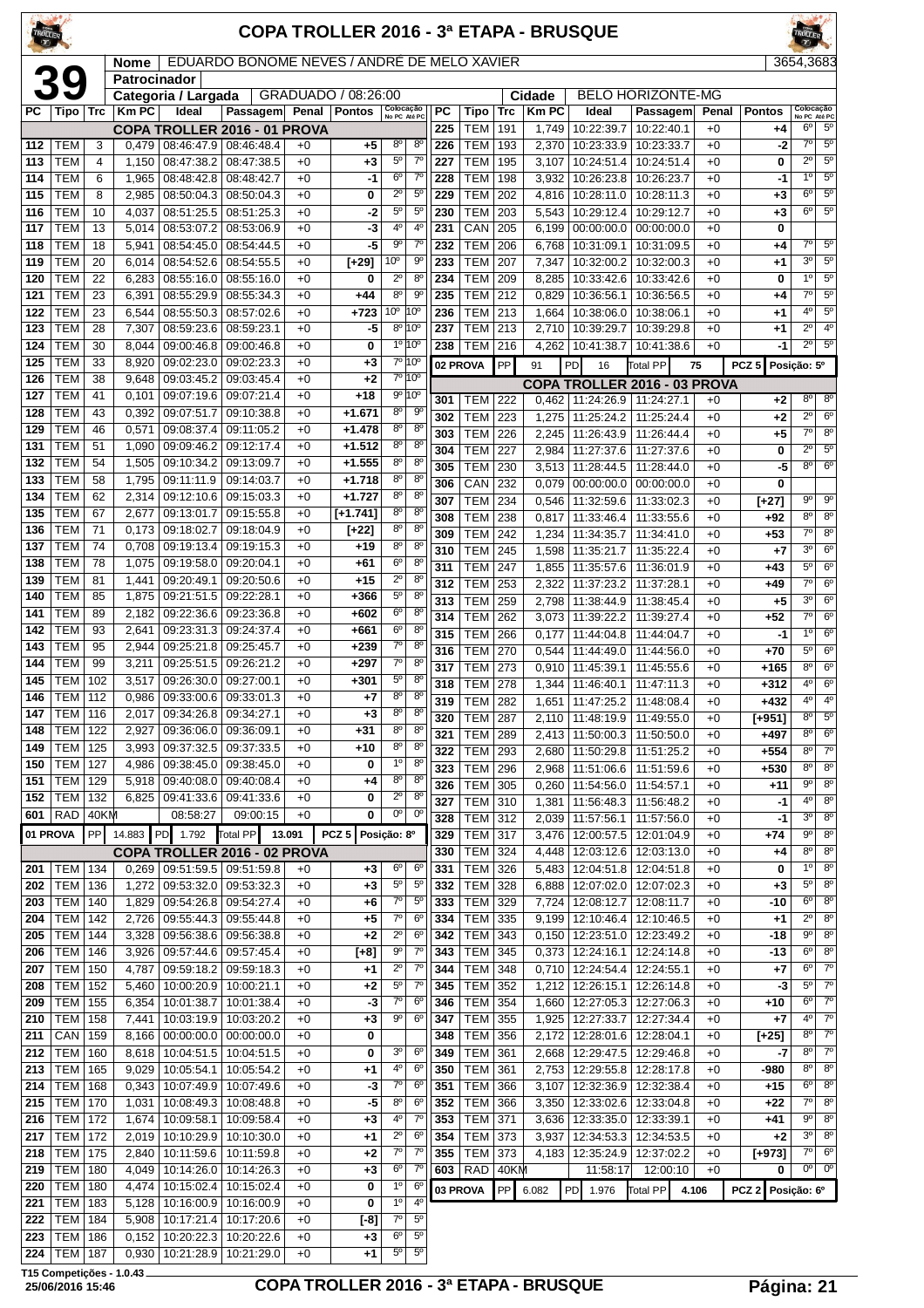| <b>FROLLER</b> |                          |                 |                                    |                                                                |                                             |              |                      |                                  |                                  |            |                              |            |                | <b>COPA TROLLER 2016 - 3ª ETAPA - BRUSQUE</b>                  |                          |              |                  |                                  |                               |
|----------------|--------------------------|-----------------|------------------------------------|----------------------------------------------------------------|---------------------------------------------|--------------|----------------------|----------------------------------|----------------------------------|------------|------------------------------|------------|----------------|----------------------------------------------------------------|--------------------------|--------------|------------------|----------------------------------|-------------------------------|
|                |                          |                 | <b>Nome</b><br><b>Patrocinador</b> |                                                                | EDUARDO BONOME NEVES / ANDRÉ DE MELO XAVIER |              |                      |                                  |                                  |            |                              |            |                |                                                                |                          |              |                  | 3654,3683                        |                               |
|                | 39                       |                 |                                    | Categoria / Largada                                            |                                             |              | GRADUADO / 08:26:00  |                                  |                                  |            |                              |            | Cidade         |                                                                | <b>BELO HORIZONTE-MG</b> |              |                  |                                  |                               |
| PC I           | Tipo                     | <b>Trc</b>      | Km PC                              | Ideal                                                          | Passagem Penal Pontos                       |              |                      | Colocação<br>No PC Até PC        |                                  | <b>PC</b>  | Tipo                         | <b>Trc</b> | <b>KmPC</b>    | Ideal                                                          | Passagem                 | Penal        | <b>Pontos</b>    |                                  | Colocação<br>No PC Até PC     |
| 112            | TEM                      | 3               | 0,479                              | COPA TROLLER 2016 - 01 PROVA<br>08:46:47.9                     | 08:46:48.4                                  | $+0$         | +5                   | $8^{\circ}$                      | $8^{\circ}$                      | 225<br>226 | <b>TEM</b><br><b>TEM</b>     | 191<br>193 | 1,749<br>2,370 | 10:22:39.7<br>10:23:33.9                                       | 10:22:40.1<br>10:23:33.7 | $+0$<br>$+0$ | +4<br>$-2$       | $6^{\circ}$<br>$7^\circ$         | $5^{\rm o}$<br>$5^{\circ}$    |
| 113            | <b>TEM</b>               | $\overline{4}$  | 1,150                              | 08:47:38.2                                                     | 08:47:38.5                                  | $+0$         | $+3$                 | $5^{\rm o}$                      | $7^{\circ}$                      | 227        | <b>TEM</b>                   | 195        | 3,107          | 10:24:51.4                                                     | 10:24:51.4               | $+0$         | 0                | $2^{\circ}$                      | $5^{\circ}$                   |
| 114            | <b>TEM</b>               | 6               | 1,965                              | 08:48:42.8                                                     | 08:48:42.7                                  | $+0$         | -1                   | $6^{\circ}$                      | $7^\circ$                        | 228        | <b>TEM</b>                   | 198        | 3,932          | 10:26:23.8                                                     | 10:26:23.7               | $+0$         | -1               | 1 <sup>o</sup>                   | $5^{\circ}$                   |
| 115            | <b>TEM</b>               | 8               |                                    | 2,985   08:50:04.3                                             | 08:50:04.3                                  | $+0$         | 0                    | $2^{\circ}$                      | $5^{\circ}$                      | 229        | <b>TEM 202</b>               |            |                | 4,816   10:28:11.0   10:28:11.3                                |                          | $+0$         | $+3$             | 6 <sup>o</sup>                   | $5^{\circ}$                   |
| 116            | <b>TEM</b>               | 10              | 4,037                              | 08:51:25.5                                                     | 08:51:25.3                                  | $+0$         | -2                   | $5^{\rm o}$                      | $5^{\circ}$                      | 230        | <b>TEM</b>                   | 203        | 5,543          | 10:29:12.4                                                     | 10:29:12.7               | $+0$         | +3               | 6 <sup>o</sup>                   | $5^{\circ}$                   |
| 117<br>118     | <b>TEM</b><br><b>TEM</b> | 13<br>18        | 5,014<br>5,941                     | 08:53:07.2<br>08:54:45.0                                       | 08:53:06.9<br>08:54:44.5                    | $+0$<br>$+0$ | -3<br>-5             | 4°<br>$9^{\circ}$                | 4 <sup>0</sup><br>$7^{\circ}$    | 231<br>232 | CAN<br><b>TEM</b>            | 205<br>206 | 6,199<br>6,768 | 00:00:00.0<br>10:31:09.1                                       | 00:00:00.0<br>10:31:09.5 | $+0$<br>$+0$ | 0<br>$+4$        | $7^\circ$                        | $5^{\circ}$                   |
| 119            | <b>TEM</b>               | 20              | 6,014                              | 08:54:52.6                                                     | 08:54:55.5                                  | $+0$         | $[+29]$              | 10 <sup>o</sup>                  | 90                               | 233        | <b>TEM</b>                   | 207        | 7,347          | 10:32:00.2                                                     | 10:32:00.3               | $+0$         | +1               | 3 <sup>0</sup>                   | $5^{\rm o}$                   |
| 120            | <b>TEM</b>               | $\overline{22}$ |                                    | 6,283   08:55:16.0                                             | 08:55:16.0                                  | $+0$         | 0                    | $2^{\circ}$                      | 8 <sup>o</sup>                   | 234        | <b>TEM</b>                   | 209        | 8,285          | 10:33:42.6                                                     | 10:33:42.6               | $+0$         | 0                | $1^{\circ}$                      | $5^{\circ}$                   |
| 121            | <b>TEM</b>               | 23              | 6,391                              | 08:55:29.9                                                     | 08:55:34.3                                  | $+0$         | $+44$                | 8 <sup>o</sup>                   | $9^{\circ}$                      | 235        | <b>TEM</b>                   | 212        | 0,829          | 10:36:56.1                                                     | 10:36:56.5               | $+0$         | +4               | $7^\circ$                        | $5^{\circ}$                   |
| 122            | <b>TEM</b>               | 23              | 6,544                              | 08:55:50.3                                                     | 08:57:02.6                                  | $+0$         | $+723$               | 10 <sup>o</sup>                  | 10°<br>$8^{\circ}$ 10 $^{\circ}$ | 236        | <b>TEM</b>                   | 213        | 1,664          | 10:38:06.0                                                     | 10:38:06.1               | $+0$         | $+1$             | $4^{\circ}$<br>$2^{\circ}$       | $5^{\circ}$<br>$4^{\circ}$    |
| 123<br>124     | TEM<br>TEM               | 28<br>30        | 7,307<br>8,044                     | 08:59:23.6<br>09:00:46.8                                       | 08:59:23.1<br>09:00:46.8                    | $+0$<br>$+0$ | -5<br>0              |                                  | 1° 10°                           | 237<br>238 | <b>TEM</b><br><b>TEM</b>     | 213<br>216 | 2,710<br>4,262 | 10:39:29.7<br>10:41:38.7                                       | 10:39:29.8<br>10:41:38.6 | $+0$<br>$+0$ | +1<br>-1         | $2^{\circ}$                      | $5^{\rm o}$                   |
| 125            | <b>TEM</b>               | 33              | 8,920                              | 09:02:23.0                                                     | 09:02:23.3                                  | $+0$         | $+3$                 |                                  | 7º 10º                           |            | 02 PROVA                     | PP         | 91             | <b>PD</b><br>16                                                | Total PP                 | 75           | PCZ <sub>5</sub> | Posição: 5°                      |                               |
| 126            | <b>TEM</b>               | 38              | 9,648                              | 09:03:45.2                                                     | 09:03:45.4                                  | $+0$         | $+2$                 |                                  | 7º 10º                           |            |                              |            |                | COPA TROLLER 2016 - 03 PROVA                                   |                          |              |                  |                                  |                               |
| 127            | <b>TEM</b>               | 41              | 0,101                              | 09:07:19.6                                                     | 09:07:21.4                                  | $+0$         | $+18$                |                                  | 9° 10°                           | 301        | <b>TEM 222</b>               |            |                | 0,462 11:24:26.9 11:24:27.1                                    |                          | $+0$         | +2               | 8°                               | $8^{\circ}$                   |
| 128            | TEM                      | 43              | 0,392                              | 09:07:51.7                                                     | 09:10:38.8                                  | $+0$         | $+1.671$             | $8^{\circ}$                      | 90                               | 302        | <b>TEM</b>                   | 223        | 1,275          | 11:25:24.2                                                     | 11:25:24.4               | $+0$         | $+2$             | $2^{\circ}$                      | $6^{\circ}$                   |
| 129            | <b>TEM</b>               | 46<br>51        | 0,571                              | 09:08:37.4                                                     | 09:11:05.2                                  | $+0$         | $+1.478$             | $8^{\circ}$<br>$8^{\circ}$       | $8^{\circ}$<br>$8^{\circ}$       | 303        | <b>TEM</b>                   | 226        | 2.245          | 11:26:43.9                                                     | 11:26:44.4               | $+0$         | $+5$             | $7^\circ$                        | 8 <sup>o</sup>                |
| 131<br>132     | <b>TEM</b><br><b>TEM</b> | 54              | 1,090<br>1,505                     | 09:09:46.2<br>09:10:34.2                                       | 09:12:17.4<br>09:13:09.7                    | $+0$<br>$+0$ | $+1.512$<br>$+1.555$ | $8^{\circ}$                      | 8 <sup>o</sup>                   | 304        | <b>TEM</b>                   | 227        | 2,984          | 11:27:37.6                                                     | 11:27:37.6               | $+0$         | 0                | $2^{\circ}$<br>$8^{\circ}$       | $5^{\circ}$<br>$6^{\circ}$    |
| 133            | <b>TEM</b>               | 58              | 1,795                              | 09:11:11.9                                                     | 09:14:03.7                                  | $+0$         | $+1.718$             | 8 <sup>o</sup>                   | $8^{\circ}$                      | 305<br>306 | <b>TEM</b><br>CAN            | 230<br>232 | 3,513          | 11:28:44.5<br>$0.079$   00:00:00.0   00:00:00.0                | 11:28:44.0               | $+0$<br>$+0$ | -5<br>0          |                                  |                               |
| 134            | TEM                      | 62              | 2,314                              | 09:12:10.6                                                     | 09:15:03.3                                  | $+0$         | $+1.727$             | 8 <sup>o</sup>                   | 8 <sup>o</sup>                   | 307        | <b>TEM</b>                   | 234        | 0,546          | 11:32:59.6                                                     | 11:33:02.3               | $+0$         | [+27]            | $9^{\circ}$                      | $9^{\circ}$                   |
| 135            | TEM                      | 67              | 2,677                              | 09:13:01.7                                                     | 09:15:55.8                                  | $+0$         | $[+1.741]$           | 8 <sup>o</sup>                   | 8 <sup>o</sup>                   | 308        | <b>TEM</b>                   | 238        | 0,817          | 11:33:46.4                                                     | 11:33:55.6               | $+0$         | $+92$            | 8°                               | $8^{\circ}$                   |
| 136            | <b>TEM</b>               | 71              | 0,173                              | 09:18:02.7                                                     | 09:18:04.9                                  | $+0$         | $[-22]$              | $8^{\circ}$                      | 8 <sup>o</sup>                   | 309        | <b>TEM</b>                   | 242        | 1,234          | 11:34:35.7                                                     | 11:34:41.0               | $+0$         | $+53$            | 경                                | 8 <sup>o</sup>                |
| 137<br>138     | <b>TEM</b><br><b>TEM</b> | 74<br>78        | 0,708<br>1,075                     | 09:19:13.4<br>09:19:58.0                                       | 09:19:15.3<br>09:20:04.1                    | $+0$<br>$+0$ | $+19$<br>$+61$       | $8^{\circ}$<br>$6^{\circ}$       | 8 <sup>o</sup><br>$8^{\circ}$    | 310        | <b>TEM</b>                   | 245        | 1,598          | 11:35:21.7                                                     | 11:35:22.4               | $+0$         | $+7$             | 3 <sup>0</sup>                   | $6^{\circ}$                   |
| 139            | <b>TEM</b>               | 81              | 1,441                              | 09:20:49.1                                                     | 09:20:50.6                                  | $+0$         | $+15$                | $2^{\circ}$                      | 8 <sup>o</sup>                   | 311        | <b>TEM</b><br><b>TEM</b>     | 247        | 1,855          | 11:35:57.6                                                     | 11:36:01.9               | $+0$<br>$+0$ | $+43$<br>+49     | $5^{\circ}$<br>$\overline{7^0}$  | $6^{\circ}$<br>$6^{\circ}$    |
| 140            | <b>TEM</b>               | 85              | 1,875                              | 09:21:51.5                                                     | 09:22:28.1                                  | $+0$         | +366                 | $5^{\circ}$                      | 8 <sup>0</sup>                   | 312<br>313 | <b>TEM</b>                   | 253<br>259 | 2,322<br>2,798 | 11:37:23.2<br>11:38:44.9                                       | 11:37:28.1<br>11:38:45.4 | $+0$         | $+5$             | 3 <sup>0</sup>                   | $6^{\circ}$                   |
| 141            | <b>TEM</b>               | 89              | 2,182                              | 09:22:36.6                                                     | 09:23:36.8                                  | $+0$         | +602                 | $6^{\circ}$                      | 8 <sup>0</sup>                   | 314        | <b>TEM</b>                   | 262        | 3,073          | 11:39:22.2                                                     | 11:39:27.4               | $+0$         | $+52$            | $\overline{7^\circ}$             | $6^{\circ}$                   |
| 142            | <b>TEM</b>               | 93              | 2,641                              | 09:23:31.3                                                     | 09:24:37.4                                  | $+0$         | +661                 | $6^{\circ}$                      | $8^{\circ}$                      | 315        | <b>TEM</b>                   | 266        | 0,177          | 11:44:04.8                                                     | 11:44:04.7               | $+0$         | -1               | $1^{\circ}$                      | $6^{\circ}$                   |
| 143            | <b>TEM</b>               | 95              | 2,944                              | 09:25:21.8                                                     | 09:25:45.7                                  | $+0$         | $+239$               | $7^\circ$<br>$7^\circ$           | $8^{\circ}$<br>8 <sup>o</sup>    | 316        | <b>TEM</b>                   | 270        | 0,544          | 11:44:49.0                                                     | 11:44:56.0               | $+0$         | $+70$            | $5^{\circ}$                      | $6^{\circ}$                   |
| 144<br>145     | <b>TEM</b><br>TEM        | 99<br>102       | 3,211<br>3,517                     | 09:25:51.5<br>09:26:30.0                                       | 09:26:21.2<br>09:27:00.1                    | $+0$<br>$+0$ | $+297$<br>+301       | $5^{\circ}$                      | $8^{\circ}$                      | 317        | <b>TEM</b>                   | 273        | 0,910          | 11:45:39.1                                                     | 11:45:55.6               | $+0$         | $+165$           | 8 <sup>o</sup>                   | $6^{\circ}$                   |
| 146            | TEM                      | 112             | 0,986                              | 09:33:00.6                                                     | 09:33:01.3                                  | $+0$         | +7                   | $8^{\circ}$                      | 8 <sup>0</sup>                   | 318<br>319 | <b>TEM</b><br>TEM 282        | 278        |                | $1,344$   11:46:40.1  <br>1,651   11:47:25.2   11:48:08.4      | 11:47:11.3               | $+0$<br>$+0$ | $+312$<br>$+432$ | 4 <sup>0</sup><br>4 <sup>0</sup> | $6^{\circ}$<br>4 <sup>0</sup> |
| 147            | <b>TEM   116</b>         |                 |                                    | 2,017   09:34:26.8   09:34:27.1                                |                                             | +0           | $+3$                 | $8^{\circ}$                      | $8^{\circ}$                      | 320        | <b>TEM 287</b>               |            |                | 2,110   11:48:19.9   11:49:55.0                                |                          | $+0$         | [+951]           | $8^{\circ}$                      | $5^{\circ}$                   |
| 148            | TEM                      | 122             | 2,927                              | 09:36:06.0                                                     | 09:36:09.1                                  | $+0$         | $+31$                | 8 <sup>o</sup>                   | $8^{\circ}$                      | 321        | <b>TEM 289</b>               |            |                | 2,413   11:50:00.3                                             | 11:50:50.0               | $+0$         | $+497$           | $8^{\circ}$                      | $6^{\circ}$                   |
| 149            | <b>TEM</b>               | 125             | 3,993                              | 09:37:32.5                                                     | 09:37:33.5                                  | $+0$         | $+10$                | 80                               | 8 <sup>0</sup>                   | 322        | <b>TEM</b>                   | 293        |                | 2,680 11:50:29.8                                               | 11:51:25.2               | $+0$         | $+554$           | $8^{\circ}$                      | $7^\circ$                     |
| 150<br>151     | TEM<br><b>TEM</b>        | 127<br>129      | 4,986                              | 09:38:45.0<br>5,918 09:40:08.0                                 | 09:38:45.0<br>09:40:08.4                    | $+0$<br>$+0$ | 0<br>+4              | $1^{\circ}$<br>$8^{\circ}$       | 8 <sup>o</sup><br>$8^{\circ}$    | 323        | <b>TEM 296</b>               |            | 2.968          | 11:51:06.6                                                     | 11:51:59.6               | $+0$         | $+530$           | $8^{\circ}$                      | $\overline{8^0}$              |
| 152            | <b>TEM</b>               | 132             | 6,825                              | 09:41:33.6                                                     | 09:41:33.6                                  | $+0$         | 0                    | $2^{\circ}$                      | $8^{\circ}$                      | 326<br>327 | <b>TEM</b><br><b>TEM 310</b> | 305        | 0,260<br>1,381 | 11:54:56.0<br>11:56:48.3                                       | 11:54:57.1<br>11:56:48.2 | $+0$<br>$+0$ | $+11$<br>-1      | $9^{\circ}$<br>$4^{\circ}$       | $8^{\circ}$<br>$8^{\circ}$    |
| 601            | <b>RAD</b>               | 40KM            |                                    | 08:58:27                                                       | 09:00:15                                    | $+0$         | 0                    | $0^{\circ}$                      | $0^{\rm o}$                      | 328        | <b>TEM 312</b>               |            | 2,039          | 11:57:56.1   11:57:56.0                                        |                          | $+0$         | -1               | 3 <sup>0</sup>                   | $8^{\circ}$                   |
| 01 PROVA       |                          | PP              |                                    | 14.883 PD 1.792                                                | Total PP 13.091                             |              | $PCZ$ 5              | Posição: 8º                      |                                  | 329        | <b>TEM 317</b>               |            | 3,476          | 12:00:57.5   12:01:04.9                                        |                          | $+0$         | +74              | $9^{\circ}$                      | 8 <sup>o</sup>                |
|                |                          |                 |                                    | COPA TROLLER 2016 - 02 PROVA                                   |                                             |              |                      |                                  |                                  | 330        | <b>TEM 324</b>               |            |                | 4,448   12:03:12.6   12:03:13.0                                |                          | $+0$         | +4               | $8^{\circ}$                      | 8 <sup>o</sup>                |
| 201            | <b>TEM</b>               | 134             |                                    | $0,269$   09:51:59.5   09:51:59.8                              |                                             | $+0$         | $+3$                 | 6 <sup>o</sup>                   | $6^{\circ}$                      | 331        | <b>TEM</b>                   | 326        | 5,483          | 12:04:51.8                                                     | 12:04:51.8               | $+0$         | 0                | 1 <sup>°</sup>                   | 8 <sup>o</sup>                |
| 202            | TEM                      | 136             |                                    | 1,272   09:53:32.0                                             | 09:53:32.3                                  | $+0$         | $+3$                 | $5^{\circ}$<br>$7^\circ$         | $5^{\circ}$                      | 332        | TEM 328                      |            | 6,888          | 12:07:02.0   12:07:02.3                                        |                          | $+0$         | $+3$             | $5^{\circ}$<br>$6^{\circ}$       | 8 <sup>0</sup><br>$8^{\circ}$ |
| 203<br>204     | <b>TEM</b><br><b>TEM</b> | 140<br>142      | 2,726                              | 1,829 09:54:26.8<br>09:55:44.3                                 | 09:54:27.4<br>09:55:44.8                    | $+0$<br>$+0$ | $+6$<br>+5           | $7^\circ$                        | $5^{\circ}$<br>6 <sup>o</sup>    | 333<br>334 | TEM 329<br><b>TEM</b>        | 335        |                | 7,724 12:08:12.7 12:08:11.7<br>9,199   12:10:46.4   12:10:46.5 |                          | $+0$<br>$+0$ | $-10$<br>$+1$    | $2^{\circ}$                      | $8^{\circ}$                   |
| 205            | <b>TEM</b>               | 144             |                                    | 3,328 09:56:38.6                                               | 09:56:38.8                                  | $+0$         | $+2$                 | $2^{\circ}$                      | 6 <sup>o</sup>                   | 342        | <b>TEM 343</b>               |            |                | 0,150   12:23:51.0   12:23:49.2                                |                          | $+0$         | -18              | $9^{\circ}$                      | 8 <sup>o</sup>                |
| 206            | <b>TEM</b>               | 146             | 3,926                              | 09:57:44.6                                                     | 09:57:45.4                                  | $+0$         | $[+8]$               | $9^{\circ}$                      | $7^{\circ}$                      | 343        | <b>TEM</b>                   | 345        |                | $0,373$   12:24:16.1                                           | 12:24:14.8               | $+0$         | $-13$            | $6^{\circ}$                      | $8^{\circ}$                   |
| 207            | <b>TEM</b>               | 150             | 4,787                              | 09:59:18.2                                                     | 09:59:18.3                                  | $+0$         | $+1$                 | $2^{\circ}$                      | $7^\circ$                        | 344        | TEM 348                      |            |                | $0,710$   12:24:54.4   12:24:55.1                              |                          | $+0$         | +7               | $6^{\circ}$                      | $\overline{7^{\circ}}$        |
| 208            | <b>TEM</b>               | 152             |                                    | 5,460 10:00:20.9                                               | 10:00:21.1                                  | $+0$         | $+2$                 | $5^{\rm o}$                      | $7^{\circ}$                      | 345        | TEM 352                      |            |                | 1,212   12:26:15.1   12:26:14.8                                |                          | $+0$         | -3               | $5^{\circ}$<br>6 <sup>o</sup>    | $7^\circ$<br>$7^\circ$        |
| 209<br>210     | <b>TEM</b><br><b>TEM</b> | 155<br>158      | 6,354<br>7,441                     | 10:01:38.7<br>10:03:19.9                                       | 10:01:38.4<br>10:03:20.2                    | $+0$<br>$+0$ | -3<br>$+3$           | $7^\circ$<br>90                  | 6 <sup>o</sup><br>6 <sup>o</sup> | 346<br>347 | <b>TEM</b><br>TEM 355        | 354        | 1,660          | 12:27:05.3 <br>1,925   12:27:33.7                              | 12:27:06.3<br>12:27:34.4 | $+0$<br>$+0$ | +10<br>+7        | $4^{\circ}$                      | $7^{\circ}$                   |
| 211            | CAN                      | 159             |                                    | 8,166   00:00:00.0                                             | 00:00:00.0                                  | $+0$         | 0                    |                                  |                                  | 348        | <b>TEM</b>                   | 356        |                | 2,172   12:28:01.6                                             | 12:28:04.1               | $+0$         | $[+25]$          | $8^{\circ}$                      | $7^\circ$                     |
| 212            | <b>TEM</b>               | 160             |                                    | 8,618   10:04:51.5   10:04:51.5                                |                                             | $+0$         | 0                    | 3 <sup>0</sup>                   | $6^{\circ}$                      | 349        | TEM 361                      |            |                | 2,668   12:29:47.5   12:29:46.8                                |                          | $+0$         | -7               | $8^{\circ}$                      | $7^\circ$                     |
| 213            | <b>TEM</b>               | 165             |                                    | 9,029 10:05:54.1                                               | 10:05:54.2                                  | $+0$         | $+1$                 | 4 <sup>0</sup>                   | $6^{\circ}$                      | 350        | <b>TEM</b>                   | 361        |                | 2,753   12:29:55.8   12:28:17.8                                |                          | $+0$         | -980             | $8^{\circ}$                      | $8^{\circ}$                   |
| 214            | <b>TEM</b>               | 168             | 0,343                              | 10:07:49.9                                                     | 10:07:49.6                                  | $+0$         | -3                   | $7^\circ$                        | 6 <sup>o</sup>                   | 351        | <b>TEM</b>                   | 366        | 3,107          | 12:32:36.9                                                     | 12:32:38.4               | $+0$         | +15              | $6^{\circ}$                      | 8 <sup>o</sup>                |
| 215<br>216     | <b>TEM</b><br><b>TEM</b> | 170<br>172      | 1,031<br>1,674                     | 10:08:49.3<br>10:09:58.1                                       | 10:08:48.8<br>10:09:58.4                    | $+0$<br>$+0$ | -5<br>$+3$           | 8 <sup>o</sup><br>4 <sup>0</sup> | $6^{\circ}$<br>$7^{\circ}$       | 352<br>353 | TEM 366<br><b>TEM</b>        | 371        | 3,350<br>3,636 | 12:33:02.6<br>12:33:35.0                                       | 12:33:04.8<br>12:33:39.1 | $+0$<br>$+0$ | +22<br>+41       | $7^\circ$<br>$9^{\circ}$         | $8^{\circ}$<br>$8^{\circ}$    |
| 217            | TEM                      | 172             |                                    | 2,019   10:10:29.9                                             | 10:10:30.0                                  | $+0$         | $+1$                 | $2^{\circ}$                      | $6^{\circ}$                      | 354        | TEM 373                      |            |                | 3,937   12:34:53.3   12:34:53.5                                |                          | $+0$         | +2               | $3^{\circ}$                      | 8 <sup>o</sup>                |
| 218            | TEM                      | 175             |                                    | 2,840   10:11:59.6                                             | 10:11:59.8                                  | $+0$         | $+2$                 | $7^{\circ}$                      | $7^{\circ}$                      | 355        | TEM 373                      |            |                | 4,183   12:35:24.9   12:37:02.2                                |                          | $+0$         | $[-973]$         | $7^\circ$                        | 6 <sup>o</sup>                |
| 219            | <b>TEM</b>               | 180             |                                    | 4,049   10:14:26.0   10:14:26.3                                |                                             | $+0$         | $+3$                 | 6 <sup>o</sup>                   | $7^\circ$                        |            | 603 RAD 40KM                 |            |                | 11:58:17                                                       | 12:00:10                 | $+0$         | 0                |                                  | $00$ 0 <sup>o</sup>           |
| 220            | <b>TEM</b>               | 180             |                                    | 4,474   10:15:02.4   10:15:02.4                                |                                             | $+0$         | 0                    | $1^{\circ}$                      | $6^{\circ}$                      |            | 03 PROVA                     | PP         | 6.082          | PD 1.976                                                       | <b>Total PP</b>          | 4.106        | PCZ <sub>2</sub> | Posição: 6º                      |                               |
| 221<br>222     | TEM<br><b>TEM 184</b>    | 183             |                                    | 5,128 10:16:00.9 10:16:00.9<br>5,908   10:17:21.4   10:17:20.6 |                                             | $+0$<br>$+0$ | 0<br>$[-8]$          | 10<br>$7^{\circ}$                | $4^{\circ}$<br>$5^{\circ}$       |            |                              |            |                |                                                                |                          |              |                  |                                  |                               |

 | TEM | 186 | 0,152 | 10:20:22.3 | 10:20:22.6 | +0 +3 | 6º | 5º TEM 187 0,930 10:21:28.9 10:21:29.0 +0 **+1** 5º 5º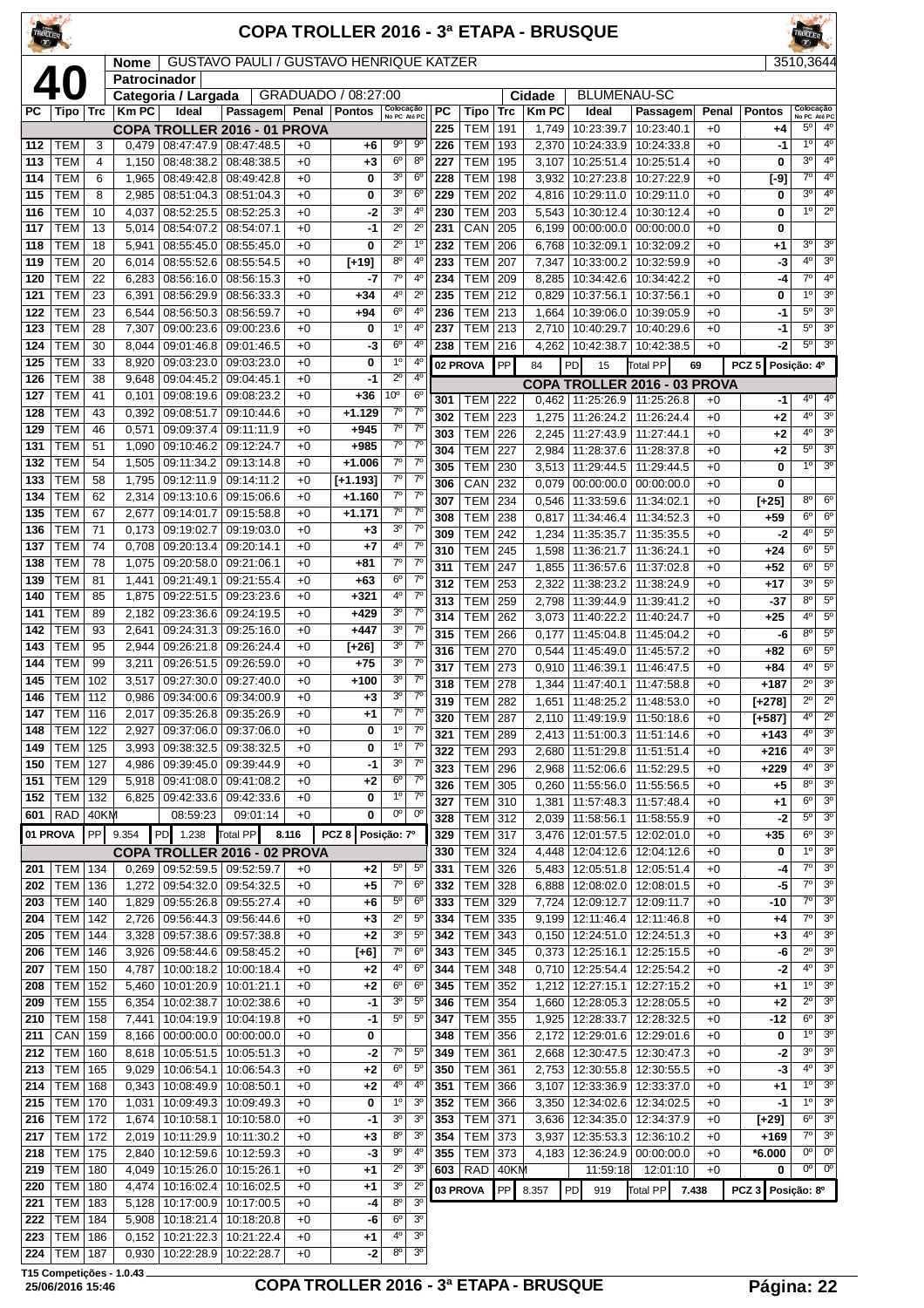| TROLLER <sup></sup> |                                     |          |                |                                   |                                                                |              | COPA TROLLER 2016 - 3ª ETAPA - BRUSQUE |                          |                             |            |                          |            |                |                                                                      |                              |              |                  |                             |                                  |
|---------------------|-------------------------------------|----------|----------------|-----------------------------------|----------------------------------------------------------------|--------------|----------------------------------------|--------------------------|-----------------------------|------------|--------------------------|------------|----------------|----------------------------------------------------------------------|------------------------------|--------------|------------------|-----------------------------|----------------------------------|
|                     |                                     |          |                |                                   |                                                                |              |                                        |                          |                             |            |                          |            |                |                                                                      |                              |              |                  | <b>ROLLER</b>               |                                  |
|                     |                                     |          | <b>Nome</b>    |                                   | GUSTAVO PAULI / GUSTAVO HENRIQUE KATZER                        |              |                                        |                          |                             |            |                          |            |                |                                                                      |                              |              |                  | 3510,3644                   |                                  |
|                     | 40                                  |          | Patrocinador   |                                   |                                                                |              |                                        |                          |                             |            |                          |            |                |                                                                      |                              |              |                  |                             |                                  |
|                     |                                     |          |                | Categoria / Largada               |                                                                |              | GRADUADO / 08:27:00                    | Colocação                |                             |            |                          |            | Cidade         | <b>BLUMENAU-SC</b>                                                   |                              |              |                  | Colocação                   |                                  |
| РC                  | Tipo                                | ∣ Trc    | <b>Km PC</b>   | Ideal                             | Passagem                                                       | Penal        | <b>Pontos</b>                          | No PC Até PC             |                             | РC         | Tipo                     | Trc        | <b>KmPC</b>    | Ideal                                                                | Passagem                     | Penal        | <b>Pontos</b>    | No PC Até PC<br>$5^{\circ}$ | $4^{\rm o}$                      |
| 112                 |                                     |          |                |                                   | <b>COPA TROLLER 2016 - 01 PROVA</b>                            |              |                                        | $9^{\circ}$              | 90                          | 225        | <b>TEM</b>               | 191        | 1,749          | 10:23:39.7                                                           | 10:23:40.1                   | $+0$         | +4               | 1 <sup>0</sup>              | 4 <sup>0</sup>                   |
| 113                 | TEM<br>TEM                          | 3<br>4   | 0,479          | 08:48:38.2                        | 08:47:47.9 08:47:48.5<br>08:48:38.5                            | $+0$<br>$+0$ | $+6$                                   | $6^{\circ}$              | $8^{\circ}$                 | 226<br>227 | <b>TEM</b><br><b>TEM</b> | 193<br>195 | 2,370<br>3,107 | 10:24:33.9   10:24:33.8<br>10:25:51.4                                | 10:25:51.4                   | $+0$<br>$+0$ | -1<br>0          | 3 <sup>0</sup>              | $4^{\circ}$                      |
| 114                 | <b>TEM</b>                          | 6        | 1,150<br>1,965 | 08:49:42.8                        | 08:49:42.8                                                     | $+0$         | +3<br>0                                | 3 <sup>o</sup>           | 6 <sup>o</sup>              | 228        | <b>TEM</b>               | 198        | 3,932          | 10:27:23.8                                                           | 10:27:22.9                   | $+0$         | $[-9]$           | 성                           | 4 <sup>0</sup>                   |
| 115                 | <b>TEM</b>                          | 8        | 2,985          | 08:51:04.3                        | 08:51:04.3                                                     | $+0$         | 0                                      | 3 <sup>o</sup>           | $6^{\circ}$                 | 229        | TEM                      | 202        | 4,816          | 10:29:11.0                                                           | 10:29:11.0                   | $+0$         | 0                | 3 <sup>0</sup>              | $4^{\circ}$                      |
| 116                 | <b>TEM</b>                          | 10       | 4,037          | 08:52:25.5                        | 08:52:25.3                                                     | $+0$         | -2                                     | 3 <sup>o</sup>           | 4°                          | 230        | <b>TEM</b>               | 203        | 5,543          | 10:30:12.4                                                           | 10:30:12.4                   | $+0$         | 0                | 1 <sup>0</sup>              | $2^{\circ}$                      |
| 117                 | TEM                                 | 13       | 5,014          | 08:54:07.2                        | 08:54:07.1                                                     | $+0$         | -1                                     | $2^{\circ}$              | $2^{\circ}$                 | 231        | CAN                      | 205        | 6,199          | 00:00:00.0                                                           | 00:00:00.0                   | $+0$         | 0                |                             |                                  |
| 118                 | TEM                                 | 18       | 5,941          | 08:55:45.0                        | 08:55:45.0                                                     | $+0$         | 0                                      | $2^{\circ}$              | 1 <sup>0</sup>              | 232        | <b>TEM</b>               | 206        | 6,768          | 10:32:09.1                                                           | 10:32:09.2                   | $+0$         | +1               | $3^{\circ}$                 | 3 <sup>o</sup>                   |
| 119                 | TEM                                 | 20       | 6,014          | 08:55:52.6                        | 08:55:54.5                                                     | $+0$         | $[+19]$                                | $8^{\circ}$              | 4 <sup>0</sup>              | 233        | <b>TEM</b>               | 207        | 7,347          | 10:33:00.2   10:32:59.9                                              |                              | $+0$         | -3               | 4 <sup>0</sup>              | 3 <sup>0</sup>                   |
| 120                 | TEM                                 | 22       | 6,283          | 08:56:16.0                        | 08:56:15.3                                                     | $+0$         | -7                                     | $7^\circ$                | 4°                          | 234        | TEM                      | 209        | 8,285          | 10:34:42.6                                                           | 10:34:42.2                   | $+0$         | -4               | $7^{\circ}$                 | $4^{\circ}$                      |
| 121                 | <b>TEM</b>                          | 23       | 6,391          | 08:56:29.9                        | 08:56:33.3                                                     | $+0$         | $+34$                                  | 4°                       | $2^{\circ}$                 | 235        | TEM                      | 212        | 0,829          | 10:37:56.1                                                           | 10:37:56.1                   | $+0$         | 0                | $1^{\circ}$                 | 3 <sup>o</sup>                   |
| 122                 | TEM                                 | 23       | 6,544          | 08:56:50.3                        | 08:56:59.7                                                     | $+0$         | +94                                    | 6 <sup>o</sup>           | 4°                          | 236        | <b>TEM</b>               | 213        | 1,664          | 10:39:06.0                                                           | 10:39:05.9                   | $+0$         | -1               | $5^{\circ}$                 | 3 <sup>o</sup>                   |
| 123                 | <b>TEM</b>                          | 28       | 7,307          | 09:00:23.6                        | 09:00:23.6                                                     | $+0$         | 0                                      | 1 <sup>0</sup>           | 4°                          | 237        | <b>TEM</b>               | 213        | 2,710          | 10:40:29.7                                                           | 10:40:29.6                   | $+0$         | -1               | $5^{\circ}$                 | 3 <sup>0</sup>                   |
| 124                 | <b>TEM</b>                          | 30       | 8,044          | 09:01:46.8                        | 09:01:46.5                                                     | $+0$         | -3                                     | $6^{\circ}$              | $4^{\circ}$                 | 238        | <b>TEM</b>               | 216        |                | 4,262 10:42:38.7                                                     | 10:42:38.5                   | $+0$         | -2               | $5^{\circ}$                 | 3 <sup>o</sup>                   |
| 125                 | <b>TEM</b>                          | 33       | 8,920          | 09:03:23.0                        | 09:03:23.0                                                     | $+0$         | 0                                      | $1^{\circ}$              | 4°                          | 02 PROVA   |                          | PP         | 84             | PD<br>15                                                             | <b>Total PP</b>              | 69           | PCZ <sub>5</sub> | Posição: 4º                 |                                  |
| 126                 | TEM                                 | 38       | 9,648          | 09:04:45.2                        | 09:04:45.1                                                     | $+0$         | -1                                     | $2^{\circ}$              | $4^{\circ}$                 |            |                          |            |                |                                                                      | COPA TROLLER 2016 - 03 PROVA |              |                  |                             |                                  |
| 127                 | <b>TEM</b>                          | 41       | 0,101          | 09:08:19.6                        | 09:08:23.2                                                     | $+0$         | $+36$                                  | 10°                      | $6^{\circ}$                 | 301        | TEM                      | 222        |                | $0,462$   11:25:26.9   11:25:26.8                                    |                              | $+0$         | -1               | $4^{\circ}$                 | 4°                               |
| 128                 | <b>TEM</b>                          | 43       | 0,392          | 09:08:51.7                        | 09:10:44.6                                                     | $+0$         | $+1.129$                               | $7^\circ$                | 7 <sup>0</sup>              | 302        | <b>TEM</b>               | 223        | 1,275          | 11:26:24.2                                                           | 11:26:24.4                   | $+0$         | +2               | 4°                          | 3 <sup>o</sup>                   |
| 129                 | <b>TEM</b>                          | 46       | 0,571          | 09:09:37.4                        | 09:11:11.9                                                     | $+0$         | $+945$                                 | $7^\circ$                | 7 <sup>0</sup>              | 303        | <b>TEM</b>               | 226        | 2,245          | 11:27:43.9                                                           | 11:27:44.1                   | $+0$         | +2               | 4°                          | 3 <sup>0</sup>                   |
| 131                 | TEM                                 | 51       | 1,090          | 09:10:46.2                        | 09:12:24.7                                                     | $+0$         | $+985$                                 | $7^\circ$                | $7^{\circ}$                 | 304        | <b>TEM</b>               | 227        | 2,984          | 11:28:37.6                                                           | 11:28:37.8                   | $+0$         | +2               | $5^{\circ}$                 | $\overline{3^0}$                 |
| 132                 | <b>TEM</b>                          | 54       | 1,505          | 09:11:34.2                        | 09:13:14.8                                                     | $+0$         | $+1.006$                               | $7^\circ$<br>$7^\circ$   | $7^\circ$<br>7 <sup>0</sup> | 305        | <b>TEM</b>               | 230        | 3,513          | 11:29:44.5   11:29:44.5                                              |                              | $+0$         | 0                | $1^{\circ}$                 | 3 <sup>0</sup>                   |
| 133                 | TEM                                 | 58       | 1,795          | 09:12:11.9                        | 09:14:11.2                                                     | $+0$         | $[-1.193]$                             | $7^\circ$                | $7^{\circ}$                 | 306        | CAN                      | 232        |                | 0.079   00:00:00.0                                                   | 00:00:00.0                   | $+0$         | 0                |                             |                                  |
| 134<br>135          | TEM<br>TEM                          | 62<br>67 | 2,314<br>2,677 | 09:13:10.6<br>09:14:01.7          | 09:15:06.6<br>09:15:58.8                                       | $+0$<br>$+0$ | +1.160<br>$+1.171$                     | $7^\circ$                | 7 <sup>0</sup>              | 307        | <b>TEM</b>               | 234        | 0,546          | 11:33:59.6                                                           | 11:34:02.1                   | $+0$         | $[+25]$          | $8^{\circ}$                 | $6^{\circ}$                      |
| 136                 | TEM                                 | 71       | 0,173          | 09:19:02.7                        | 09:19:03.0                                                     | $+0$         | +3                                     | 3 <sup>o</sup>           | $7^\circ$                   | 308        | <b>TEM</b>               | 238        | 0,817          | 11:34:46.4                                                           | 11:34:52.3                   | $+0$         | +59              | $6^{\circ}$                 | $6^{\circ}$                      |
| 137                 | <b>TEM</b>                          | 74       | 0,708          | 09:20:13.4                        | 09:20:14.1                                                     | $+0$         | $+7$                                   | 4°                       | $7^{\circ}$                 | 309        | <b>TEM</b>               | 242        | 1,234          | 11:35:35.7                                                           | 11:35:35.5                   | $+0$         | -2               | $4^{\circ}$<br>$6^{\circ}$  | $5^{\circ}$<br>$5^{\circ}$       |
| 138                 | TEM                                 | 78       | 1,075          | 09:20:58.0                        | 09:21:06.1                                                     | $+0$         | +81                                    | $7^\circ$                | $7^\circ$                   | 310<br>311 | <b>TEM</b>               | 245<br>247 | 1,598          | 11:36:21.7                                                           | 11:36:24.1<br>11:37:02.8     | $+0$         | $+24$            | $6^{\circ}$                 | $5^{\circ}$                      |
| 139                 | <b>TEM</b>                          | 81       | 1,441          | 09:21:49.1                        | 09:21:55.4                                                     | $+0$         | $+63$                                  | $6^{\circ}$              | $7^{\circ}$                 | 312        | <b>TEM</b><br><b>TEM</b> | 253        | 1,855<br>2,322 | 11:36:57.6<br>11:38:23.2                                             | 11:38:24.9                   | $+0$<br>$+0$ | $+52$<br>$+17$   | 3 <sup>0</sup>              | $5^{\circ}$                      |
| 140                 | TEM                                 | 85       | 1,875          | 09:22:51.5                        | 09:23:23.6                                                     | $+0$         | $+321$                                 | $4^{\rm o}$              | 7 <sup>0</sup>              | 313        | <b>TEM</b>               | 259        | 2,798          | 11:39:44.9                                                           | 11:39:41.2                   | $+0$         | $-37$            | $8^{\circ}$                 | $5^{\circ}$                      |
| 141                 | TEM                                 | 89       | 2,182          | 09:23:36.6                        | 09:24:19.5                                                     | $+0$         | $+429$                                 | 3 <sup>o</sup>           | $7^\circ$                   | 314        | TEM                      | 262        | 3,073          | 11:40:22.2                                                           | 11:40:24.7                   | $+0$         | $+25$            | $4^{\circ}$                 | $5^{\circ}$                      |
| 142                 | TEM                                 | 93       | 2,641          | 09:24:31.3                        | 09:25:16.0                                                     | $+0$         | $+447$                                 | 3 <sup>o</sup>           | 7 <sup>0</sup>              | 315        | TEM                      | 266        | 0,177          | 11:45:04.8                                                           | 11:45:04.2                   | $+0$         | -6               | 8 <sup>o</sup>              | $\overline{5^0}$                 |
| 143                 | <b>TEM</b>                          | 95       | 2,944          | 09:26:21.8                        | 09:26:24.4                                                     | $+0$         | $[+26]$                                | 3 <sup>o</sup>           | $7^\circ$                   | 316        | <b>TEM</b>               | 270        | 0.544          | 11:45:49.0                                                           | 11:45:57.2                   | $+0$         | +82              | $6^{\circ}$                 | $5^{\circ}$                      |
| 144                 | <b>TEM</b>                          | 99       | 3,211          | 09:26:51.5                        | 09:26:59.0                                                     | $+0$         | $+75$                                  | 3 <sup>o</sup>           | 7 <sup>0</sup>              | 317        | TEM                      | 273        |                | $0.910$   11:46:39.1                                                 | 11:46:47.5                   | $+0$         | +84              | 4 <sup>0</sup>              | $5^{\circ}$                      |
|                     | 145 TEM 102                         |          |                | 3,517 09:27:30.0 09:27:40.0       |                                                                | $+0$         | $+100$                                 | 3 <sup>o</sup>           | $\prime$                    |            | 318   TEM   278          |            |                | 1,344   11:47:40.1   11:47:58.8                                      |                              | $+0$         | +187             | $2^{\circ}$                 | 3 <sup>o</sup>                   |
|                     | 146   TEM   112                     |          |                |                                   | $0,986$   $09:34:00.6$   $09:34:00.9$                          | $+0$         | $+3$                                   | 3 <sup>o</sup>           | $7^\circ$                   | 319        | TEM                      | 282        |                | 1,651   11:48:25.2   11:48:53.0                                      |                              | $+0$         | [+278]           | $2^{\circ}$                 | $2^{\circ}$                      |
| 147                 | <b>TEM   116</b>                    |          | 2,017          |                                   | 09:35:26.8 09:35:26.9                                          | $+0$         | $+1$                                   | $7^{\circ}$              | $7^\circ$                   | 320        | <b>TEM 287</b>           |            |                | 2,110   11:49:19.9   11:50:18.6                                      |                              | $+0$         | [+587]           | $4^{\circ}$                 | $2^{\circ}$                      |
| 148                 | TEM                                 | 122      | 2,927          |                                   | 09:37:06.0   09:37:06.0                                        | $+0$         | 0                                      | $1^{\circ}$              | $7^\circ$                   | 321        | TEM                      | 289        |                | 2,413   11:51:00.3   11:51:14.6                                      |                              | $+0$         | +143             | $4^{\circ}$                 | 3 <sup>o</sup>                   |
| 149                 | TEM                                 | 125      | 3,993          |                                   | 09:38:32.5 09:38:32.5                                          | $+0$         | 0                                      | $1^{\circ}$              | $7^\circ$                   | 322        | <b>TEM</b>               | 293        |                | 2,680 11:51:29.8 11:51:51.4                                          |                              | $+0$         | +216             | $4^{\circ}$                 | 3 <sup>o</sup>                   |
| 150                 | <b>TEM 127</b>                      |          |                |                                   | 4,986   09:39:45.0   09:39:44.9                                | $+0$         | -1                                     | $3^{\circ}$              | $7^\circ$                   | 323        | TEM                      | 296        |                | 2,968 11:52:06.6   11:52:29.5                                        |                              | $+0$         | $+229$           | 4º                          | 3 <sup>o</sup>                   |
| 151                 | TEM   129                           |          | 5,918          | 09:41:08.0                        | 09:41:08.2                                                     | $+0$         | +2                                     | $6^{\circ}$              | $7^\circ$                   | 326        | TEM                      | 305        |                | $0,260$   11:55:56.0   11:55:56.5                                    |                              | $+0$         | +5               | $8^{\circ}$                 | 3 <sup>o</sup>                   |
|                     | 152 TEM                             | 132      | 6,825          |                                   | 09:42:33.6   09:42:33.6                                        | $+0$         | 0                                      | $1^{\circ}$              | $7^\circ$<br>$0^{\circ}$    | 327        | TEM 310                  |            |                | 1,381   11:57:48.3   11:57:48.4                                      |                              | $+0$         | $+1$             | $6^{\circ}$                 | 3 <sup>o</sup>                   |
|                     | $601$ RAD                           | 40KM     |                | 08:59:23                          | 09:01:14                                                       | $+0$         | 0                                      | 0°                       |                             | 328        | <b>TEM</b>               | 312        |                | 2,039   11:58:56.1   11:58:55.9                                      |                              | $+0$         | -2               | $5^{\circ}$                 | 3 <sup>o</sup>                   |
| 01 PROVA            |                                     | PP       | 9.354          | PD 1.238                          | Total PP                                                       | 8.116        | PCZ <sub>8</sub>                       | Posição: 7º              |                             | 329        | <b>TEM</b>               | 317        |                | 3,476   12:01:57.5   12:02:01.0                                      |                              | $+0$         | $+35$            | $6^{\circ}$                 | 3 <sup>0</sup>                   |
|                     |                                     |          |                |                                   | COPA TROLLER 2016 - 02 PROVA                                   |              |                                        |                          |                             | 330        | TEM                      | 324        |                | 4,448   12:04:12.6   12:04:12.6                                      |                              | $+0$         | 0                | 1 <sup>0</sup>              | 3 <sup>0</sup>                   |
|                     | 201   TEM   134                     |          |                | $0,269$   09:52:59.5   09:52:59.7 |                                                                | $+0$         | +2                                     | $5^{\circ}$              | $5^{\circ}$                 | 331        | <b>TEM</b>               | 326        |                | 5,483   12:05:51.8   12:05:51.4                                      |                              | $+0$         | -4               | $7^\circ$<br>$7^\circ$      | 3 <sup>o</sup><br>3 <sup>o</sup> |
|                     | 202   TEM   136                     |          |                |                                   | 1,272   09:54:32.0   09:54:32.5                                | $+0$         | $+5$                                   | $7^\circ$<br>$5^{\circ}$ | $6^{\circ}$<br>$6^{\circ}$  | 332        | TEM 328                  |            |                | 6,888   12:08:02.0   12:08:01.5                                      |                              | $+0$         | -5               | $7^\circ$                   | 3 <sup>o</sup>                   |
| 204                 | 203   TEM   140<br><b>TEM   142</b> |          |                |                                   | 1,829 09:55:26.8 09:55:27.4<br>2,726   09:56:44.3   09:56:44.6 | $+0$<br>$+0$ | +6<br>$+3$                             | $2^{\circ}$              | $5^{\circ}$                 | 333<br>334 | TEM<br><b>TEM</b>        | 329<br>335 |                | 7,724   12:09:12.7   12:09:11.7<br>$9,199$   12:11:46.4   12:11:46.8 |                              | $+0$<br>$+0$ | -10<br>+4        | $7^{\circ}$                 | 3 <sup>0</sup>                   |
| 205                 | <b>TEM   144</b>                    |          |                |                                   | 3,328   09:57:38.6   09:57:38.8                                | $+0$         | +2                                     | 3 <sup>o</sup>           | $5^{\circ}$                 | 342        | <b>TEM</b>               | 343        |                | $0,150$   12:24:51.0   12:24:51.3                                    |                              | $+0$         | +3               | $4^{\circ}$                 | 3 <sup>o</sup>                   |
|                     | 206   TEM   146                     |          |                |                                   | 3,926   09:58:44.6   09:58:45.2                                | $+0$         | [+6]                                   | $7^\circ$                | $6^{\circ}$                 |            | $343$ TEM 345            |            |                | $0,373$   12:25:16.1   12:25:15.5                                    |                              | $+0$         | -6               | $2^{\circ}$                 | 3 <sup>o</sup>                   |

 TEM 150 4,787 10:00:18.2 10:00:18.4 +0 **+2** 4º 6º TEM 152 5,460 10:01:20.9 10:01:21.1 +0 **+2** 6º 6º TEM 155 6,354 10:02:38.7 10:02:38.6 +0 **-1** 3º 5º TEM 158 7,441 10:04:19.9 10:04:19.8 +0 **-1** 5º 5º  $|$  CAN | 159 | 8,166 | 00:00:00.0 | 00:00:00.0 | +0 | **0**  TEM 160 8,618 10:05:51.5 10:05:51.3 +0 -2 7<sup>°</sup> 5 TEM 165 9,029 10:06:54.1 10:06:54.3 +0 **+2** 6º 5º TEM 168 0,343 10:08:49.9 10:08:50.1 +0 **+2** 4º 4º TEM 170 1,031 10:09:49.3 10:09:49.3 +0 **0** 1º 3º TEM 172 1,674 10:10:58.1 10:10:58.0 +0 **-1** 3º 3º TEM 172 2,019 10:11:29.9 10:11:30.2 +0 **+3** 8<sup>o</sup><br>218 TEM 175 2 840 10:12:59 6 10:12:59 3 +0 -3 9<sup>o</sup> TEM 175 2,840 10:12:59.6 10:12:59.3 +0 **-3** 9º 4º TEM 180 4,049 10:15:26.0 10:15:26.1 +0 **+1** 2º 3º TEM 180 4,474 10:16:02.4 10:16:02.5 +0 **+1** 3º 2º TEM 183 5,128 10:17:00.9 10:17:00.5 +0 **-4** 8º 3º TEM 184 5,908 10:18:21.4 10:18:20.8 +0 **-6** 6º 3º TEM 186 0,152 10:21:22.3 10:21:22.4 +0 **+1** 4º 3º

### **25/06/2016 15:46 COPA TROLLER 2016 - 3ª ETAPA - BRUSQUE Página: 22**

 TEM 348 0,710 12:25:54.4 12:25:54.2 +0 **-2** 4º 3º TEM 352 1,212 12:27:15.1 12:27:15.2 +0 **+1** 1º 3º TEM 354 1,660 12:28:05.3 12:28:05.5 +0 **+2** 2º 3º TEM 355 1,925 12:28:33.7 12:28:32.5 +0 **-12** 6º 3º TEM 356 2,172 12:29:01.6 12:29:01.6 +0 **0** 1<sup>°</sup> <sup>39</sup><br>**349** TEM 361 2 668 12:30:47.5 12:30:47.3 +0 **-2** 3<sup>°</sup> 3<sup>°</sup> TEM 361 2,668 12:30:47.5 12:30:47.3 +0 **-2** 3º 3º TEM 361 2,753 12:30:55.8 12:30:55.5 +0 **-3** 4º 3º TEM 366 3,107 12:33:36.9 12:33:37.0 +0 **+1** 1º 3º TEM 366 3,350 12:34:02.6 12:34:02.5 +0 **-1** 1º 3º TEM 371 3,636 12:34:35.0 12:34:37.9 +0 **[+29]** 6º 3º TEM 373 3,937 12:35:53.3 12:36:10.2 +0 **+169** 7º 3º TEM 373 4,183 12:36:24.9 00:00:00.0 +0 **\*6.000** 0º 0º RAD 40KM 11:59:18 12:01:10 +0 **0** 0<sup>o</sup> 0<sup>o</sup> **03 PROVA** PP 8.357 PD 919 Total PP **7.438 PCZ 3 Posição: 8º**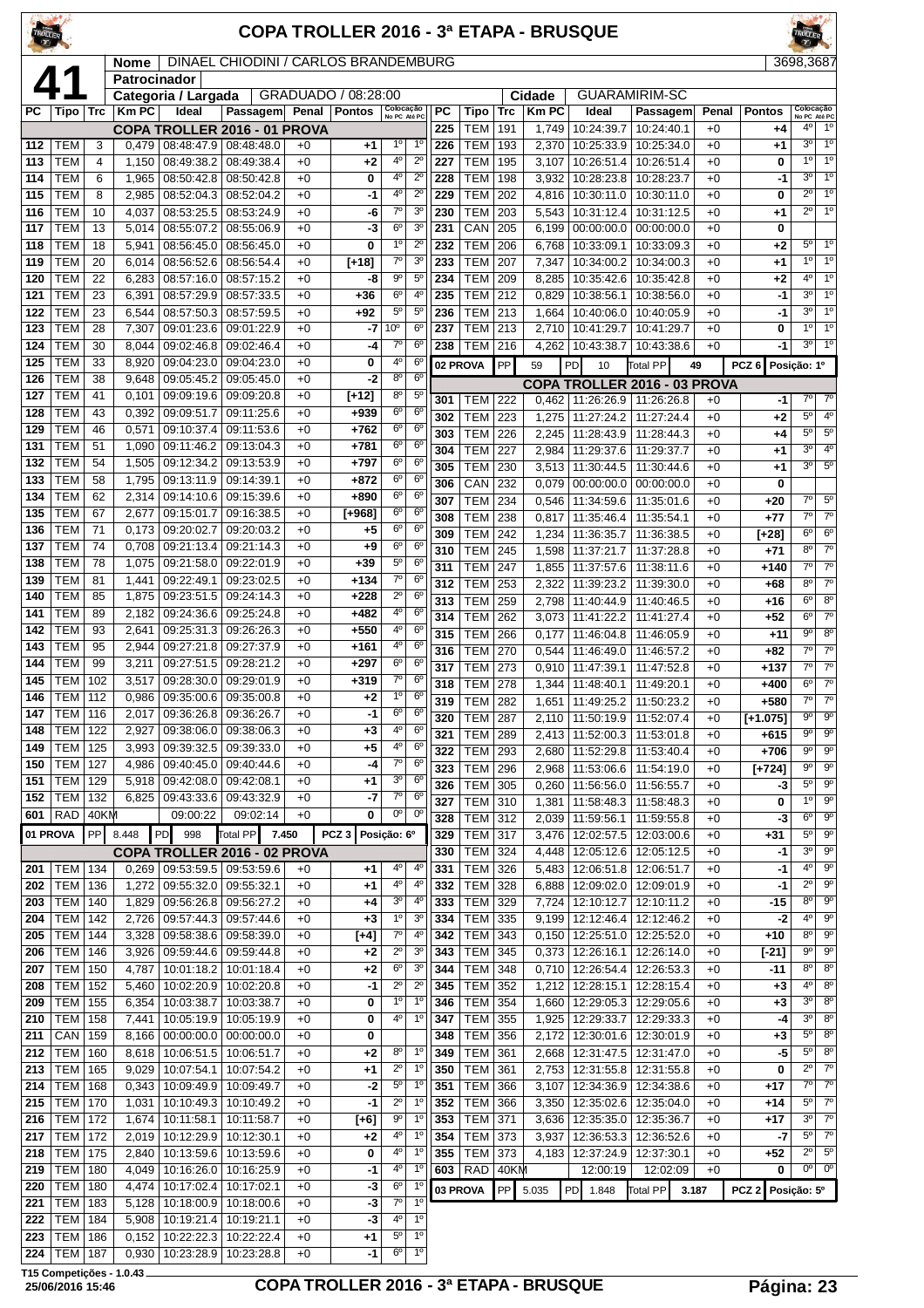| <b>FROLLER</b>     |                                |                |                      |                                 |                                                    |              | <b>COPA TROLLER 2016 - 3ª ETAPA - BRUSQUE</b> |                            |                               |            |                                      |            |                |                                                       |                              |              |                    | TROLLER <sup>CON</sup>                                      |
|--------------------|--------------------------------|----------------|----------------------|---------------------------------|----------------------------------------------------|--------------|-----------------------------------------------|----------------------------|-------------------------------|------------|--------------------------------------|------------|----------------|-------------------------------------------------------|------------------------------|--------------|--------------------|-------------------------------------------------------------|
|                    |                                |                | Nome<br>Patrocinador |                                 | DINAEL CHIODINI / CARLOS BRANDEMBURG               |              |                                               |                            |                               |            |                                      |            |                |                                                       |                              |              |                    | 3698,3687                                                   |
| $\boldsymbol{\mu}$ |                                |                |                      | Categoria / Largada             |                                                    |              | GRADUADO / 08:28:00                           |                            |                               |            |                                      |            | Cidade         |                                                       | <b>GUARAMIRIM-SC</b>         |              |                    |                                                             |
| PC.                | Tipo                           | Trc            | <b>Km PC</b>         | Ideal                           | Passagem                                           | Penal        | Pontos                                        | Colocação<br>No PC Até PC  |                               | PC         | Tipo                                 | Trc        | <b>Km PC</b>   | Ideal                                                 | Passagem                     | Penal        | <b>Pontos</b>      | Colocação<br>No PC Até PC<br>1 <sup>0</sup><br>40           |
| 112                | TEM                            | 3              | 0,479                | 08:48:47.9 08:48:48.0           | COPA TROLLER 2016 - 01 PROVA                       | $+0$         | $+1$                                          | $1^{\circ}$                | $1^{\circ}$                   | 225<br>226 | <b>TEM</b><br>TEM                    | 191<br>193 | 1,749          | 10:24:39.7<br>2,370   10:25:33.9                      | 10:24:40.1<br>10:25:34.0     | $+0$<br>$+0$ | +4<br>+1           | 3 <sup>o</sup><br>1 <sup>0</sup>                            |
| 113                | <b>TEM</b>                     | $\overline{4}$ | 1,150                | 08:49:38.2                      | 08:49:38.4                                         | $+0$         | $+2$                                          | $4^{\circ}$                | $2^{\circ}$                   | 227        | TEM                                  | 195        | 3,107          | 10:26:51.4                                            | 10:26:51.4                   | $+0$         | 0                  | 1 <sup>0</sup><br>1 <sup>0</sup>                            |
| 114                | <b>TEM</b>                     | 6              | 1,965                | 08:50:42.8                      | 08:50:42.8                                         | +0           | 0                                             | $4^{\circ}$                | $2^{\circ}$                   | 228        | TEM                                  | 198        | 3,932          | 10:28:23.8                                            | 10:28:23.7                   | $+0$         | -1                 | 1 <sup>o</sup><br>3 <sup>o</sup>                            |
| 115                | TEM                            | 8              | 2,985                | 08:52:04.3                      | 08:52:04.2                                         | $+0$         | -1                                            | 4°                         | $2^{\circ}$                   | 229        | TEM                                  | 202        | 4,816          | 10:30:11.0                                            | 10:30:11.0                   | $+0$         | 0                  | $2^{\circ}$<br>$1^{\circ}$                                  |
| 116                | <b>TEM</b>                     | 10             | 4,037                | 08:53:25.5                      | 08:53:24.9                                         | $+0$         | -6                                            | 7°                         | 3 <sup>o</sup>                | 230        | <b>TEM</b>                           | 203        | 5,543          | 10:31:12.4                                            | 10:31:12.5                   | $+0$         | +1                 | $2^{\circ}$<br>$1^{\circ}$                                  |
| 117                | <b>TEM</b>                     | 13             | 5.014                |                                 | 08:55:07.2   08:55:06.9                            | $+0$         | -3                                            | 6 <sup>o</sup><br>10       | 3 <sup>o</sup><br>$2^{\circ}$ | 231        | CAN                                  | 205        |                | $6,199$ 00:00:00.0                                    | 00:00:00.0                   | $+0$         | 0                  | $5^{\circ}$<br>$1^{\circ}$                                  |
| 118<br>119         | TEM<br>TEM                     | 18<br>20       | 5,941<br>6,014       | 08:56:52.6                      | 08:56:45.0   08:56:45.0<br>08:56:54.4              | $+0$<br>+0   | 0<br>$[-18]$                                  | $7^{\circ}$                | 3 <sup>o</sup>                | 232<br>233 | <b>TEM</b><br>TEM                    | 206<br>207 | 6,768<br>7,347 | 10:33:09.1<br>10:34:00.2                              | 10:33:09.3<br>10:34:00.3     | $+0$<br>$+0$ | $+2$<br>+1         | 10<br>1 <sup>0</sup>                                        |
| 120                | тем                            | 22             | 6,283                | 08:57:16.0                      | 08:57:15.2                                         | $+0$         | -8                                            | 90                         | $5^{\circ}$                   | 234        | TEM                                  | 209        | 8,285          | 10:35:42.6                                            | 10:35:42.8                   | $+0$         | +2                 | 4°<br>$1^{\circ}$                                           |
| 121                | <b>TEM</b>                     | 23             | 6,391                | 08:57:29.9                      | 08:57:33.5                                         | $+0$         | +36                                           | $6^{\circ}$                | 4°                            | 235        | <b>TEM</b>                           | 212        | 0,829          | 10:38:56.1                                            | 10:38:56.0                   | $+0$         | -1                 | 3 <sup>o</sup><br>$1^{\circ}$                               |
| 122                | <b>TEM</b>                     | 23             | 6,544                |                                 | 08:57:50.3   08:57:59.5                            | +0           | +92                                           | $5^{\circ}$                | $5^{\circ}$                   | 236        | TEM                                  | 213        |                | 1,664   10:40:06.0                                    | 10:40:05.9                   | $+0$         | -1                 | 3 <sup>o</sup><br>1 <sup>0</sup>                            |
| 123                | TEM                            | 28             | 7,307                | 09:01:23.6                      | 09:01:22.9                                         | $+0$         | -7                                            | 10 <sup>o</sup>            | $6^{\circ}$                   | 237        | TEM                                  | 213        |                | 2,710   10:41:29.7                                    | 10:41:29.7                   | $+0$         | 0                  | 1 <sup>0</sup><br>$1^{\circ}$                               |
| 124                | TEM                            | 30             | 8,044                | 09:02:46.8                      | 09:02:46.4                                         | $+0$         | -4                                            | $7^\circ$                  | $6^{\circ}$                   | 238        | <b>TEM 216</b>                       |            |                | 4,262   10:43:38.7                                    | 10:43:38.6                   | $+0$         | -1                 | 3 <sup>0</sup><br>1 <sup>0</sup>                            |
| 125                | TEM                            | 33             | 8,920                | 09:04:23.0                      | 09:04:23.0                                         | $+0$         | 0                                             | 4°                         | $6^{\circ}$                   | 02 PROVA   |                                      | PP         | 59             | PD<br>10                                              | <b>Total PP</b>              | 49           | PCZ <sub>6</sub>   | Posição: 1º                                                 |
| 126                | TEM                            | 38<br>41       | 9,648                |                                 | 09:05:45.2   09:05:45.0<br>09:09:19.6 09:09:20.8   | $+0$         | -2                                            | $8^{\circ}$<br>80          | $6^{\circ}$<br>$5^{\circ}$    |            |                                      |            |                |                                                       | COPA TROLLER 2016 - 03 PROVA |              |                    |                                                             |
| 127<br>128         | TEM<br>TEM                     | 43             | 0,101<br>0,392       | 09:09:51.7                      | 09:11:25.6                                         | $+0$<br>$+0$ | $[-12]$<br>+939                               | $6^{\circ}$                | $6^{\circ}$                   | 301        | TEM                                  | 222        |                | $0,462$   11:26:26.9                                  | 11:26:26.8                   | $+0$         | -1                 | $7^\circ$<br>$7^\circ$                                      |
| 129                | <b>TEM</b>                     | 46             | 0,571                |                                 | 09:10:37.4 09:11:53.6                              | +0           | +762                                          | $6^{\circ}$                | 6 <sup>o</sup>                | 302        | <b>TEM</b>                           | 223        |                | 1.275 11:27:24.2                                      | 11:27:24.4                   | $+0$         | +2                 | $5^{\circ}$<br>$4^{\circ}$<br>5 <sup>0</sup><br>$5^{\circ}$ |
| 131                | TEM                            | 51             | 1,090                | 09:11:46.2                      | 09:13:04.3                                         | $+0$         | $+781$                                        | $6^{\circ}$                | $6^{\circ}$                   | 303<br>304 | <b>TEM 226</b><br><b>TEM</b>         | 227        |                | 2,245   11:28:43.9<br>2.984 11:29:37.6                | 11:28:44.3<br>11:29:37.7     | $+0$<br>$+0$ | +4<br>+1           | $4^{\circ}$<br>3 <sup>o</sup>                               |
| 132                | TEM                            | 54             | 1,505                |                                 | 09:12:34.2 09:13:53.9                              | $+0$         | $+797$                                        | $6^{\circ}$                | $6^{\circ}$                   | 305        | <b>TEM</b>                           | 230        |                | 3,513   11:30:44.5                                    | 11:30:44.6                   | $+0$         | +1                 | 3 <sup>0</sup><br>$5^{\circ}$                               |
| 133                | TEM                            | 58             | 1,795                | 09:13:11.9 09:14:39.1           |                                                    | $+0$         | $+872$                                        | $6^{\circ}$                | $6^{\circ}$                   | 306        | CAN                                  | 232        |                | 0.079   00:00:00.0                                    | 00:00:00.0                   | $+0$         | 0                  |                                                             |
| 134                | TEM                            | 62             | 2,314                |                                 | 09:14:10.6   09:15:39.6                            | $+0$         | +890                                          | $6^{\circ}$                | $6^{\circ}$                   | 307        | <b>TEM</b>                           | 234        |                | $0.546$   11:34:59.6                                  | 11:35:01.6                   | $+0$         | +20                | $7^\circ$<br>$5^{\circ}$                                    |
| 135                | <b>TEM</b>                     | 67             | 2,677                | 09:15:01.7                      | 09:16:38.5                                         | +0           | [+968]                                        | $6^{\circ}$                | 6 <sup>o</sup>                | 308        | TEM                                  | 238        |                | $0,817$   11:35:46.4                                  | 11:35:54.1                   | $+0$         | +77                | $7^\circ$<br>$7^\circ$                                      |
| 136                | TEM                            | 71             | 0,173                | 09:20:02.7                      | 09:20:03.2                                         | $+0$         | +5                                            | $6^{\circ}$<br>$6^{\circ}$ | $6^{\circ}$<br>$6^{\circ}$    | 309        | <b>TEM</b>                           | 242        |                | 1,234   11:36:35.7                                    | 11:36:38.5                   | $+0$         | [+28]              | 6 <sup>o</sup><br>$6^{\circ}$                               |
| 137<br>138         | TEM<br>TEM                     | 74<br>78       | 0,708<br>1,075       | 09:21:13.4                      | 09:21:14.3<br>09:21:58.0   09:22:01.9              | $+0$<br>$+0$ | +9<br>$+39$                                   | $5^{\circ}$                | $6^{\circ}$                   | 310        | TEM                                  | 245        |                | 1,598   11:37:21.7                                    | 11:37:28.8                   | $+0$         | $+71$              | 8 <sup>o</sup><br>$7^\circ$                                 |
| 139                | TEM                            | 81             | 1,441                | 09:22:49.1                      | 09:23:02.5                                         | +0           | $+134$                                        | 70                         | $6^{\circ}$                   | 311        | TEM                                  | 247        | 1,855          | 11:37:57.6                                            | 11:38:11.6                   | $+0$         | +140               | $7^\circ$<br>$7^\circ$<br>$7^\circ$<br>$8^{\circ}$          |
| 140                | <b>TEM</b>                     | 85             | 1,875                | 09:23:51.5                      | 09:24:14.3                                         | +0           | +228                                          | $2^{\circ}$                | 6 <sup>o</sup>                | 312<br>313 | TEM<br><b>TEM</b>                    | 253<br>259 | 2,322          | 11:39:23.2<br>2,798   11:40:44.9                      | 11:39:30.0<br>11:40:46.5     | $+0$<br>$+0$ | +68<br>$+16$       | 6 <sup>o</sup><br>$8^{\circ}$                               |
| 141                | TEM                            | 89             | 2,182                | 09:24:36.6                      | 09:25:24.8                                         | $+0$         | +482                                          | 4°                         | $6^{\circ}$                   | 314        | TEM                                  | 262        | 3,073          | 11:41:22.2                                            | 11:41:27.4                   | $+0$         | +52                | 6 <sup>o</sup><br>$7^\circ$                                 |
| 142                | <b>TEM</b>                     | 93             | 2,641                | 09:25:31.3                      | 09:26:26.3                                         | +0           | $+550$                                        | $4^{\circ}$                | 6 <sup>o</sup>                | 315        | TEM                                  | 266        | 0,177          | 11:46:04.8                                            | 11:46:05.9                   | $+0$         | +11                | $9^{\circ}$<br>$8^{\circ}$                                  |
| 143                | TEM                            | 95             | 2,944                |                                 | 09:27:21.8 09:27:37.9                              | $+0$         | $+161$                                        | 4°                         | $6^{\circ}$                   | 316        | <b>TEM</b>                           | 270        | 0,544          | 11:46:49.0                                            | 11:46:57.2                   | $+0$         | +82                | $7^{\circ}$<br>$7^\circ$                                    |
| 144                | TEM                            | 99             | 3,211                | 09:27:51.5                      | 09:28:21.2                                         | +0           | $+297$                                        | $6^{\circ}$                | $6^{\circ}$                   | 317        | <b>TEM</b>                           | 273        |                | $0.910$   11:47:39.1                                  | 11:47:52.8                   | $+0$         | $+137$             | 7 <sup>o</sup><br>7 <sup>o</sup>                            |
| 145<br>146         | <b>TEM</b><br><b>TEM</b>       | 102<br>112     | 3,517<br>0,986       | 09:28:30.0                      | 09:29:01.9<br>09:35:00.6   09:35:00.8              | +0<br>$+0$   | +319<br>+2                                    | $7^\circ$<br>$1^{\circ}$   | 6 <sup>o</sup><br>$6^{\circ}$ | 318        | <b>TEM</b>                           | 278        | 1,344          | 11:48:40.1                                            | 11:49:20.1                   | $+0$         | +400               | $6^{\circ}$<br>$7^\circ$                                    |
|                    | 147 TEM 116                    |                | 2,017                | 09:36:26.8 09:36:26.7           |                                                    | $+0$         | -1                                            | $6^{\circ}$                | 6 <sup>o</sup>                | 319        | TEM                                  | 282        |                | 1,651   11:49:25.2                                    | 11:50:23.2                   | $+0$         | $+580$             | $7^\circ$<br>$7^\circ$                                      |
| 148                | <b>TEM   122</b>               |                | 2,927                |                                 | 09:38:06.0   09:38:06.3                            | $+0$         | $+3$                                          | $4^{\circ}$                | $6^{\circ}$                   | 321        | 320   TEM   287<br>TEM   289         |            |                | 2,110   11:50:19.9   11:52:07.4<br>2,413   11:52:00.3 | 11:53:01.8                   | $+0$<br>$+0$ | $[+1.075]$<br>+615 | $9^{\circ}$<br>$9^{\circ}$<br>90<br>90                      |
| 149                | <b>TEM</b>                     | 125            | 3,993                |                                 | 09:39:32.5   09:39:33.0                            | $+0$         | +5                                            | $4^{\circ}$                | $6^{\circ}$                   | 322        | TEM   293                            |            |                | 2,680   11:52:29.8                                    | 11:53:40.4                   | +0           | +706               | $9^{\circ}$<br>$9^{\circ}$                                  |
| 150                | TEM                            | 127            | 4,986                |                                 | 09:40:45.0   09:40:44.6                            | $+0$         | -4                                            | $7^{\circ}$                | 6 <sup>o</sup>                |            | 323   TEM   296                      |            |                | 2,968   11:53:06.6                                    | 11:54:19.0                   | +0           | [+724]             | $9^{\circ}$<br>90                                           |
| 151                | <b>TEM</b>                     | 129            | 5,918                | 09:42:08.0   09:42:08.1         |                                                    | $+0$         | +1                                            | $3^{\circ}$                | $6^{\circ}$                   | 326        | TEM   305                            |            |                | $0,260$   11:56:56.0                                  | 11:56:55.7                   | $+0$         | -3                 | $5^{\circ}$<br>90                                           |
|                    | 152   TEM                      | 132            | 6.825                |                                 | 09:43:33.6   09:43:32.9                            | $+0$         | -7                                            | 7°                         | $6^{\circ}$                   | 327        | TEM 310                              |            |                | 1,381   11:58:48.3                                    | 11:58:48.3                   | +0           | 0                  | 1 <sup>0</sup><br>$9^{\circ}$                               |
|                    | 601   RAD                      | 40KM           |                      | 09:00:22                        | 09:02:14                                           | $+0$         | 0                                             | 0 <sup>0</sup>             | 0°                            | 328        | TEM 312                              |            |                | 2,039   11:59:56.1                                    | 11:59:55.8                   | +0           | -3                 | 90<br>$6^{\circ}$                                           |
| 01 PROVA           |                                | <b>PP</b>      | 8.448                | PD<br>998                       | Total PP<br>7.450                                  |              | PCZ <sub>3</sub>                              | Posição: 6º                |                               | 329        | TEM 317                              |            |                | 3,476   12:02:57.5                                    | 12:03:00.6                   | +0           | +31                | $5^\circ$<br>$9^{\circ}$                                    |
|                    |                                |                |                      |                                 | COPA TROLLER 2016 - 02 PROVA                       |              |                                               | $4^{\circ}$                | $4^{\circ}$                   | 330        | <b>TEM 324</b>                       |            |                | 4,448   12:05:12.6                                    | 12:05:12.5                   | $+0$         | -1                 | 3 <sup>o</sup><br>$9^{\circ}$<br>$4^{\circ}$<br>90          |
| 201  <br>202       | <b>TEM</b><br>TEM              | 134<br>136     | 0,269<br>1,272       |                                 | 09:53:59.5   09:53:59.6<br>09:55:32.0 09:55:32.1   | $+0$<br>$+0$ | $+1$<br>$+1$                                  | $4^{\circ}$                | $4^{\circ}$                   | 331<br>332 | TEM 326<br>TEM   328                 |            |                | 5,483   12:06:51.8<br>6,888   12:09:02.0              | 12:06:51.7<br>  12:09:01.9   | +0<br>+0     | -1<br>-1           | $2^{\circ}$<br>90                                           |
| 203                | <b>TEM</b>                     | 140            | 1,829                |                                 | 09:56:26.8   09:56:27.2                            | $+0$         | +4                                            | $3^{\circ}$                | $4^{\circ}$                   | 333        | TEM                                  | 329        |                | 7,724   12:10:12.7                                    | 12:10:11.2                   | +0           | -15                | 90<br>$8^{\circ}$                                           |
| 204                | <b>TEM</b>                     | 142            | 2,726                | 09:57:44.3   09:57:44.6         |                                                    | $+0$         | +3                                            | $1^{\circ}$                | 3 <sup>o</sup>                | 334        | TEM 335                              |            |                | 9,199   12:12:46.4                                    | 12:12:46.2                   | +0           | -2                 | $4^{\circ}$<br>$9^{\circ}$                                  |
| 205                | TEM                            | 144            | 3,328                |                                 | 09:58:38.6   09:58:39.0                            | $+0$         | [+4]                                          | $7^\circ$                  | 4°                            | 342        | TEM 343                              |            |                | $0,150$   12:25:51.0                                  | 12:25:52.0                   | +0           | +10                | $8^{\circ}$<br>90                                           |
| 206                | <b>TEM</b>                     | 146            | 3,926                |                                 | 09:59:44.6   09:59:44.8                            | $+0$         | +2                                            | $2^{\circ}$                | 3 <sup>o</sup>                | 343        | TEM 345                              |            |                | $0,373$   12:26:16.1                                  | 12:26:14.0                   | $+0$         | [-21]              | 90<br>90                                                    |
| 207                | <b>TEM</b>                     | 150            | 4,787                |                                 | 10:01:18.2   10:01:18.4                            | $+0$         | +2                                            | $6^{\circ}$                | 3 <sup>o</sup>                | 344        | TEM   348                            |            |                | 0,710   12:26:54.4                                    | 12:26:53.3                   | +0           | -11                | $8^{\circ}$<br>$8^{\circ}$                                  |
| 208                | <b>TEM</b>                     | 152            | 5,460                |                                 | 10:02:20.9   10:02:20.8                            | $+0$         | -1                                            | $2^{\circ}$                | $2^{\circ}$                   | 345        | TEM                                  | 352        |                | 1,212   12:28:15.1                                    | 12:28:15.4                   | +0           | +3                 | $8^{\circ}$<br>$4^{\circ}$                                  |
| 209                | <b>TEM</b>                     | 155            | 6,354                | 10:03:38.7   10:03:38.7         |                                                    | $+0$         | 0                                             | $1^{\circ}$                | $1^{\circ}$                   | 346        | TEM 354                              |            |                | 1,660   12:29:05.3                                    | 12:29:05.6                   | +0           | +3                 | 3 <sup>o</sup><br>$8^{\circ}$<br>3 <sup>o</sup><br>80       |
| 210<br>211         | <b>TEM</b><br>CAN              | 158<br>159     | 7,441<br>8,166       |                                 | 10:05:19.9   10:05:19.9<br>00:00:00.0   00:00:00.0 | $+0$<br>$+0$ | 0<br>0                                        | $4^{\circ}$                | $1^{\circ}$                   | 347<br>348 | TEM   355<br>TEM 356                 |            |                | 1,925   12:29:33.7<br>2,172   12:30:01.6              | 12:29:33.3<br>12:30:01.9     | $+0$<br>$+0$ | -4<br>+3           | $8^{\circ}$<br>$5^{\circ}$                                  |
| 212                | <b>TEM</b>                     | 160            | 8,618                |                                 | 10:06:51.5   10:06:51.7                            | $+0$         | +2                                            | $8^{\circ}$                | $1^{\circ}$                   | 349        | TEM                                  | 361        |                | 2,668   12:31:47.5                                    | 12:31:47.0                   | +0           | -5                 | $5^{\circ}$<br>$8^{\circ}$                                  |
| 213                | TEM                            | 165            | 9,029                |                                 | 10:07:54.1   10:07:54.2                            | +0           | +1                                            | $2^{\circ}$                | $1^{\circ}$                   | 350        | TEM                                  | 361        |                | 2,753   12:31:55.8                                    | 12:31:55.8                   | +0           | 0                  | $2^{\circ}$<br>$7^\circ$                                    |
| 214                | TEM                            | 168            | 0,343                | 10:09:49.9   10:09:49.7         |                                                    | $+0$         | -2                                            | $5^{\circ}$                | $1^{\circ}$                   | 351        | TEM 366                              |            |                | 3,107   12:34:36.9                                    | 12:34:38.6                   | $+0$         | $+17$              | $7^\circ$<br>7 <sup>0</sup>                                 |
| 215                | TEM                            | 170            | 1,031                |                                 | 10:10:49.3   10:10:49.2                            | $+0$         | -1                                            | $2^{\circ}$                | $1^{\circ}$                   |            | 352   TEM   366                      |            |                | 3,350   12:35:02.6                                    | 12:35:04.0                   | $+0$         | +14                | $5^{\circ}$<br>$7^\circ$                                    |
| 216                | <b>TEM</b>                     | 172            | 1,674                | 10:11:58.1   10:11:58.7         |                                                    | +0           | [+6]                                          | $9^{\circ}$                | $1^{\circ}$                   | 353        | TEM 371                              |            |                | 3,636   12:35:35.0                                    | 12:35:36.7                   | $+0$         | +17                | 3 <sup>o</sup><br>$7^\circ$                                 |
| 217                | <b>TEM</b>                     | 172            |                      | 2,019   10:12:29.9   10:12:30.1 |                                                    | $+0$         | +2                                            | $4^{\circ}$                | $1^{\circ}$                   | 354        | TEM 373                              |            |                | 3,937   12:36:53.3                                    | 12:36:52.6                   | +0           | -7                 | $5^{\circ}$<br>$7^\circ$                                    |
| 218<br>219         | <b>TEM</b><br><b>TEM   180</b> | 175            | 2,840<br>4,049       | 10:16:26.0   10:16:25.9         | 10:13:59.6   10:13:59.6                            | +0<br>$+0$   | 0<br>-1                                       | $4^{\circ}$<br>$4^{\circ}$ | $1^{\circ}$<br>$1^{\circ}$    |            | 355   TEM   373<br>603   RAD $ 40KM$ |            |                | 4,183   12:37:24.9<br>12:00:19                        | 12:37:30.1<br>12:02:09       | +0<br>$+0$   | +52<br>0           | $2^{\circ}$<br>$5^{\circ}$<br>0 <sup>o</sup><br>$0^{\circ}$ |
| 220                | <b>TEM   180</b>               |                | 4,474                | 10:17:02.4   10:17:02.1         |                                                    | +0           | -3                                            | 6°                         | $1^{\circ}$                   |            | 03 PROVA                             |            | PP 5.035       | PD 1.848                                              | Total PP 3.187               |              | PCZ 2 Posição: 5º  |                                                             |

 TEM 183 5,128 10:18:00.9 10:18:00.6 +0 **-3** <sup>7°</sup> 222 TEM 184 5,908 10:19:21.4 10:19:21.1 +0 **-3** 4<sup>0</sup> TEM 184 5,908 10:19:21.4 10:19:21.1 +0 **-3** 4º 1º TEM 186 0,152 10:22:22.3 10:22:22.4 +0 **+1**<br>**224** TEM 187 0,930 10:23:28.9 10:23:28.8 +0 -1 TEM 187 0,930 10:23:28.9 10:23:28.8 +0 **-1** 6º 1º